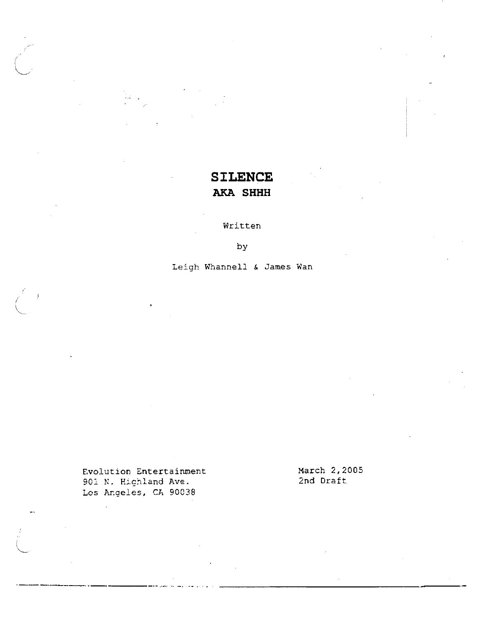# **SILENCE AKA SHHH**

**Written** 

**by** 

**Leigh Whannell h James Wan** 

**Evolution Entertainment March 2,2005**  901 N. Highland Ave. **Lcs Argeles, Ch 90038**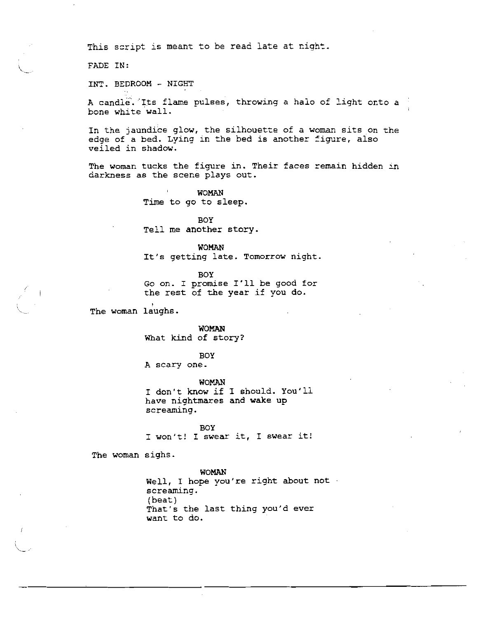This script is meant to be read late at night.

FADE IN:

**INT.** BEDROOM - NIGHT

**A** candle. 'Its flame pulses, throwing a halo of light onto a bone white wall.

In the jaundice glow, the silhouette of a woman sits on the edge of a bed. Lying in the bed is another figure, also veiled in shadow.

The woman tucks the figure in. Their faces remain hidden in darkness as the scene plays out.

> **WOMAN** Time to go to sleep.

BOY Tell me another story.

WOMAN

It's getting late. Tomorrow night.

BOY

GO on. I promise I'll be good for the rest of the year if you do.

The woman laughs.

WOMAN What kind of story?

BOY

**A** scary one.

**WOMAN** I don't know if I should. You'll have nightmares and **wake** up screaming.

BOY I won't! I swear it, I swear it!

The woman sighs.

WOMAN

Well, I hope you're right about not screaming. (beat ) That's the last thing you'd ever want to do.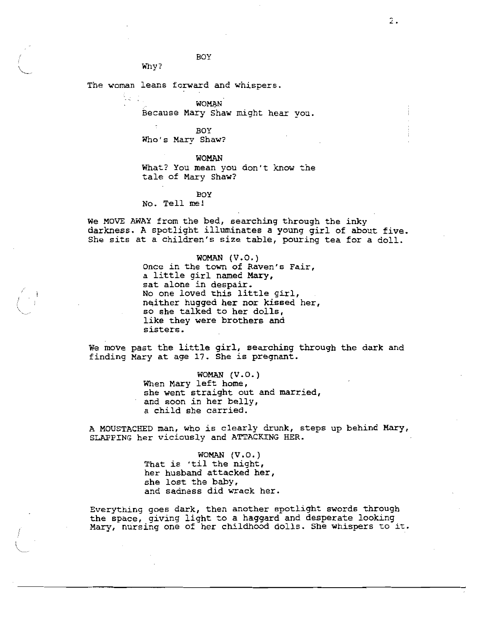BOY

The woman leans forward and whispers.

 $W<sub>ny</sub>$ ?

**WOMAN** 

Because Mary Shaw might hear vou.

**BOY** Who's Mary Shaw?

**WOMAN** What? You mean you don't know the tale of Mary Shaw?

**BOY** No. Tell me!

We MOVE AWAY from the bed, searching through the inky darkness. A spotlight illuminates a young girl of about five. She sits at a children's size table, pouring tea for a doll.

> WOMAN  $(V.0.)$ Once in the town of Raven's Fair, a little girl named Mary, sat alone in despair. No one loved this little girl, neither hugged her nor kissed her, so she talked to her dolls. like they were brothers and sisters.

We move past the little girl, searching through the dark and finding Mary at age 17. She is pregnant.

> WOMAN  $(V.0.)$ When Mary left home, she went straight out and married, and soon in her belly, a child she carried.

A MOUSTACHED man, who is clearly drunk, steps up behind Mary, SLAPPING her viciously and ATTACKING HER.

> WOMAN (V.O.) That is 'til the night, her husband attacked her, she lost the baby, and sadness did wrack her.

Everything goes dark, then another spotlight swords through the space, giving light to a haggard and desperate looking Mary, nursing one of her childhood dolls. She whispers to it.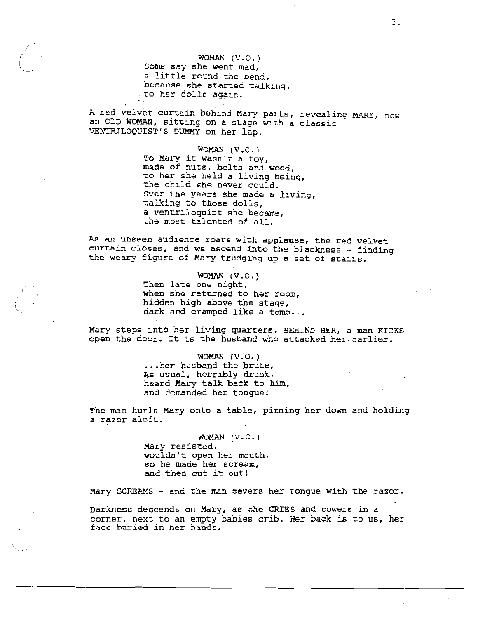WOMAN (V.O.) Some say she went mad, a little round the bend. because she started talking. go to her dolls again.

A red velvet curtain behind Mary parts, revealing MARY, now an OLD WOMAN, sitting on a stage with a classic VENTRILOQUIST'S DUMMY on her lap.

> WOMAN  $(V.O.)$ To Mary it wasn't a toy, made of nuts, bolts and wood, to her she held a living being, the child she never could. Over the years she made a living, talking to those dolls, a ventriloquist she became. the most talented of all.

As an unseen audience roars with applause, the red velvet curtain closes, and we ascend into the blackness - finding the weary figure of Mary trudging up a set of stairs.

> WOMAN  $(V. \circ. )$ Then late one night, when she returned to her room, hidden high above the stage, dark and cramped like a tomb...

Mary steps into her living quarters. BEHIND HER, a man KICKS open the door. It is the husband who attacked her earlier.

> WOMAN  $(V.O.)$ ...her husband the brute, As usual, horribly drunk, heard Mary talk back to him, and demanded her tongue!

The man hurls Mary onto a table, pinning her down and holding a razor aloft.

> WOMAN  $(V.O.)$ Mary resisted, wouldn't open her mouth, so he made her scream, and then cut it out!

Mary SCREAMS - and the man severs her tongue with the razor.

Darkness descends on Mary, as she CRIES and cowers in a corner, next to an empty babies crib. Her back is to us, her face buried in her hands.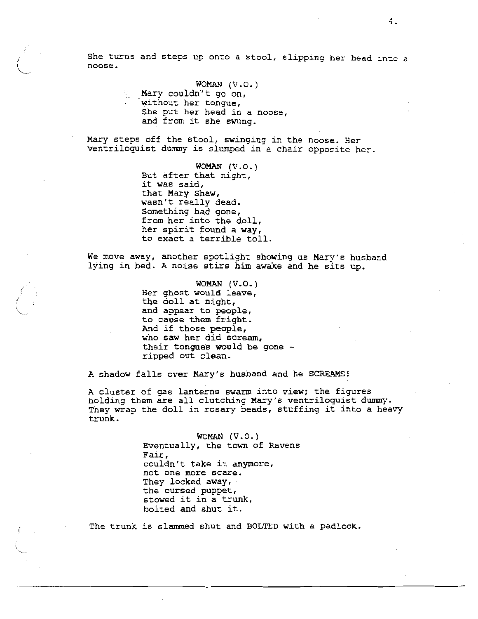She turns and steps up onto a stool, slipping her head into a noose.

WOMAN  $(V.O.)$ 

Mary couldn't go on, without her tongue, She put her head in a noose, and from it she swung.

Mary steps off the stool, swinging in the noose. Her ventrilocuist dummy is slumped in a chair opposite her.

> WOMAN  $(V.O.)$ But after that night, it was said, that Mary Shaw, wasn't really dead. Something had gone, from her into the doll. her spirit found a way, to exact a terrible toll.

We move away, another spotlight showing us Mary's husband lying in bed. A noise stirs him awake and he sits up.

> WOMAN  $(V.O.)$ Her ghost would leave, the doll at night, and appear to people, to cause them fright. And if those people, who saw her did scream, their tongues would be gone ripped out clean.

A shadow falls over Mary's husband and he SCREAMS!

A cluster of gas lanterns swarm into view; the figures holding them are all clutching Mary's ventriloquist dummy.<br>They wrap the doll in rosary beads, stuffing it into a heavy trunk.

> WOMAN  $(V.0.)$ Eventually, the town of Ravens Fair, couldn't take it anymore, not one more scare. They locked away, the cursed puppet, stowed it in a trunk, bolted and shut it.

The trunk is slammed shut and BOLTED with a padlock.

4.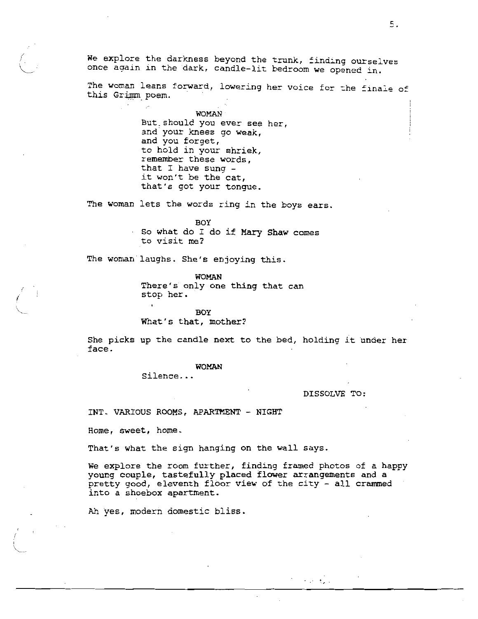We explore the darkness beyond the trunk, finding ourselves once again in the dark, candle-lit bedroom we opened in.

The woman leans forward, lowering her voice for the finale of this Grimm poem.

> WOMAN But should you ever see her, and your knees go weak, and you forget, to hold in your shriek, remember these words, that I have sung it won't be the cat, that's got your tongue.

The woman lets the words ring in the boys ears.

**BOY** So what do I do if Mary Shaw comes to visit me?

The woman laughs. She's enjoying this.

is an

WOMAN There's only one thing that can stop her.

**BOY** 

What's that, mother?

She picks up the candle next to the bed, holding it under her face.

# **WOMAN**

Silence...

DISSOLVE TO:

 $\mathcal{L} = \mathcal{L}_\mathbf{z}$  .

INT. VARIOUS ROOMS, APARTMENT - NIGHT

Home, sweet, home.

That's what the sign hanging on the wall says.

We explore the room further, finding framed photos of a happy young couple, tastefully placed flower arrangements and a pretty good, eleventh floor view of the city - all crammed into a shoebox apartment.

Ah yes, modern domestic bliss.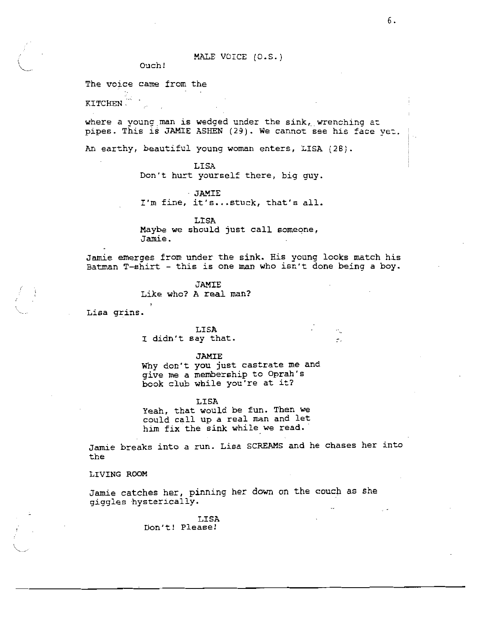Ouch!

### The voice came from the

KITCHEN.

where a young man is wedged under the  $sink$ , wrenching at pipes. This is JAMIE ASHEN (29). We cannot see his face yet.

An earthy, beautiful young woman enters, LISA (28).

LISA

Don't hurt yourself there, big guy.

- JAMIE I'm fine, it's...stuck, that's all.

LISA Maybe we should just call someone, Jamie.

Jamie emerges from under the sink. His young looks match his Batman T-shirt - this is one man who isn't done being a boy.

 $\blacktriangleright$ 

**JAMIE** 

Like who? A real man?

Lisa grins.

LISA I didn't say that.

**JAMIE** 

Why don't you just castrate me and give me a membership to Oprah's book club while you're at it?

LISA

Yeah, that would be fun. Then we could call up a real man and let him fix the sink while we read.

Jamie breaks into a run. Lisa SCREAMS and he chases her into the

LIVING ROOM

Jamie catches her, pinning her down on the couch as she giggles hysterically.

> LISA Don't! Please!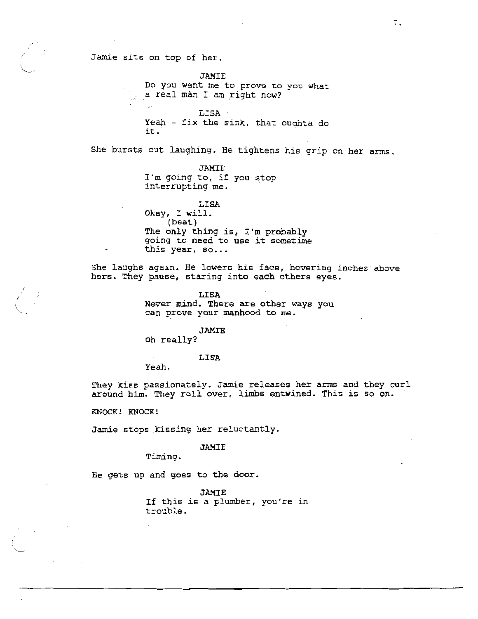Jamie sits on top of her.

**JAMIE** Do you want me to prove to you what a real man I am right now?

LISA Yeah - fix the sink, that oughta do it.

She bursts out laughing. He tightens his grip on her arms.

# JAMIE

I'm going to, if you stop interrupting me.

LISA Okay, I will. (beat) The only thing is, I'm probably going to need to use it sometime this year, so...

She laughs again. He lowers his face, hovering inches above hers. They pause, staring into each others eyes.

LISA

Never mind. There are other ways you can prove your manhood to me.

### **JAMIE**

Oh really?

### LISA

Yeah.

They kiss passionately. Jamie releases her arms and they curl around him. They roll over, limbs entwined. This is so on.

KNOCK! KNOCK!

Jamie stops kissing her reluctantly.

# **JAMIE**

Timing.

He gets up and goes to the door.

**JAMIE** If this is a plumber, you're in trouble.

7.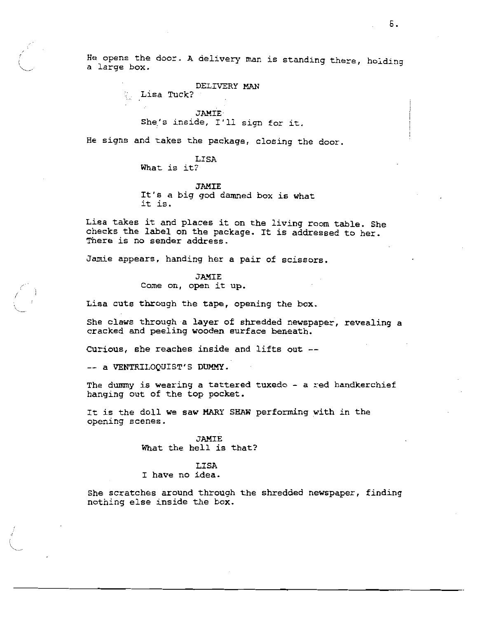He opens the door. A delivery man is standing there, holding a large box.

DELIVERY MAN

. Lisa Tuck?

**JAMIE** She's inside, I'll sign for it.

He signs and takes the package, closing the door.

LISA What is it?

**JAMIE** It's a big god damned box is what it is.

Lisa takes it and places it on the living room table. She checks the label on the package. It is addressed to her. There is no sender address.

Jamie appears, handing her a pair of scissors.

**JAMIE** 

Come on, open it up.

Lisa cuts through the tape, opening the box.

She claws through a layer of shredded newspaper, revealing a cracked and peeling wooden surface beneath.

Curious, she reaches inside and lifts out --

-- a VENTRILOQUIST'S DUMMY.

The dummy is wearing a tattered tuxedo - a red handkerchief hanging out of the top pocket.

It is the doll we saw MARY SHAW performing with in the opening scenes.

> **JAMIE** What the hell is that?

LISA I have no idea.

She scratches around through the shredded newspaper, finding nothing else inside the box.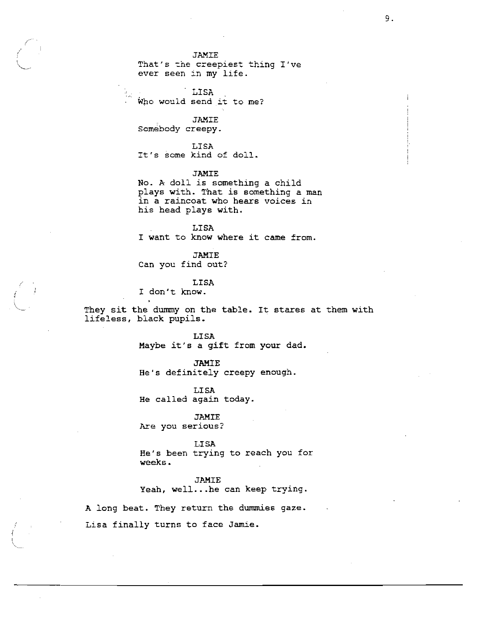That's the creepiest thing I've ever seen in my life.

**LISA** Who would send it to me?

**JAMIE** 

Somebody creepy.

LISA It's some kind of doll.

**JAMIE** 

No. A doll is something a child plays with. That is something a man in a raincoat who hears voices in his head plays with.

**LISA** I want to know where it came from.

**JAMIE** Can you find out?

**LISA** 

I don't know.

They sit the dummy on the table. It stares at them with lifeless, black pupils.

> LISA Maybe it's a gift from your dad.

**JAMIE** He's definitely creepy enough.

LISA He called again today.

# **JAMIE**

Are you serious?

LISA

He's been trying to reach you for weeks.

**JAMIE** Yeah, well...he can keep trying.

A long beat. They return the dummies gaze. Lisa finally turns to face Jamie.

 $\overline{Q}$  .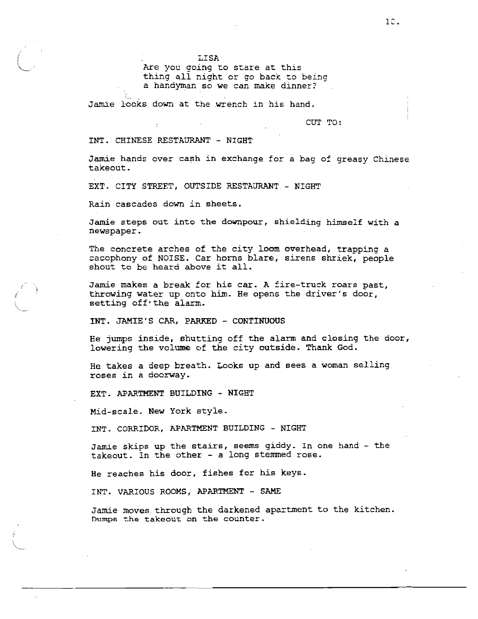LISA

Are you going to stare at this thing all night or go back to being a handyman so we can make dinner?

Jamie looks down at the wrench in his hand.

CUT TO:

# INT. CHINESE RESTAURANT - NIGHT

Jamie hands over cash in exchange for a bag of greasy Chinese takeout.

EXT. CITY STREET, OUTSIDE RESTAURANT - NIGHT

Rain cascades down in sheets.

Jamie steps out into the downpour, shielding himself with a newspaper.

The concrete arches of the city loom overhead, trapping a cacophony of NOISE. Car horns blare, sirens shriek, people shout to be heard above it all.

Jamie makes a break for his car. A fire-truck roars past, throwing water up onto him. He opens the driver's door, setting off the alarm.

INT. JAMIE'S CAR, PARKED - CONTINUOUS

He jumps inside, shutting off the alarm and closing the door, lowering the volume of the city outside. Thank God.

He takes a deep breath. Looks up and sees a woman selling roses in a doorway.

EXT. APARTMENT BUILDING - NIGHT

Mid-scale. New York style.

INT. CORRIDOR, APARTMENT BUILDING - NIGHT

Jamie skips up the stairs, seems giddy. In one hand - the takeout. In the other - a long stemmed rose.

He reaches his door, fishes for his keys.

INT. VARIOUS ROOMS, APARTMENT - SAME

Jamie moves through the darkened apartment to the kitchen. Dumps the takeout on the counter.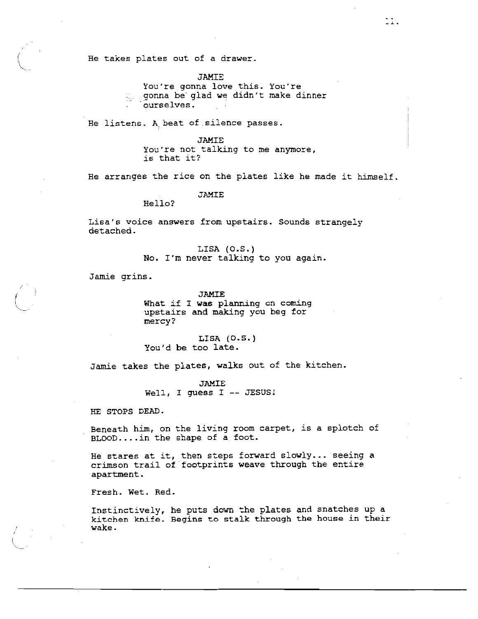He takes plates out of a drawer.

**JAMIE** 

You're gonna love this. You're gonna be glad we didn't make dinner ourselves.

 $\mathbb{R}$ .

He listens. A beat of silence passes.

**JAMIE** 

You're not talking to me anymore, is that it?

He arranges the rice on the plates like he made it himself.

**JAMIE** 

Hello?

Lisa's voice answers from upstairs. Sounds strangely detached.

> LISA  $(0.5.)$ No. I'm never talking to you again.

Jamie grins.

**JAMIE** 

What if I was planning on coming upstairs and making you beg for mercy?

LISA  $(0.5.)$ You'd be too late.

Jamie takes the plates, walks out of the kitchen.

**JAMIE** Well, I guess I -- JESUS!

HE STOPS DEAD.

Beneath him, on the living room carpet, is a splotch of BLOOD....in the shape of a foot.

He stares at it, then steps forward slowly... seeing a crimson trail of footprints weave through the entire apartment.

Fresh. Wet. Red.

Instinctively, he puts down the plates and snatches up a kitchen knife. Begins to stalk through the house in their wake.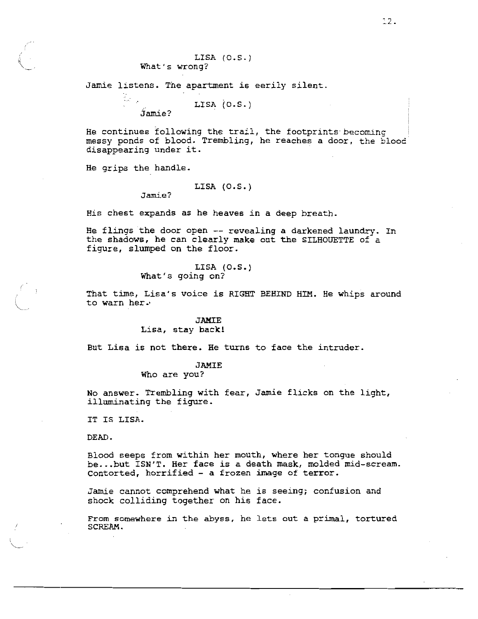Jamie listens. The apartment is eerily silent.

LISA  $(0.5.1)$ Jamie?

He continues following the trail, the footprints becoming messy ponds of blood. Trembling, he reaches a door, the blood disappearing under it.

He grips the handle.

 $\frac{d}{2} \frac{d}{d\omega}$ 

# LISA  $(0.5.)$

Jamie?

His chest expands as he heaves in a deep breath.

He flings the door open -- revealing a darkened laundry. In the shadows, he can clearly make out the SILHOUETTE of a figure, slumped on the floor.

# LISA (0.S.) What's going on?

That time, Lisa's voice is RIGHT BEHIND HIM. He whips around to warn her.

# **JAMIE**

Lisa, stay back!

But Lisa is not there. He turns to face the intruder.

# **JAMIE**

Who are you?

No answer. Trembling with fear, Jamie flicks on the light, illuminating the figure.

IT IS LISA.

DEAD.

Blood seeps from within her mouth, where her tongue should be...but ISN'T. Her face is a death mask, molded mid-scream. Contorted, horrified - a frozen image of terror.

Jamie cannot comprehend what he is seeing; confusion and shock colliding together on his face.

From somewhere in the abyss, he lets out a primal, tortured SCREAM.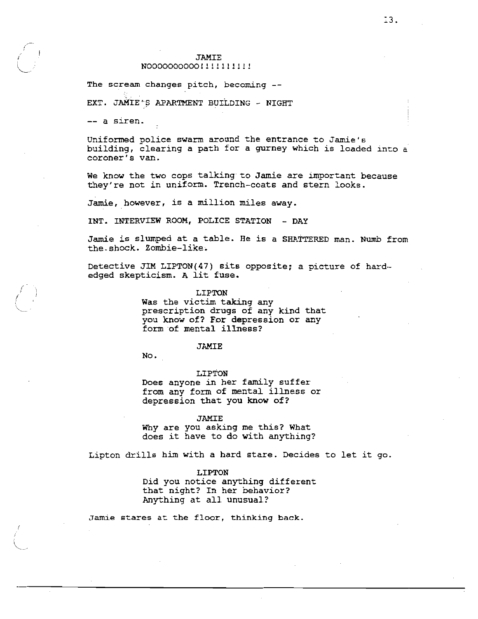# N00000000000!!!!!!!!!!!

The scream changes pitch, becoming --

EXT. JAMIE'S APARTMENT BUILDING - NIGHT

-- a siren.

Uniformed police swarm around the entrance to Jamie's building, clearing a path for a gurney which is loaded into a coroner's van.

We know the two cops talking to Jamie are important because they're not in uniform. Trench-coats and stern looks.

Jamie, however, is a million miles away.

INT. INTERVIEW ROOM, POLICE STATION - DAY

Jamie is slumped at a table. He is a SHATTERED man. Numb from the shock. Zombie-like.

Detective JIM LIPTON(47) sits opposite; a picture of hardedged skepticism. A lit fuse.

### LIPTON

Was the victim taking any prescription drugs of any kind that you know of? For depression or any form of mental illness?

### **JAMIE**

No.

### LIPTON

Does anyone in her family suffer from any form of mental illness or depression that you know of?

### **JAMIE**

Why are you asking me this? What does it have to do with anything?

Lipton drills him with a hard stare. Decides to let it go.

# LIPTON

Did you notice anything different that night? In her behavior? Anything at all unusual?

Jamie stares at the floor, thinking back.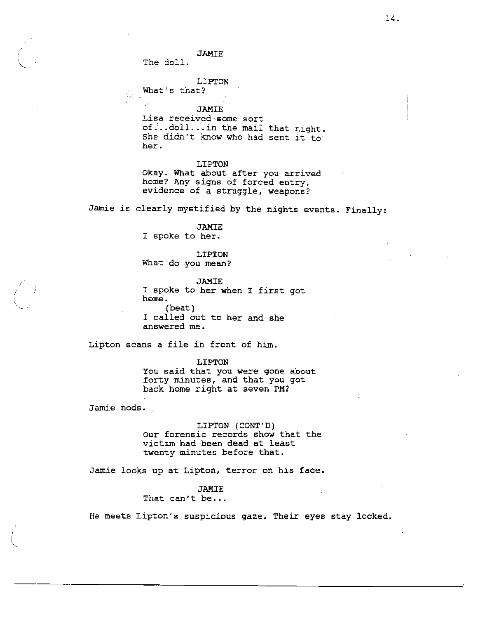The doll.

LIPTON

What's that?

**JAMIE** 

Lisa received some sort of...doll...in the mail that night. She didn't know who had sent it to her.

### LIPTON

Okay. What about after you arrived home? Any signs of forced entry, evidence of a struggle, weapons?

Jamie is clearly mystified by the nights events. Finally:

#### **JAMIE**

I spoke to her.

# LIPTON What do you mean?

JAMIE I spoke to her when I first got home.  $(beat)$ I called out to her and she answered me.

Lipton scans a file in front of him.

#### **LIPTON**

You said that you were gone about forty minutes, and that you got back home right at seven PM?

Jamie nods.

LIPTON (CONT'D) Our forensic records show that the victim had been dead at least twenty minutes before that.

Jamie looks up at Lipton, terror on his face.

# **JAMIE**

That can't be...

He meets Lipton's suspicious gaze. Their eyes stay locked.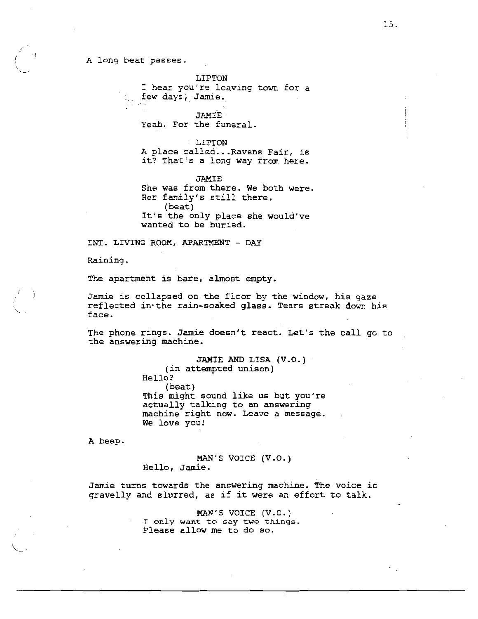### A long beat passes.

LIPTON

I hear you're leaving town for a few days, Jamie.

**JAMIE** Yeah. For the funeral.

LIPTON A place called... Ravens Fair, is it? That's a long way from here.

**JAMIE** She was from there. We both were. Her family's still there.  $(beat)$ It's the only place she would've wanted to be buried.

INT. LIVING ROOM, APARTMENT - DAY

Raining.

The apartment is bare, almost empty.

Jamie is collapsed on the floor by the window, his gaze reflected in the rain-soaked glass. Tears streak down his face.

The phone rings. Jamie doesn't react. Let's the call go to the answering machine.

> JAMIE AND LISA (V.O.) (in attempted unison) Hello? (beat) This might sound like us but you're actually talking to an answering machine right now. Leave a message. We love you!

A beep.

MAN'S VOICE (V.O.) Hello, Jamie.

Jamie turns towards the answering machine. The voice is gravelly and slurred, as if it were an effort to talk.

> MAN'S VOICE (V.O.) I only want to say two things. Please allow me to do so.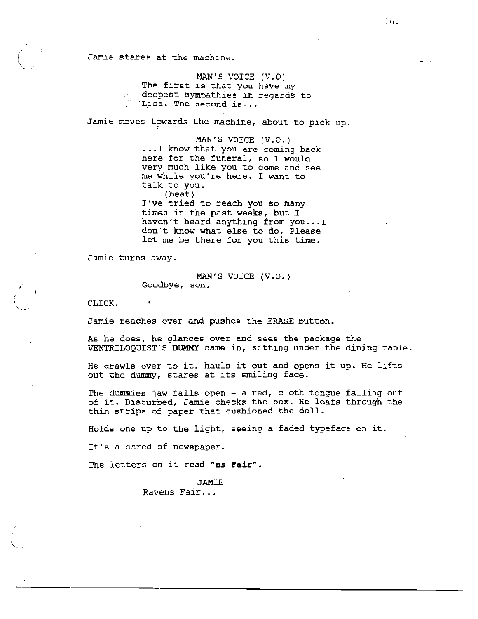Jamie stares at the machine.

MAN'S VOICE (V.O) The first is that you have my deepest sympathies in regards to<br>. Tisa. The second is...

Jamie moves towards the machine, about to pick up.

MAN'S VOICE (V.O.) ... I know that you are coming back here for the funeral, so I would very much like you to come and see me while you're here. I want to talk to you.  $(beat)$ I've tried to reach you so many times in the past weeks, but I haven't heard anything from you...I don't know what else to do. Please

Jamie turns away.

MAN'S VOICE (V.O.) Goodbye, son.

let me be there for you this time.

CLICK.

Jamie reaches over and pushes the ERASE button.

As he does, he glances over and sees the package the VENTRILOQUIST'S DUMMY came in, sitting under the dining table.

He crawls over to it, hauls it out and opens it up. He lifts out the dummy, stares at its smiling face.

The dummies jaw falls open - a red, cloth tongue falling out of it. Disturbed, Jamie checks the box. He leafs through the thin strips of paper that cushioned the doll.

Holds one up to the light, seeing a faded typeface on it.

It's a shred of newspaper.

The letters on it read "ns Fair".

**JAMIE** Ravens Fair...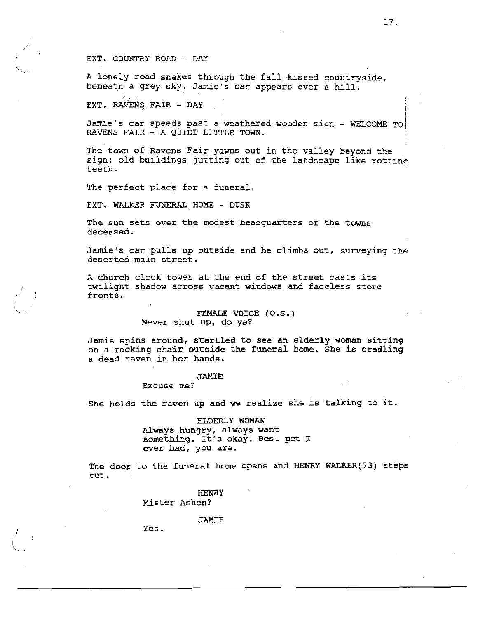# EXT. COUNTRY ROAD - DAY

A lonely road snakes through the fall-kissed countryside, beneath a grey sky. Jamie's car appears over a hill.

EXT. RAVENS FAIR - DAY

Jamie's car speeds past a weathered wooden sign - WELCOME TO RAVENS FAIR - A QUIET LITTLE TOWN.

The town of Ravens Fair yawns out in the valley beyond the sign; old buildings jutting out of the landscape like rotting teeth.

The perfect place for a funeral.

EXT. WALKER FUNERAL HOME - DUSK

The sun sets over the modest headquarters of the towns deceased.

Jamie's car pulls up outside and he climbs out, surveving the deserted main street.

A church clock tower at the end of the street casts its twilight shadow across vacant windows and faceless store fronts.

> FEMALE VOICE (0.S.) Never shut up, do ya?

Jamie spins around, startled to see an elderly woman sitting on a rocking chair outside the funeral home. She is cradling a dead raven in her hands.

# **JAMIE**

Excuse me?

She holds the raven up and we realize she is talking to it.

ELDERLY WOMAN Always hungry, always want something. It's okay. Best pet I ever had, you are.

The door to the funeral home opens and HENRY WALKER(73) steps out.

> **HENRY** Mister Ashen?

> > **JAMIE**

Yes.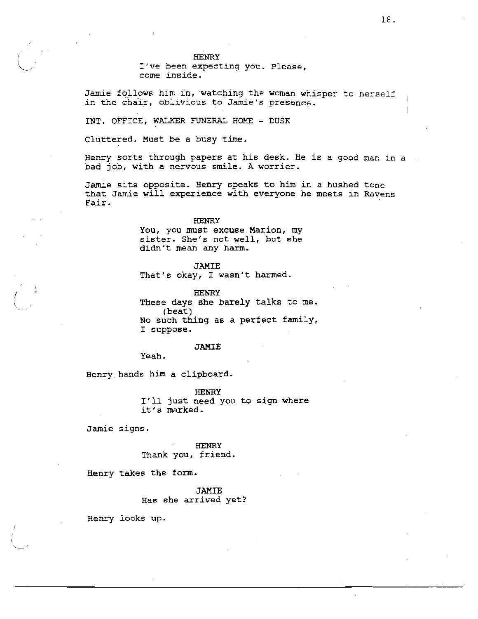I've been expecting you. Please, come inside.

Jamie follows him in, watching the woman whisper to herself in the chair, oblivious to Jamie's presence.

INT. OFFICE, WALKER FUNERAL HOME - DUSK

Cluttered. Must be a busy time.

Henry sorts through papers at his desk. He is a good man in a bad job, with a nervous smile. A worrier.

Jamie sits opposite. Henry speaks to him in a hushed tone that Jamie will experience with everyone he meets in Ravens Fair.

### **HENRY**

You, you must excuse Marion, my sister. She's not well, but she didn't mean any harm.

**JAMIE** 

That's okay, I wasn't harmed.

**HENRY** These days she barely talks to me.  $(beat)$ No such thing as a perfect family, I suppose.

# **JAMIE**

Yeah.

Henry hands him a clipboard.

**HENRY** I'll just need you to sign where it's marked.

Jamie signs.

**HENRY** Thank you, friend.

Henry takes the form.

**JAMIE** Has she arrived yet?

Henry looks up.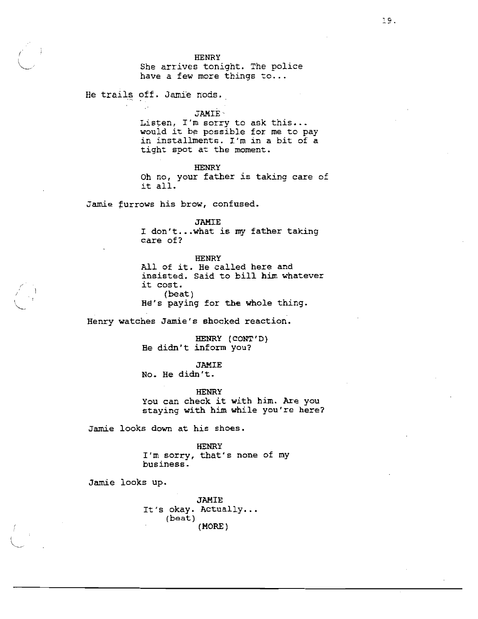She arrives tonight. The police have a few more things to...

He trails off. Jamie nods.

### **JAMIE**

Listen, I'm sorry to ask this... would it be possible for me to pay in installments. I'm in a bit of a tight spot at the moment.

# **HENRY**

Oh no, your father is taking care of it all.

Jamie furrows his brow, confused.

**JAMIE** 

I don't...what is my father taking care of?

**HENRY** 

All of it. He called here and insisted. Said to bill him whatever it cost. (beat) He's paying for the whole thing.

Henry watches Jamie's shocked reaction.

HENRY (CONT'D) He didn't inform you?

**JAMIE** No. He didn't.

**HENRY** You can check it with him. Are you staying with him while you're here?

Jamie looks down at his shoes.

**HENRY** 

I'm sorry, that's none of my business.

Jamie looks up.

**JAMIE** It's okay. Actually... (beat) (MORE)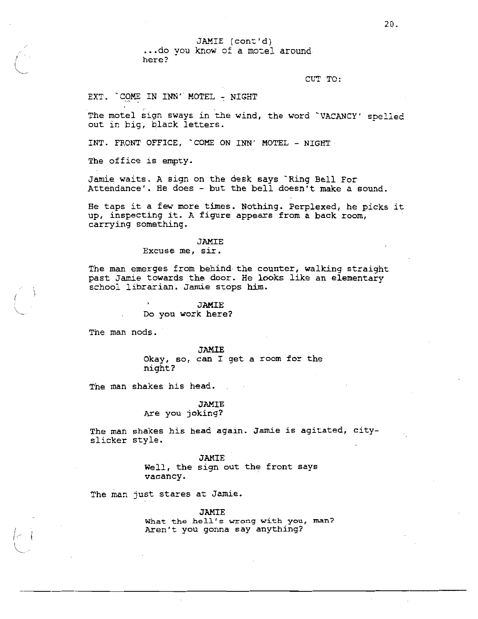JAMIE (cont'd)

... do you know of a motel around here?

CUT TO:

EXT. COME IN INN' MOTEL - NIGHT

The motel sign sways in the wind, the word 'VACANCY' spelled out in big, black letters.

INT. FRONT OFFICE, COME ON INN' MOTEL - NIGHT

The office is empty.

Jamie waits. A sign on the desk says `Ring Bell For Attendance'. He does - but the bell doesn't make a sound.

He taps it a few more times. Nothing. Perplexed, he picks it up, inspecting it. A figure appears from a back room, carrying something.

**JAMIE** 

Excuse me, sir.

The man emerges from behind the counter, walking straight past Jamie towards the door. He looks like an elementary school librarian. Jamie stops him.

> **JAMIE** Do you work here?

The man nods.

**JAMIE** Okay, so, can I get a room for the night?

The man shakes his head.

**JAMIE** Are you joking?

The man shakes his head again. Jamie is agitated, cityslicker style.

> **JAMIE** Well, the sign out the front says vacancy.

The man just stares at Jamie.

**JAMIE** What the hell's wrong with you, man? Aren't you gonna say anything?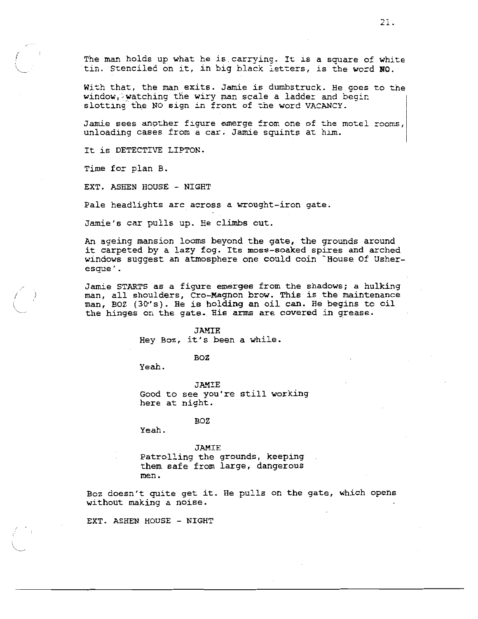The man holds up what he is carrying. It is a square of white tin. Stenciled on it, in big black letters, is the word NO.

With that, the man exits. Jamie is dumbstruck. He goes to the window, watching the wiry man scale a ladder and begin slotting the NO sign in front of the word VACANCY.

Jamie sees another figure emerge from one of the motel rooms, unloading cases from a car. Jamie squints at him.

It is DETECTIVE LIPTON.

Time for plan B.

EXT. ASHEN HOUSE - NIGHT

Pale headlights arc across a wrought-iron gate.

Jamie's car pulls up. He climbs out.

An ageing mansion looms beyond the gate, the grounds around it carpeted by a lazy fog. Its moss-soaked spires and arched windows suggest an atmosphere one could coin `House Of Usheresque'.

Jamie STARTS as a figure emerges from the shadows; a hulking man, all shoulders, Cro-Magnon brow. This is the maintenance man, BOZ (30's). He is holding an oil can. He begins to oil the hinges on the gate. His arms are covered in grease.

### **JAMIE**

Hey Boz, it's been a while.

#### BOZ

Yeah.

JAMIE Good to see you're still working here at night.

#### **BOZ**

Yeah.

#### JAMIE

Patrolling the grounds, keeping them safe from large, dangerous men.

Boz doesn't quite get it. He pulls on the gate, which opens without making a noise.

EXT. ASHEN HOUSE - NIGHT

21.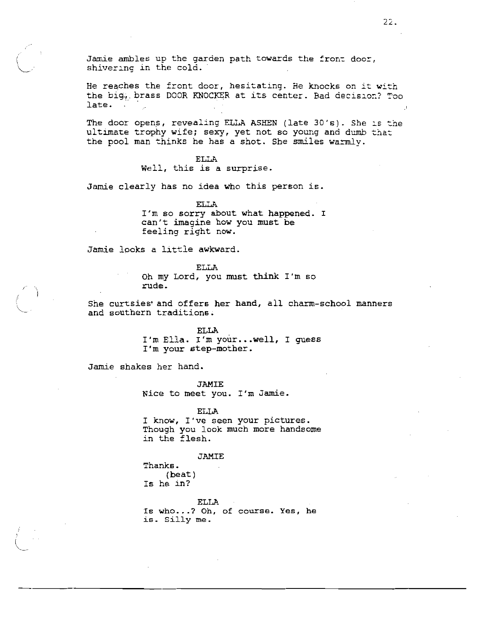Jamie ambles up the garden path towards the front door, shivering in the cold.

He reaches the front door, hesitating. He knocks on it with the big. brass DOOR KNOCKER at its center. Bad decision? Too late.

The door opens, revealing ELLA ASHEN (late 30's). She is the ultimate trophy wife; sexy, yet not so young and dumb that the pool man thinks he has a shot. She smiles warmly.

# **ELLA**

Well, this is a surprise.

Jamie clearly has no idea who this person is.

**ELLA** I'm so sorry about what happened. I can't imagine how you must be feeling right now.

Jamie looks a little awkward.

**ELLA** 

Oh my Lord, you must think I'm so rude.

She curtsies and offers her hand, all charm-school manners and southern traditions.

> **ELLA** I'm Ella. I'm your...well, I guess I'm your step-mother.

Jamie shakes her hand.

**JAMIE** Nice to meet you. I'm Jamie.

**ELLA** 

I know, I've seen your pictures. Though you look much more handsome in the flesh.

### JAMIE

Thanks.  $(heat)$ Is he in?

ELLA Is who...? Oh, of course. Yes, he is. Silly me.

 $22.$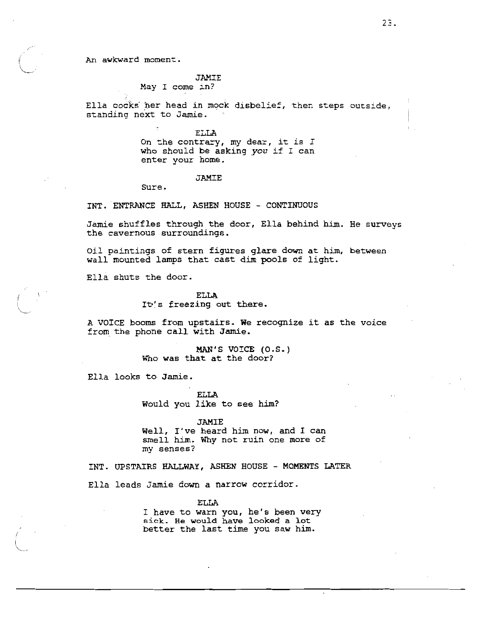An awkward moment.

# JAMIE

May I come in?

Ella cocks her head in mock disbelief, then steps outside, standing next to Jamie.

> **ELLA** On the contrary, my dear, it is I who should be asking you if I can enter your home.

### **JAMIE**

Sure.

INT. ENTRANCE HALL, ASHEN HOUSE - CONTINUOUS

Jamie shuffles through the door, Ella behind him. He surveys the cavernous surroundings.

Oil paintings of stern figures glare down at him, between wall mounted lamps that cast dim pools of light.

Ella shuts the door.

#### **ELLA**

It's freezing out there.

A VOICE booms from upstairs. We recognize it as the voice from the phone call with Jamie.

> MAN'S VOICE (0.S.) Who was that at the door?

Ella looks to Jamie.

**ELLA** Would you like to see him?

**JAMIE** 

Well, I've heard him now, and I can smell him. Why not ruin one more of my senses?

INT. UPSTAIRS HALLWAY, ASHEN HOUSE - MOMENTS LATER

Ella leads Jamie down a narrow corridor.

### **ELLA**

I have to warn you, he's been very sick. He would have looked a lot better the last time you saw him.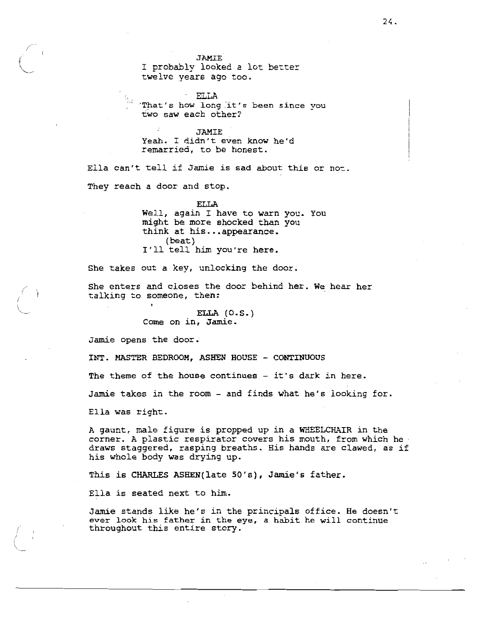I probably looked a lot better twelve years ago too.

**ELLA** "That's how long it's been since you two saw each other?

JAMIE Yeah. I didn't even know he'd remarried, to be honest.

Ella can't tell if Jamie is sad about this or not.

They reach a door and stop.

# **ELLA**

Well, again I have to warn you. You might be more shocked than you think at his...appearance. (beat) I'll tell him you're here.

She takes out a key, unlocking the door.

She enters and closes the door behind her. We hear her talking to someone, then:

> ELLA  $(0.5.)$ Come on in, Jamie.

Jamie opens the door.

INT. MASTER BEDROOM, ASHEN HOUSE - CONTINUOUS

The theme of the house continues - it's dark in here.

Jamie takes in the room - and finds what he's looking for.

Ella was right.

A gaunt, male figure is propped up in a WHEELCHAIR in the corner. A plastic respirator covers his mouth, from which hedraws staggered, rasping breaths. His hands are clawed, as if his whole body was drying up.

This is CHARLES ASHEN(late 50's), Jamie's father.

Ella is seated next to him.

Jamie stands like he's in the principals office. He doesn't ever look his father in the eye, a habit he will continue throughout this entire story.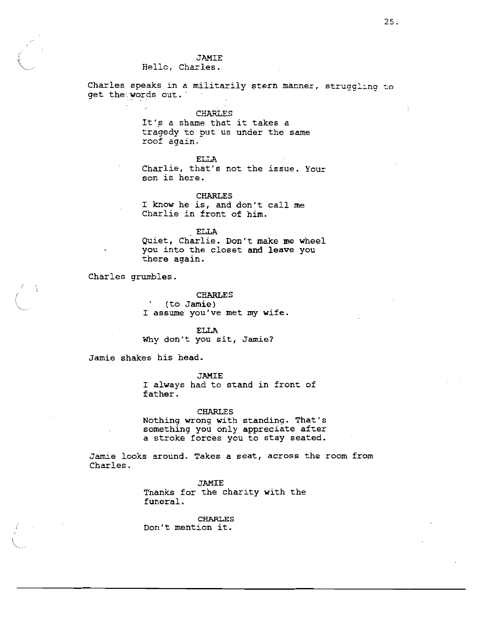# Hello, Charles.

Charles speaks in a militarily stern manner, struggling to get the words out.

**CHARLES** 

It's a shame that it takes a tragedy to put us under the same roof again.

# **ELLA**

Charlie, that's not the issue. Your son is here.

**CHARLES** I know he is, and don't call me Charlie in front of him.

ELLA

Quiet, Charlie. Don't make me wheel you into the closet and leave you there again.

Charles grumbles.

**CHARLES**  $'$  (to Jamie) I assume you've met my wife.

**ELLA** Why don't you sit, Jamie?

Jamie shakes his head.

**JAMIE** 

I always had to stand in front of father.

# **CHARLES**

Nothing wrong with standing. That's something you only appreciate after a stroke forces you to stay seated.

Jamie looks around. Takes a seat, across the room from Charles.

> **JAMIE** Thanks for the charity with the funeral.

**CHARLES** Don't mention it.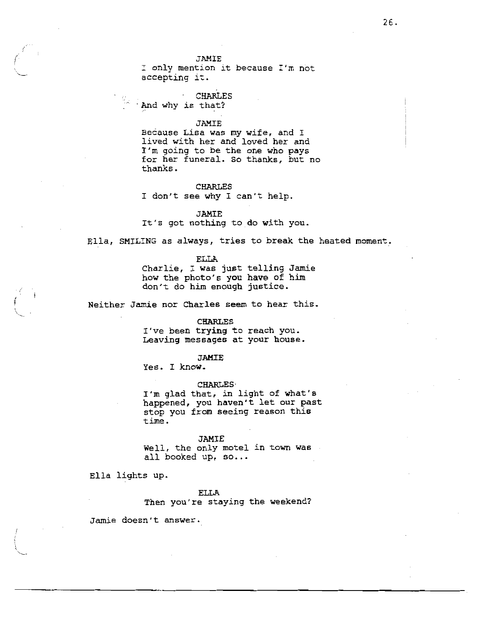I only mention it because I'm not accepting it.

# **CHARLES**

 $\sim$  And why is that?

# **JAMIE**

Because Lisa was my wife, and I lived with her and loved her and I'm going to be the one who pays for her funeral. So thanks, but no thanks.

### **CHARLES**

I don't see why I can't help.

### **JAMIE**

It's got nothing to do with you.

Ella, SMILING as always, tries to break the heated moment.

**ELLA** 

Charlie, I was just telling Jamie how the photo's you have of him don't do him enough justice.

Neither Jamie nor Charles seem to hear this.

### **CHARLES**

I've been trying to reach you. Leaving messages at your house.

# **JAMIE**

Yes. I know.

#### **CHARLES**

I'm glad that, in light of what's happened, you haven't let our past stop you from seeing reason this time.

### **JAMIE**

Well, the only motel in town was all booked up, so...

Ella lights up.

#### **ELLA**

Then you're staying the weekend?

Jamie doesn't answer.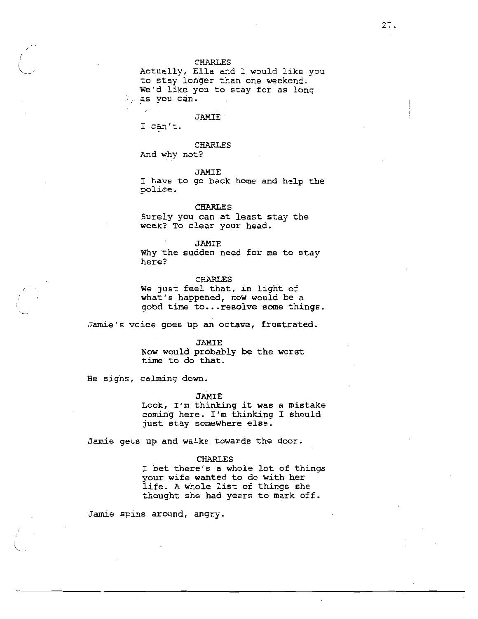Actually, Ella and I would like you to stay longer than one weekend. We'd like you to stay for as long as you can.

#### JAMIE

I can't.

# CHARLES

And why not?

**JAMIE** 

I have to go back home and help the police.

# **CHARLES**

Surely you can at least stay the week? To clear your head.

**JAMIE** 

Why the sudden need for me to stay here?

# **CHARLES**

We just feel that, in light of what's happened, now would be a good time to... resolve some things.

Jamie's voice goes up an octave, frustrated.

#### **JAMIE**

Now would probably be the worst time to do that.

He sighs, calming down.

### **JAMIE**

Look, I'm thinking it was a mistake coming here. I'm thinking I should just stay somewhere else.

Jamie gets up and walks towards the door.

### **CHARLES**

I bet there's a whole lot of things your wife wanted to do with her life. A whole list of things she thought she had years to mark off.

Jamie spins around, angry.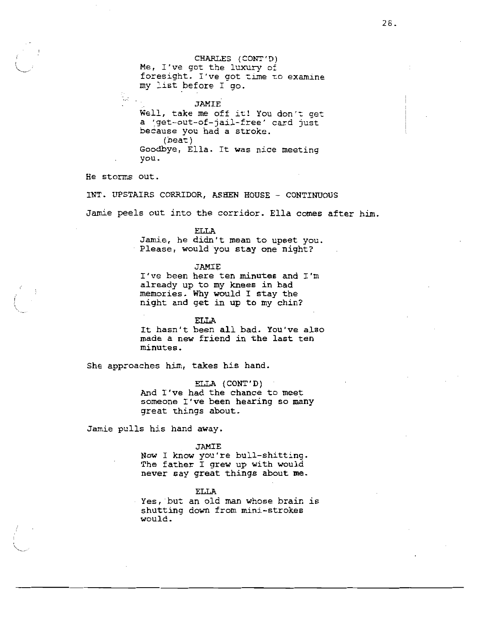CHARLES (CONT'D) Me, I've got the luxury of foresight. I've got time to examine my list before I go.

**JAMIE** Well, take me off it! You don't get a 'get-out-of-jail-free' card just because you had a stroke.  $(heat)$ Goodbye, Ella. It was nice meeting you.

He storms out.

INT. UPSTAIRS CORRIDOR, ASHEN HOUSE - CONTINUOUS

Jamie peels out into the corridor. Ella comes after him.

**ELLA** 

Jamie, he didn't mean to upset you. Please, would you stay one night?

**JAMIE** 

I've been here ten minutes and I'm already up to my knees in bad memories. Why would I stay the night and get in up to my chin?

**FILA** 

It hasn't been all bad. You've also made a new friend in the last ten minutes.

She approaches him, takes his hand.

ELLA (CONT'D) And I've had the chance to meet someone I've been hearing so many great things about.

Jamie pulls his hand away.

JAMIE

Now I know you're bull-shitting. The father I grew up with would never say great things about me.

**ELLA** 

Yes, but an old man whose brain is shutting down from mini-strokes would.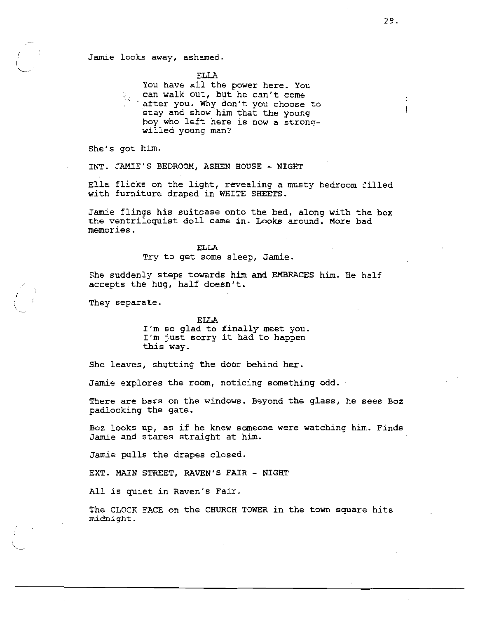# Jamie looks away, ashamed.

**ELLA** 

You have all the power here. You can walk out, but he can't come can wain you, why don't you choose to stay and show him that the young boy who left here is now a strongwilled young man?

She's got him.

INT. JAMIE'S BEDROOM, ASHEN HOUSE - NIGHT

Ella flicks on the light, revealing a musty bedroom filled with furniture draped in WHITE SHEETS.

Jamie flings his suitcase onto the bed, along with the box the ventriloquist doll came in. Looks around. More bad memories.

> **ELLA** Try to get some sleep, Jamie.

She suddenly steps towards him and EMBRACES him. He half accepts the hug, half doesn't.

They separate.

**ELLA** I'm so glad to finally meet you. I'm just sorry it had to happen this way.

She leaves, shutting the door behind her.

Jamie explores the room, noticing something odd.

There are bars on the windows. Beyond the glass, he sees Boz padlocking the gate.

Boz looks up, as if he knew someone were watching him. Finds Jamie and stares straight at him.

Jamie pulls the drapes closed.

EXT. MAIN STREET, RAVEN'S FAIR - NIGHT

All is quiet in Raven's Fair.

The CLOCK FACE on the CHURCH TOWER in the town square hits midnight.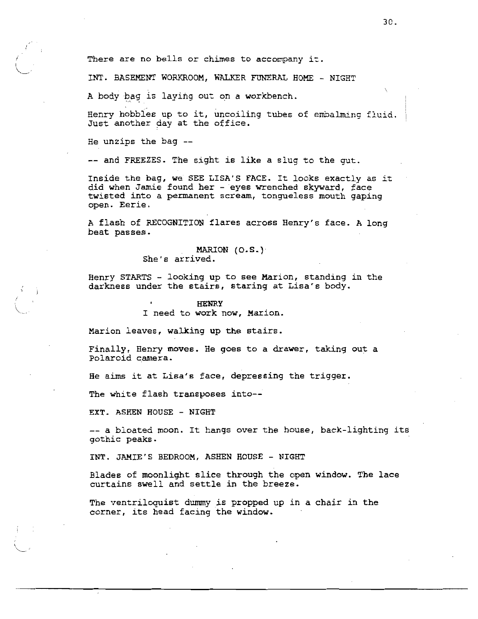There are no bells or chimes to accompany it.

INT. BASEMENT WORKROOM, WALKER FUNERAL HOME - NIGHT

A body bag is laying out on a workbench.

Henry hobbles up to it, uncoiling tubes of embalming fluid. Just another day at the office.

He unzips the bag --

-- and FREEZES. The sight is like a slug to the gut.

Inside the bag, we SEE LISA'S FACE. It looks exactly as it did when Jamie found her - eyes wrenched skyward, face twisted into a permanent scream, tongueless mouth qaping open. Eerie.

A flash of RECOGNITION flares across Henry's face. A long beat passes.

# MARION (O.S.)

She's arrived.

Henry STARTS - looking up to see Marion, standing in the darkness under the stairs, staring at Lisa's body.

# **HENRY** I need to work now, Marion.

Marion leaves, walking up the stairs.

Finally, Henry moves. He goes to a drawer, taking out a Polaroid camera.

He aims it at Lisa's face, depressing the trigger.

The white flash transposes into--

EXT. ASHEN HOUSE - NIGHT

-- a bloated moon. It hangs over the house, back-lighting its gothic peaks.

INT. JAMIE'S BEDROOM, ASHEN HOUSE - NIGHT

Blades of moonlight slice through the open window. The lace curtains swell and settle in the breeze.

The ventriloguist dummy is propped up in a chair in the corner, its head facing the window.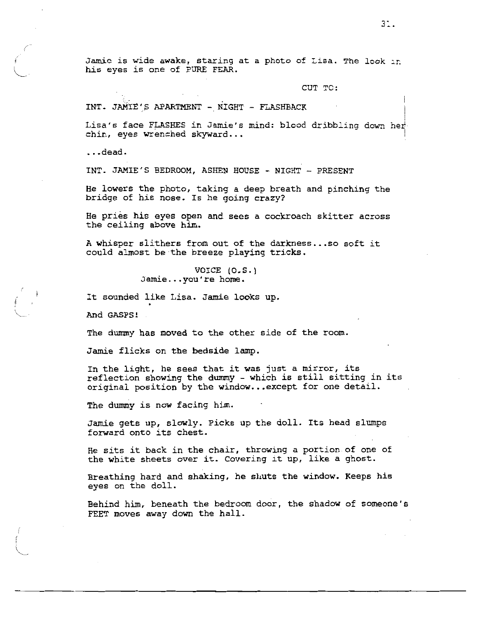Jamie is wide awake, staring at a photo of Lisa. The look in his eyes is one of PURE FEAR.

CUT TC:

INT. JAMIE'S APARTMENT - NIGHT - FLASHBACK

Lisa's face FLASHES in Jamie's mind: blood dribbling down her chin, eyes wrenched skyward...

 $\ldots$ dead.

INT. JAMIE'S BEDROOM, ASHEN HOUSE - NIGHT - PRESENT

He lowers the photo, taking a deep breath and pinching the bridge of his nose. Is he going crazy?

He pries his eyes open and sees a cockroach skitter across the ceiling above him.

A whisper slithers from out of the darkness...so soft it could almost be the breeze playing tricks.

> VOICE (O.S.) Jamie...you're home.

It sounded like Lisa. Jamie looks up.

And GASPS!

The dummy has moved to the other side of the room.

Jamie flicks on the bedside lamp.

In the light, he sees that it was just a mirror, its reflection showing the dummy - which is still sitting in its original position by the window...except for one detail.

The dummy is now facing him.

Jamie gets up, slowly. Picks up the doll. Its head slumps forward onto its chest.

He sits it back in the chair, throwing a portion of one of the white sheets over it. Covering it up, like a ghost.

Breathing hard and shaking, he shuts the window. Keeps his eyes on the doll.

Behind him, beneath the bedroom door, the shadow of someone's FEET moves away down the hall.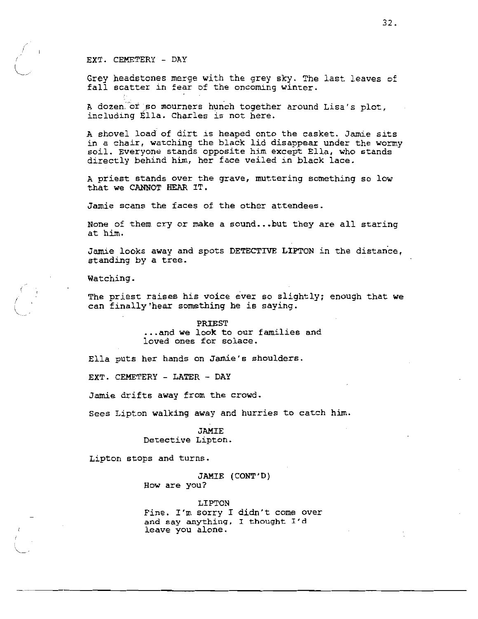### EXT. CEMETERY - DAY

Grev headstones merge with the grey sky. The last leaves of fall scatter in fear of the oncoming winter.

A dozen of so mourners hunch together around Lisa's plot, including Ella. Charles is not here.

A shovel load of dirt is heaped onto the casket. Jamie sits in a chair, watching the black lid disappear under the wormy soil. Everyone stands opposite him except Ella, who stands directly behind him, her face veiled in black lace.

A priest stands over the grave, muttering something so low that we CANNOT HEAR IT.

Jamie scans the faces of the other attendees.

None of them cry or make a sound...but they are all staring at him.

Jamie looks away and spots DETECTIVE LIPTON in the distance, standing by a tree.

Watching.

The priest raises his voice ever so slightly; enough that we can finally hear something he is saying.

# PRIEST ...and we look to our families and

loved ones for solace.

Ella puts her hands on Jamie's shoulders.

EXT. CEMETERY - LATER - DAY

Jamie drifts away from the crowd.

Sees Lipton walking away and hurries to catch him.

**JAMIE** Detective Lipton.

Lipton stops and turns.

# JAMIE (CONT'D) How are you?

LIPTON Fine. I'm sorry I didn't come over and say anything, I thought I'd leave you alone.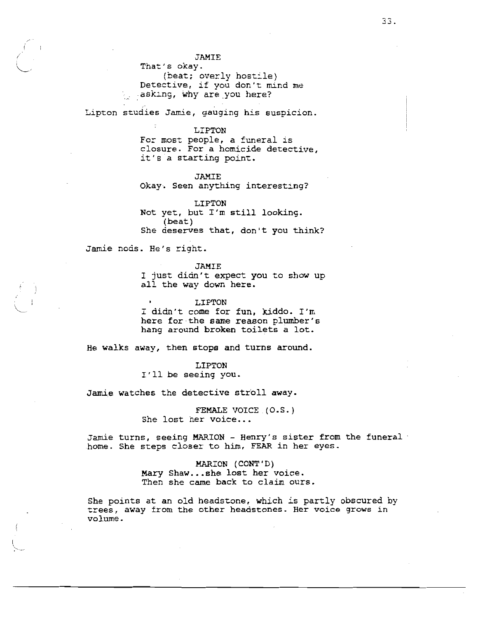That's okay. (beat; overly hostile) Detective, if you don't mind me asking, why are you here?

Lipton studies Jamie, gauging his suspicion.

LIPTON

For most people, a funeral is closure. For a homicide detective, it's a starting point.

**JAMIE** 

Okay. Seen anything interesting?

LIPTON Not yet, but I'm still looking.  $(beat)$ She deserves that, don't you think?

Jamie nods. He's right.

**JAMIE** 

I just didn't expect you to show up all the way down here.

LIPTON I didn't come for fun, kiddo. I'm here for the same reason plumber's hang around broken toilets a lot.

He walks away, then stops and turns around.

LIPTON I'll be seeing you.

Jamie watches the detective stroll away.

FEMALE VOICE (O.S.) She lost her voice...

Jamie turns, seeing MARION - Henry's sister from the funeral home. She steps closer to him, FEAR in her eyes.

> MARION (CONT'D) Mary Shaw...she lost her voice. Then she came back to claim ours.

She points at an old headstone, which is partly obscured by trees, away from the other headstones. Her voice grows in volume.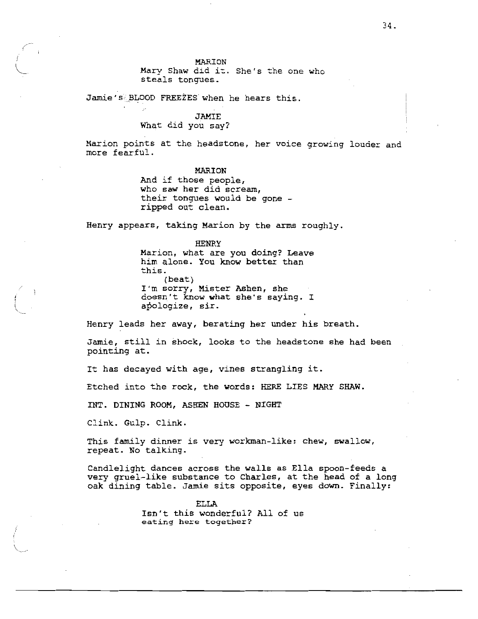### MARION

Mary Shaw did it. She's the one who steals tonques.

Jamie's BLOOD FREEZES when he hears this.

# **JAMIE** What did you say?

Marion points at the headstone, her voice growing louder and more fearful.

### MARION

And if those people, who saw her did scream, their tonques would be gone ripped out clean.

Henry appears, taking Marion by the arms roughly.

**HENRY** 

Marion, what are you doing? Leave him alone. You know better than this.  $(beat)$ I'm sorry, Mister Ashen, she doesn't know what she's saying. I apologize, sir.

Henry leads her away, berating her under his breath.

Jamie, still in shock, looks to the headstone she had been pointing at.

It has decayed with age, vines strangling it.

Etched into the rock, the words: HERE LIES MARY SHAW.

INT. DINING ROOM, ASHEN HOUSE - NIGHT

Clink. Gulp. Clink.

This family dinner is very workman-like: chew, swallow, repeat. No talking.

Candlelight dances across the walls as Ella spoon-feeds a very gruel-like substance to Charles, at the head of a long oak dining table. Jamie sits opposite, eyes down. Finally:

> **ELLA** Isn't this wonderful? All of us eating here together?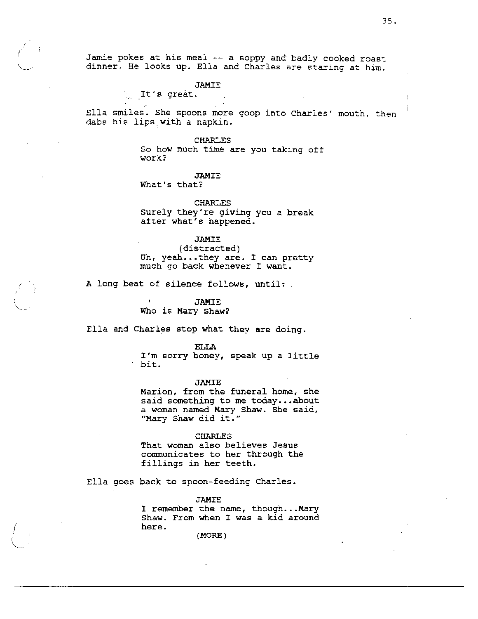Jamie pokes at his meal -- a soppy and badly cooked roast dinner. He looks up. Ella and Charles are staring at him.

### **JAMIE**

 $\lambda$  It's great.

Ella smiles. She spoons more goop into Charles' mouth, then dabs his lips with a napkin.

#### **CHARLES**

So how much time are you taking off work?

# **JAMIE**

What's that?

### **CHARLES**

Surely they're giving you a break after what's happened.

### **JAMIE**

(distracted) Uh, yeah...they are. I can pretty much go back whenever I want.

A long beat of silence follows, until:

**JAMIE** Who is Mary Shaw?

Ella and Charles stop what they are doing.

#### ELLA

I'm sorry honey, speak up a little bit.

### **JAMIE**

Marion, from the funeral home, she said something to me today...about a woman named Mary Shaw. She said, "Mary Shaw did it."

### **CHARLES**

That woman also believes Jesus communicates to her through the fillings in her teeth.

Ella goes back to spoon-feeding Charles.

### **JAMIE**

I remember the name, though... Mary Shaw. From when I was a kid around here.

 $(MORE)$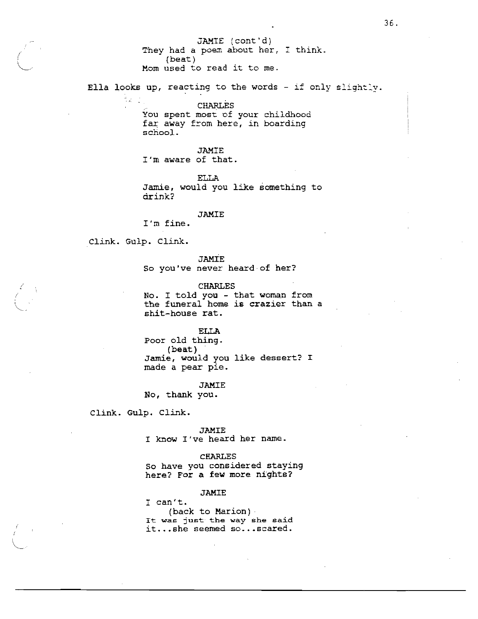JAMIE (cont'd) They had a poem about her, I think.  $(beat)$ Mom used to read it to me.

Ella looks up, reacting to the words - if only slightly.

**CHARLES** You spent most of your childhood

far away from here, in boarding school.

**JAMIE** 

I'm aware of that.

**ELLA** 

Jamie, would you like something to drink?

## JAMIE

I'm fine.

Clink. Gulp. Clink.

tur.

**JAMIE** So you've never heard of her?

**CHARLES** 

No. I told you - that woman from the funeral home is crazier than a shit-house rat.

**ELLA** 

Poor old thing. (beat) Jamie, would you like dessert? I made a pear pie.

**JAMIE** 

No, thank you.

Clink. Gulp. Clink.

**JAMIE** I know I've heard her name.

**CHARLES** So have you considered staying here? For a few more nights?

JAMIE

I can't. (back to Marion) It was just the way she said it...she seemed so...scared.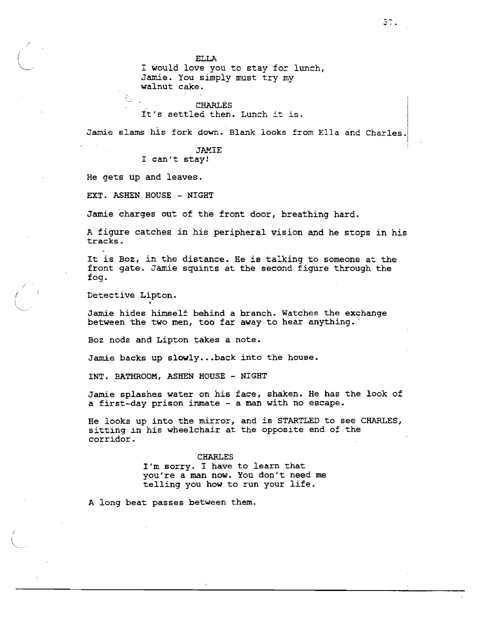**ELLA** 

I would love you to stay for lunch, Jamie. You simply must try my walnut cake.

**CHARLES** 

It's settled then. Lunch it is.

Jamie slams his fork down. Blank looks from Ella and Charles.

**JAMIE** 

I can't stay!

He gets up and leaves.

 $\mathbb{Q}_{\mathbb{Z}}$  .

EXT. ASHEN HOUSE - NIGHT

Jamie charges out of the front door, breathing hard.

A figure catches in his peripheral vision and he stops in his tracks.

It is Boz, in the distance. He is talking to someone at the front gate. Jamie squints at the second figure through the foq.

Detective Lipton.

Jamie hides himself behind a branch. Watches the exchange between the two men, too far away to hear anything.

Boz nods and Lipton takes a note.

Jamie backs up slowly...back into the house.

INT. BATHROOM, ASHEN HOUSE - NIGHT

Jamie splashes water on his face, shaken. He has the look of a first-day prison inmate - a man with no escape.

He looks up into the mirror, and is STARTLED to see CHARLES, sitting in his wheelchair at the opposite end of the corridor.

> **CHARLES** I'm sorry. I have to learn that you're a man now. You don't need me telling you how to run your life.

A long beat passes between them.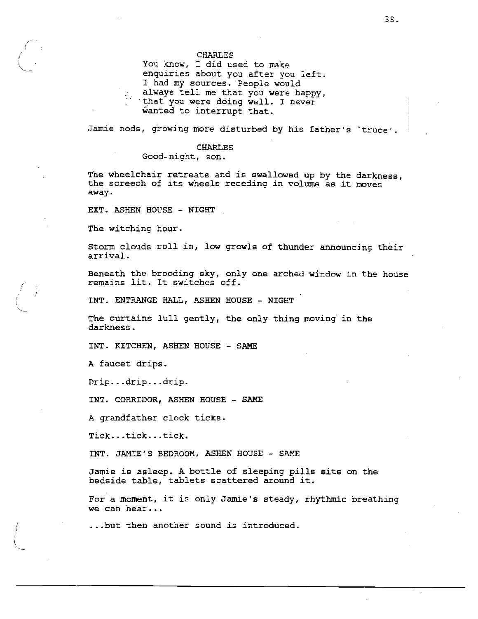You know, I did used to make enquiries about you after you left. I had my sources. People would always tell me that you were happy, that you were doing well. I never wanted to interrupt that.

Jamie nods, growing more disturbed by his father's `truce'.

## **CHARLES**

Good-night, son.

The wheelchair retreats and is swallowed up by the darkness, the screech of its wheels receding in volume as it moves away.

EXT. ASHEN HOUSE - NIGHT

The witching hour.

Storm clouds roll in, low growls of thunder announcing their arrival.

Beneath the brooding sky, only one arched window in the house remains lit. It switches off.

INT. ENTRANGE HALL, ASHEN HOUSE - NIGHT

The curtains lull gently, the only thing moving in the darkness.

INT. KITCHEN, ASHEN HOUSE - SAME

A faucet drips.

Drip...drip...drip.

INT. CORRIDOR, ASHEN HOUSE - SAME

A grandfather clock ticks.

Tick...tick...tick.

INT. JAMIE'S BEDROOM, ASHEN HOUSE - SAME

Jamie is asleep. A bottle of sleeping pills sits on the bedside table, tablets scattered around it.

For a moment, it is only Jamie's steady, rhythmic breathing we can hear...

...but then another sound is introduced.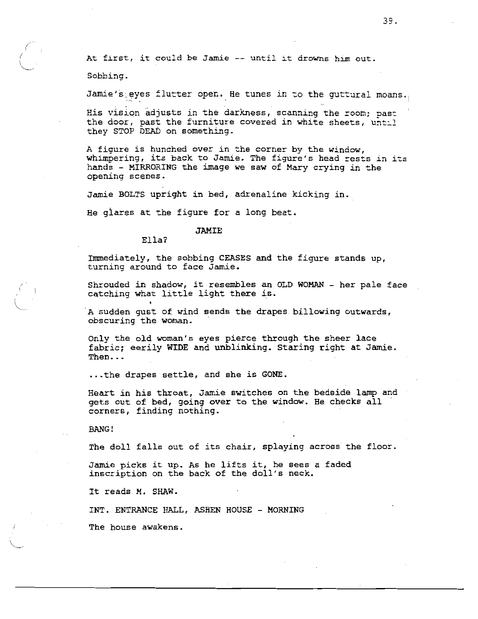At first, it could be Jamie -- until it drowns him out.

Sobbing.

Jamie's eyes flutter open. He tunes in to the quttural moans.

His vision adjusts in the darkness, scanning the room; past the door, past the furniture covered in white sheets, until they STOP DEAD on something.

A figure is hunched over in the corner by the window, whimpering, its back to Jamie. The figure's head rests in its hands - MIRRORING the image we saw of Mary crying in the opening scenes.

Jamie BOLTS upright in bed, adrenaline kicking in.

He glares at the figure for a long beat.

#### JAMIE

#### $E11a?$

Immediately, the sobbing CEASES and the figure stands up, turning around to face Jamie.

Shrouded in shadow, it resembles an OLD WOMAN - her pale face catching what little light there is.

A sudden qust of wind sends the drapes billowing outwards, obscuring the woman.

Only the old woman's eyes pierce through the sheer lace fabric; eerily WIDE and unblinking. Staring right at Jamie. Then...

... the drapes settle, and she is GONE.

Heart in his throat, Jamie switches on the bedside lamp and gets out of bed, going over to the window. He checks all corners, finding nothing.

**BANG!** 

The doll falls out of its chair, splaying across the floor.

Jamie picks it up. As he lifts it, he sees a faded inscription on the back of the doll's neck.

It reads M. SHAW.

INT. ENTRANCE HALL, ASHEN HOUSE - MORNING

The house awakens.

39.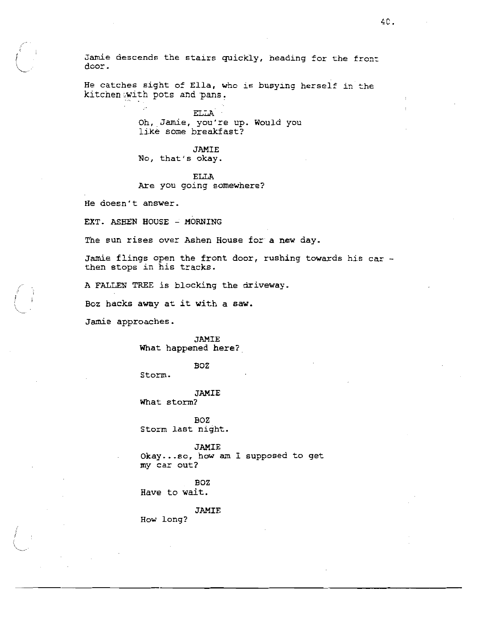Jamie descends the stairs quickly, heading for the front door.

He catches sight of Ella, who is busying herself in the kitchen with pots and pans.

> ELLA Oh, Jamie, you're up. Would you like some breakfast?

### **JAMIE**

No, that's okay.

**ELLA** 

Are you going somewhere?

He doesn't answer.

EXT. ASHEN HOUSE - MORNING

The sun rises over Ashen House for a new day.

Jamie flings open the front door, rushing towards his car then stops in his tracks.

A FALLEN TREE is blocking the driveway.

Boz hacks away at it with a saw.

Jamie approaches.

**JAMIE** What happened here?

**BOZ** 

Storm.

**JAMIE** What storm?

BOZ Storm last night.

**JAMIE** 

Okay...so, how am I supposed to get my car out?

**BOZ** Have to wait.

**JAMIE** 

How long?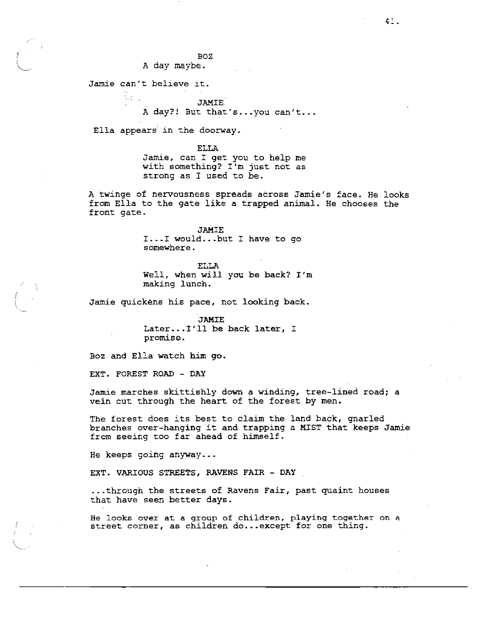BOZ.

A day maybe.

Jamie can't believe it.

**JAMIE** A day?! But that's...you can't...

Ella appears in the doorway.

**ELLA** Jamie, can I get you to help me with something? I'm just not as strong as I used to be.

A twinge of nervousness spreads across Jamie's face. He looks from Ella to the gate like a trapped animal. He chooses the front gate.

> **JAMIE** I...I would...but I have to go somewhere.

**ELLA** Well, when will you be back? I'm making lunch.

Jamie guickens his pace, not looking back.

**JAMIE** Later... I'll be back later, I promise.

Boz and Ella watch him go.

EXT. FOREST ROAD - DAY

Jamie marches skittishly down a winding, tree-lined road; a vein cut through the heart of the forest by men.

The forest does its best to claim the land back, gnarled branches over-hanging it and trapping a MIST that keeps Jamie from seeing too far ahead of himself.

He keeps going anyway...

EXT. VARIOUS STREETS, RAVENS FAIR - DAY

...through the streets of Ravens Fair, past quaint houses that have seen better days.

He looks over at a group of children, playing together on a street corner, as children do...except for one thing.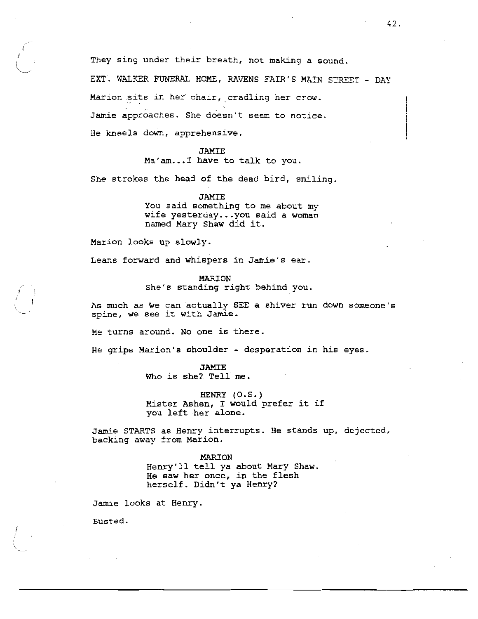They sing under their breath, not making a sound.

EXT. WALKER FUNERAL HOME, RAVENS FAIR'S MAIN STREET - DAY Marion sits in her chair, cradling her crow. Jamie approaches. She doesn't seem to notice. He kneels down, apprehensive.

**JAMIE** 

Ma'am... I have to talk to you.

She strokes the head of the dead bird, smiling.

**JAMTE** You said something to me about my wife yesterday...you said a woman named Mary Shaw did it.

Marion looks up slowly.

Leans forward and whispers in Jamie's ear.

**MARION** She's standing right behind you.

As much as we can actually SEE a shiver run down someone's spine, we see it with Jamie.

He turns around. No one is there.

He grips Marion's shoulder - desperation in his eyes.

**JAMIE** 

Who is she? Tell me.

HENRY (O.S.) Mister Ashen, I would prefer it if you left her alone.

Jamie STARTS as Henry interrupts. He stands up, dejected, backing away from Marion.

> MARION Henry'll tell ya about Mary Shaw. He saw her once, in the flesh herself. Didn't ya Henry?

Jamie looks at Henry.

Busted.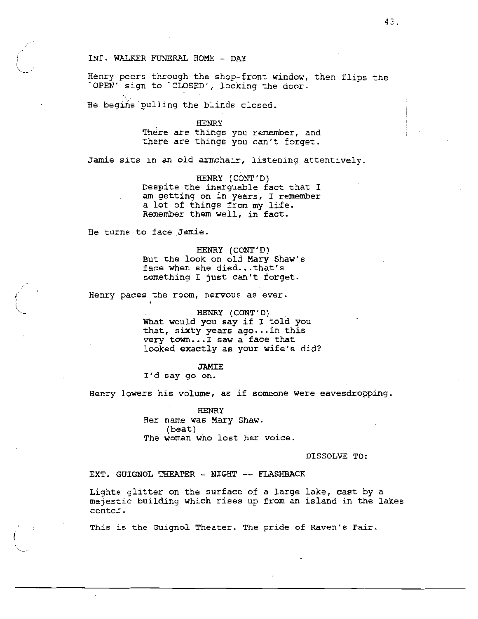## INT. WALKER FUNERAL HOME - DAY

Henry peers through the shop-front window, then flips the "OPEN' sign to "CLOSED', locking the door.

He begins pulling the blinds closed.

#### **HENRY**

There are things you remember, and there are things you can't forget.

Jamie sits in an old armchair, listening attentively.

HENRY (CONT'D) Despite the inarquable fact that I am getting on in years. I remember a lot of things from my life. Remember them well, in fact.

He turns to face Jamie.

HENRY (CONT'D) But the look on old Mary Shaw's face when she died...that's something I just can't forget.

Henry paces the room, nervous as ever.

HENRY (CONT'D) What would you say if I told you that, sixty years ago...in this very town...I saw a face that looked exactly as your wife's did?

### **JAMIE**

I'd say go on.

Henry lowers his volume, as if someone were eavesdropping.

**HENRY** Her name was Mary Shaw. (beat) The woman who lost her voice.

DISSOLVE TO:

## EXT. GUIGNOL THEATER - NIGHT -- FLASHBACK

Lights glitter on the surface of a large lake, cast by a majestic building which rises up from an island in the lakes center.

This is the Guignol Theater. The pride of Raven's Fair.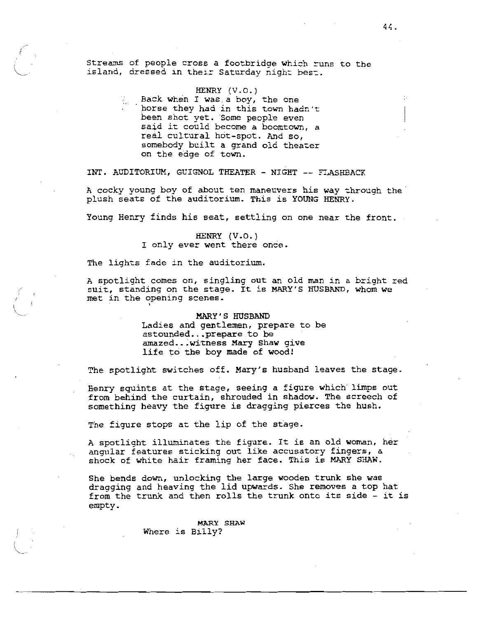Streams of people cross a footbridge which runs to the island, dressed in their Saturday night best.

## HENRY (V.O.)

Back when I was a boy, the one horse they had in this town hadn't been shot yet. Some people even said it could become a boomtown, a real cultural hot-spot. And so, somebody built a grand old theater on the edge of town.

INT. AUDITORIUM, GUIGNOL THEATER - NIGHT -- FLASHBACK

A cocky young boy of about ten maneuvers his way through the plush seats of the auditorium. This is YOUNG HENRY.

Young Henry finds his seat, settling on one near the front.

HENRY (V.O.) I only ever went there once.

The lights fade in the auditorium.

A spotlight comes on, singling out an old man in a bright red suit, standing on the stage. It is MARY'S HUSBAND, whom we met in the opening scenes.

> MARY'S HUSBAND Ladies and gentlemen, prepare to be astounded...prepare to be amazed...witness Mary Shaw give life to the boy made of wood!

The spotlight switches off. Mary's husband leaves the stage.

Henry squints at the stage, seeing a figure which limps out from behind the curtain, shrouded in shadow. The screech of something heavy the figure is dragging pierces the hush.

The figure stops at the lip of the stage.

A spotlight illuminates the figure. It is an old woman, her angular features sticking out like accusatory fingers, a shock of white hair framing her face. This is MARY SHAW.

She bends down, unlocking the large wooden trunk she was dragging and heaving the lid upwards. She removes a top hat from the trunk and then rolls the trunk onto its side - it is empty.

> MARY SHAW Where is Billy?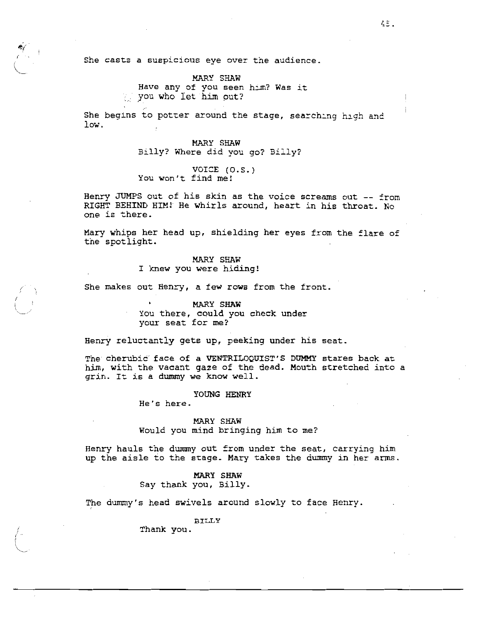She casts a suspicious eye over the audience.

MARY SHAW Have any of you seen him? Was it you who let him out?

She begins to potter around the stage, searching high and low.

> MARY SHAW Billy? Where did you go? Billy?

VOICE (O.S.) You won't find me!

Henry JUMPS out of his skin as the voice screams out -- from RIGHT BEHIND HIM! He whirls around, heart in his throat. No one is there.

Mary whips her head up, shielding her eyes from the flare of the spotlight.

> MARY SHAW I knew you were hiding!

She makes out Henry, a few rows from the front.

MARY SHAW You there, could you check under your seat for me?

Henry reluctantly gets up, peeking under his seat.

The cherubic face of a VENTRILOQUIST'S DUMMY stares back at him, with the vacant gaze of the dead. Mouth stretched into a grin. It is a dummy we know well.

YOUNG HENRY

He's here.

MARY SHAW Would you mind bringing him to me?

Henry hauls the dummy out from under the seat, carrying him up the aisle to the stage. Mary takes the dummy in her arms.

> MARY SHAW Say thank you, Billy.

The dummy's head swivels around slowly to face Henry.

**BILLY** 

Thank you.

4Ξ.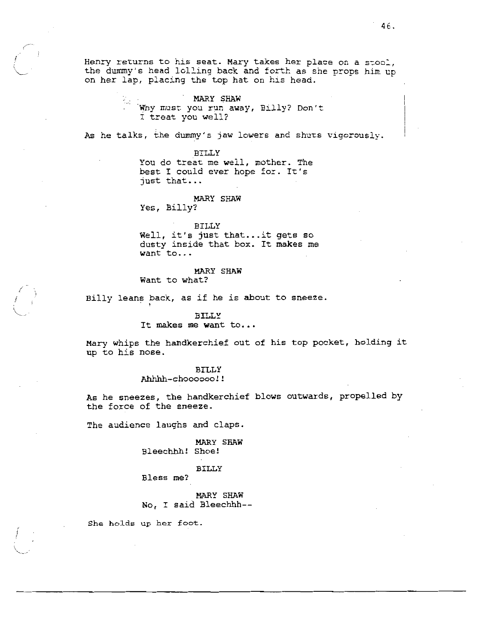Henry returns to his seat. Mary takes her place on a stool, the dummy's head lolling back and forth as she props him up on her lap, placing the top hat on his head.

> MARY SHAW Why must you run away, Billy? Don't I treat you well?

As he talks, the dummy's jaw lowers and shuts vigorously.

**BILLY** You do treat me well, mother. The best I could ever hope for. It's just that...

MARY SHAW Yes, Billy?

**BILLY** Well, it's just that...it gets so dusty inside that box. It makes me want to...

# MARY SHAW

Want to what?

Billy leans back, as if he is about to sneeze.

#### **BILLY**

## It makes me want to...

Mary whips the handkerchief out of his top pocket, holding it up to his nose.

## **BILLY**

Ahhhh-choooooo!!

As he sneezes, the handkerchief blows outwards, propelled by the force of the sneeze.

The audience laughs and claps.

MARY SHAW Bleechhh! Shoe!

# **BILLY**

Bless me?

MARY SHAW No, I said Bleechhh--

She holds up her foot.

46.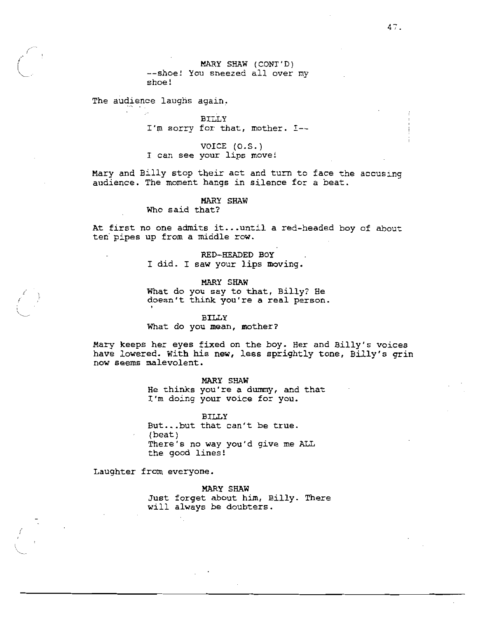MARY SHAW (CONT'D) --shoe! You sneezed all over my shoe!

The audience laughs again.

BILLY I'm sorry for that, mother. I--

VOICE (0.S.) I can see your lips move!

Mary and Billy stop their act and turn to face the accusing audience. The moment hangs in silence for a beat.

**MARY SHAW** 

Who said that?

At first no one admits it...until a red-headed boy of about ten pipes up from a middle row.

> RED-HEADED BOY I did. I saw your lips moving.

> > MARY SHAW

What do you say to that, Billy? He doesn't think you're a real person.

#### **BILLY**

What do you mean, mother?

Mary keeps her eyes fixed on the boy. Her and Billy's voices have lowered. With his new, less sprightly tone, Billy's grin now seems malevolent.

> MARY SHAW He thinks you're a dummy, and that I'm doing your voice for you.

**BILLY** But...but that can't be true.  $(beat)$ There's no way you'd give me ALL the good lines!

Laughter from everyone.

MARY SHAW

Just forget about him, Billy. There will always be doubters.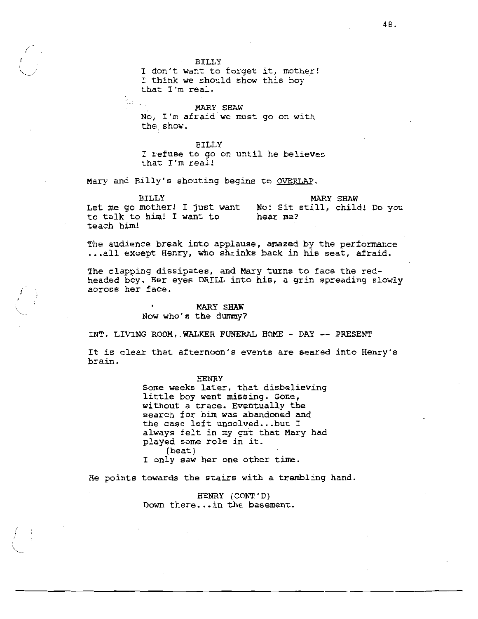**BILLY** 

I don't want to forget it, mother! I think we should show this boy that I'm real.

 $\mathbb{Z}_2$  . MARY SHAW No, I'm afraid we must go on with the show.

**BILLY** I refuse to go on until he believes that I'm real!

Mary and Billy's shouting begins to OVERLAP.

**BILLY MARY SHAW** Let me go mother! I just want No! Sit still, child! Do you to talk to him! I want to hear me? teach him!

The audience break into applause, amazed by the performance ...all except Henry, who shrinks back in his seat, afraid.

The clapping dissipates, and Mary turns to face the redheaded boy. Her eyes DRILL into his, a grin spreading slowly across her face.

## MARY SHAW Now who's the dummy?

INT. LIVING ROOM, WALKER FUNERAL HOME - DAY -- PRESENT

It is clear that afternoon's events are seared into Henry's brain.

> **HENRY** Some weeks later, that disbelieving little boy went missing. Gone, without a trace. Eventually the search for him was abandoned and the case left unsolved...but I always felt in my gut that Mary had played some role in it. (beat) I only saw her one other time.

He points towards the stairs with a trembling hand.

HENRY (CONT'D) Down there... in the basement.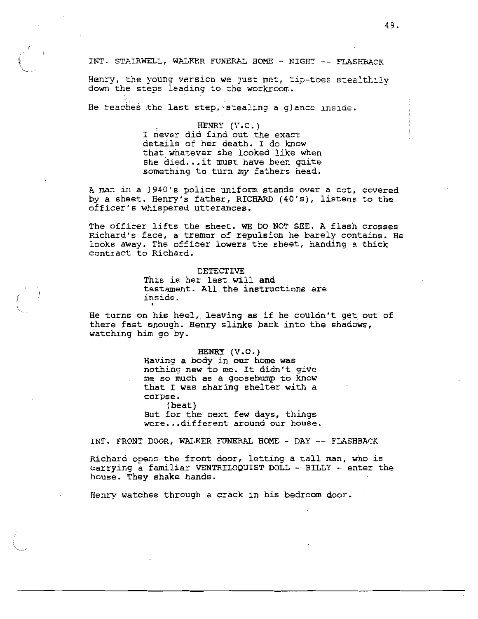INT. STAIRWELL, WALKER FUNERAL HOME - NIGHT -- FLASHBACK

Henry, the young version we just met, tip-toes stealthily down the steps leading to the workroom.

He reaches the last step, stealing a glance inside.

HENRY  $(V.0.)$ I never did find out the exact details of her death. I do know that whatever she looked like when she died...it must have been quite something to turn my fathers head.

A man in a 1940's police uniform stands over a cot, covered by a sheet. Henry's father, RICHARD (40's), listens to the officer's whispered utterances.

The officer lifts the sheet. WE DO NOT SEE. A flash crosses Richard's face, a tremor of repulsion he barely contains. He looks away. The officer lowers the sheet, handing a thick contract to Richard.

# DETECTIVE

This is her last will and testament. All the instructions are inside.

He turns on his heel, leaving as if he couldn't get out of there fast enough. Henry slinks back into the shadows, watching him go by.

# HENRY (V.O.)

Having a body in our home was nothing new to me. It didn't give me so much as a goosebump to know that I was sharing shelter with a corpse. (beat)

But for the next few days, things were...different around our house.

INT. FRONT DOOR, WALKER FUNERAL HOME - DAY -- FLASHBACK

Richard opens the front door, letting a tall man, who is carrying a familiar VENTRILOQUIST DOLL - BILLY - enter the house. They shake hands.

Henry watches through a crack in his bedroom door.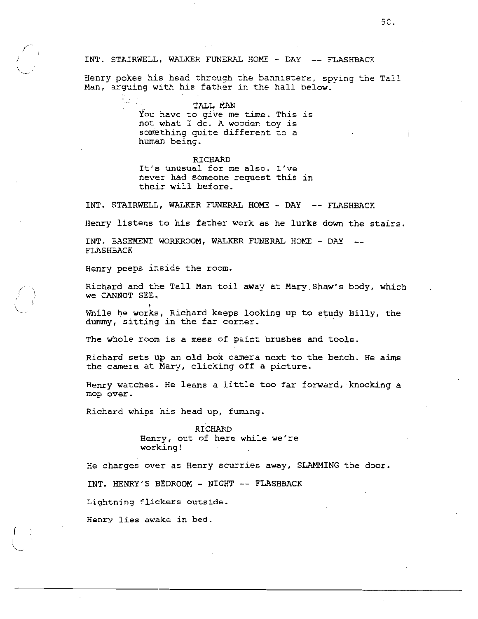## INT. STAIRWELL, WALKER FUNERAL HOME - DAY -- FLASHBACK

Henry pokes his head through the bannisters, spying the Tall Man, arguing with his father in the hall below.

> TALL MAN You have to give me time. This is not what I do. A wooden toy is something quite different to a human being.

### RICHARD

It's unusual for me also. I've never had someone request this in their will before.

INT. STAIRWELL, WALKER FUNERAL HOME - DAY -- FLASHBACK

Henry listens to his father work as he lurks down the stairs.

INT. BASEMENT WORKROOM, WALKER FUNERAL HOME - DAY --**FLASHBACK** 

Henry peeps inside the room.

 $\sim$  1

Richard and the Tall Man toil away at Mary Shaw's body, which We CANNOT SEE.

While he works, Richard keeps looking up to study Billy, the dummy, sitting in the far corner.

The whole room is a mess of paint brushes and tools.

Richard sets up an old box camera next to the bench. He aims the camera at Mary, clicking off a picture.

Henry watches. He leans a little too far forward, knocking a mop over.

Richard whips his head up, fuming.

RICHARD Henry, out of here while we're working!

He charges over as Henry scurries away, SLAMMING the door.

INT. HENRY'S BEDROOM - NIGHT -- FLASHBACK

Lightning flickers outside.

Henry lies awake in bed.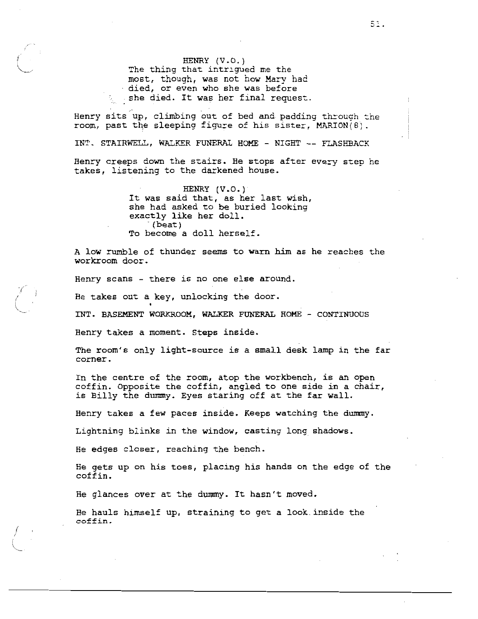HENRY (V.O.) The thing that intrigued me the most, though, was not how Mary had died, or even who she was before by she died. It was her final request.

Henry sits up, climbing out of bed and padding through the room, past the sleeping figure of his sister, MARION(8).

INT. STAIRWELL, WALKER FUNERAL HOME - NIGHT -- FLASHBACK

Henry creeps down the stairs. He stops after every step he takes, listening to the darkened house.

> HENRY  $(V.0.)$ It was said that, as her last wish, she had asked to be buried looking exactly like her doll.  $(beat)$ To become a doll herself.

A low rumble of thunder seems to warn him as he reaches the workroom door.

Henry scans - there is no one else around.

He takes out a key, unlocking the door.

INT. BASEMENT WORKROOM, WALKER FUNERAL HOME - CONTINUOUS

Henry takes a moment. Steps inside.

The room's only light-source is a small desk lamp in the far corner.

In the centre of the room, atop the workbench, is an open coffin. Opposite the coffin, angled to one side in a chair, is Billy the dummy. Eyes staring off at the far wall.

Henry takes a few paces inside. Keeps watching the dummy.

Lightning blinks in the window, casting long shadows.

He edges closer, reaching the bench.

He gets up on his toes, placing his hands on the edge of the coffin.

He glances over at the dummy. It hasn't moved.

He hauls himself up, straining to get a look inside the coffin.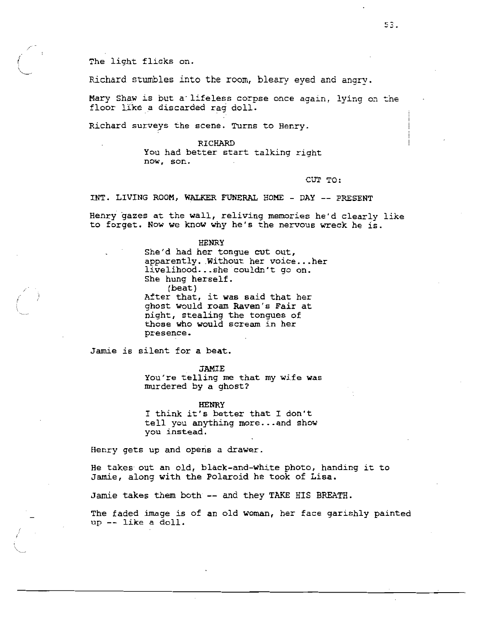The light flicks on.

Richard stumbles into the room, bleary eyed and angry.

Mary Shaw is but a lifeless corpse once again, lying on the floor like a discarded rag doll.

Richard surveys the scene. Turns to Henry.

RICHARD You had better start talking right now. son.

CUT TO:

INT. LIVING ROOM, WALKER FUNERAL HOME - DAY -- PRESENT

Henry gazes at the wall, reliving memories he'd clearly like to forget. Now we know why he's the nervous wreck he is.

#### HENRY

She'd had her tongue cut out, apparently. Without her voice...her livelihood...she couldn't go on. She hung herself. (beat) After that, it was said that her ghost would roam Raven's Fair at night, stealing the tongues of

those who would scream in her presence.

Jamie is silent for a beat.

JAMIE

You're telling me that my wife was murdered by a ghost?

**HENRY** 

I think it's better that I don't tell you anything more...and show you instead.

Henry gets up and opens a drawer.

He takes out an old, black-and-white photo, handing it to Jamie, along with the Polaroid he took of Lisa.

Jamie takes them both -- and they TAKE HIS BREATH.

The faded image is of an old woman, her face garishly painted up -- like a doll.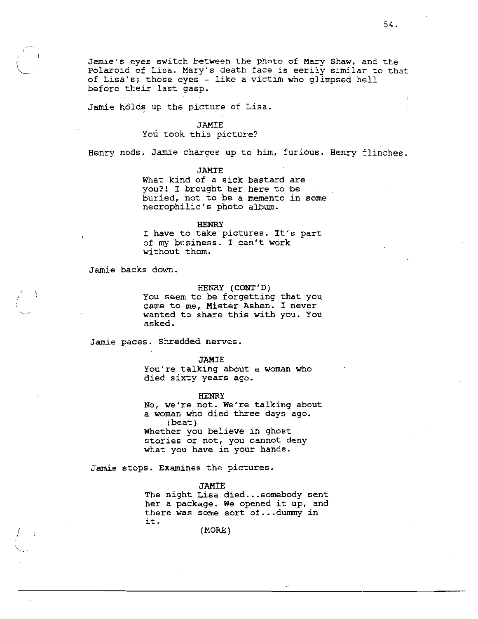Jamie's eyes switch between the photo of Mary Shaw, and the Polaroid of Lisa. Mary's death face is eerily similar to that of Lisa's; those eyes - like a victim who glimpsed hell before their last gasp.

Jamie hölds up the picture of Lisa.

### **JAMIE**

# You took this picture?

Henry nods. Jamie charges up to him, furious. Henry flinches.

**JAMIE** 

What kind of a sick bastard are you?! I brought her here to be buried, not to be a memento in some necrophilic's photo album.

#### **HENRY**

I have to take pictures. It's part of my business. I can't work without them.

Jamie backs down.

# HENRY (CONT'D)

You seem to be forgetting that you came to me, Mister Ashen. I never wanted to share this with you. You asked.

Jamie paces. Shredded nerves.

#### **JAMIE**

You're talking about a woman who died sixty years ago.

**HENRY** 

No, we're not. We're talking about a woman who died three days ago.  $(beat)$ Whether you believe in ghost stories or not, you cannot deny what you have in your hands.

Jamie stops. Examines the pictures.

## **JAMIE**

The night Lisa died...somebody sent her a package. We opened it up, and there was some sort of...dummy in it.

(MORE)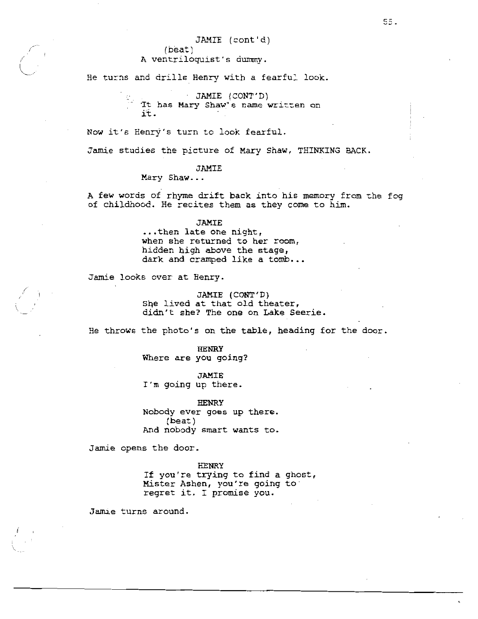JAMIE (cont'd)

(beat) A ventriloquist's dummy.

He turns and drills Henry with a fearful look.

JAMIE (CONT'D) It has Mary Shaw's name written on it.

Now it's Henry's turn to look fearful.

Jamie studies the picture of Mary Shaw, THINKING BACK.

# **JAMIE**

Mary Shaw...

A few words of rhyme drift back into his memory from the fog of childhood. He recites them as they come to him.

#### JAMIE

... then late one night, when she returned to her room, hidden high above the stage, dark and cramped like a tomb...

Jamie looks over at Henry.

JAMIE (CONT'D) She lived at that old theater, didn't she? The one on Lake Seerie.

He throws the photo's on the table, heading for the door.

**HENRY** Where are you going?

**JAMIE** I'm going up there.

**HENRY** Nobody ever goes up there.  $(beat)$ And nobody smart wants to.

Jamie opens the door.

**HENRY** 

If you're trying to find a ghost, Mister Ashen, you're going to regret it. I promise you.

Jamie turns around.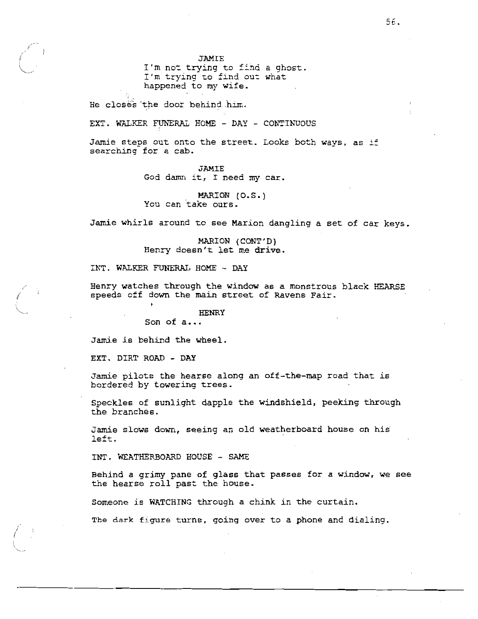JAMIE I'm not trying to find a ghost. I'm trying to find out what happened to my wife.

He closes the door behind him.

EXT. WALKER FUNERAL HOME - DAY - CONTINUOUS

Jamie steps out onto the street. Looks both ways, as if searching for a cab.

> **JAMIE** God damn it, I need my car.

MARION (O.S.) You can take ours.

Jamie whirls around to see Marion dangling a set of car keys.

MARION (CONT'D) Henry doesn't let me drive.

INT. WALKER FUNERAL HOME - DAY

Henry watches through the window as a monstrous black HEARSE speeds off down the main street of Ravens Fair.

**HENRY** 

Son of a...

Jamie is behind the wheel.

EXT. DIRT ROAD - DAY

Jamie pilots the hearse along an off-the-map road that is bordered by towering trees.

Speckles of sunlight dapple the windshield, peeking through the branches.

Jamie slows down, seeing an old weatherboard house on his left.

INT. WEATHERBOARD HOUSE - SAME

Behind a grimy pane of glass that passes for a window, we see the hearse roll past the house.

Someone is WATCHING through a chink in the curtain.

The dark figure turns, going over to a phone and dialing.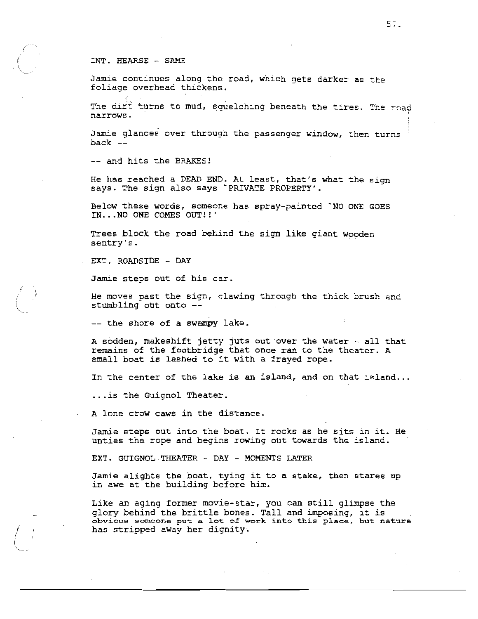## INT. HEARSE - SAME

Jamie continues along the road, which gets darker as the foliage overhead thickens.

The dirt turns to mud, squelching beneath the tires. The road narrows.

Jamie glances over through the passenger window, then turns  $back$  --

-- and hits the BRAKES!

He has reached a DEAD END. At least, that's what the sign says. The sign also says `PRIVATE PROPERTY'.

Below these words, someone has spray-painted 'NO ONE GOES IN...NO ONE COMES OUT!!'

Trees block the road behind the sign like giant wooden sentry's.

EXT. ROADSIDE - DAY

Jamie steps out of his car.

He moves past the sign, clawing through the thick brush and stumbling out onto --

-- the shore of a swampy lake.

A sodden, makeshift jetty juts out over the water - all that remains of the footbridge that once ran to the theater. A small boat is lashed to it with a frayed rope.

In the center of the lake is an island, and on that island...

... is the Guignol Theater.

A lone crow caws in the distance.

Jamie steps out into the boat. It rocks as he sits in it. He unties the rope and begins rowing out towards the island.

EXT. GUIGNOL THEATER - DAY - MOMENTS LATER

Jamie alights the boat, tying it to a stake, then stares up in awe at the building before him.

Like an aging former movie-star, you can still glimpse the glory behind the brittle bones. Tall and imposing, it is obvious someone put a lot of work into this place, but nature has stripped away her dignity.

 $57.$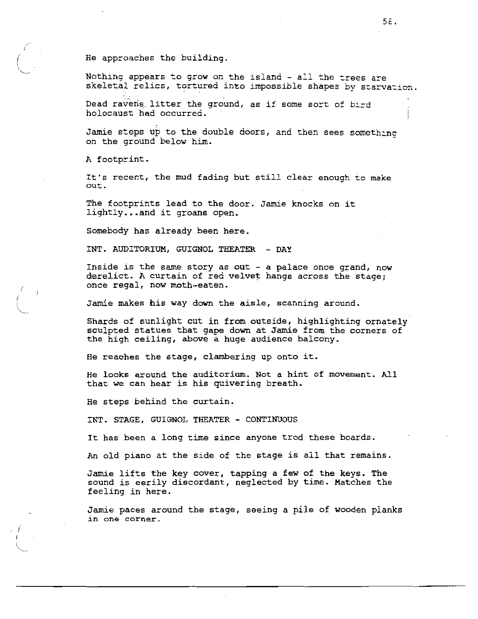He approaches the building.

Nothing appears to grow on the island - all the trees are skeletal relics, tortured into impossible shapes by starvation.

Dead ravens litter the ground, as if some sort of bird holocaust had occurred.

Jamie steps up to the double doors, and then sees something on the ground below him.

A footprint.

It's recent, the mud fading but still clear enough to make out.

The footprints lead to the door. Jamie knocks on it. lightly...and it groans open.

Somebody has already been here.

INT. AUDITORIUM, GUIGNOL THEATER - DAY

Inside is the same story as out - a palace once grand, now derelict. A curtain of red velvet hangs across the stage: once regal, now moth-eaten.

Jamie makes his way down the aisle, scanning around.

Shards of sunlight cut in from outside, highlighting ornately sculpted statues that gape down at Jamie from the corners of the high ceiling, above a huge audience balcony.

He reaches the stage, clambering up onto it.

He looks around the auditorium. Not a hint of movement. All that we can hear is his quivering breath.

He steps behind the curtain.

INT. STAGE, GUIGNOL THEATER - CONTINUOUS

It has been a long time since anyone trod these boards.

An old piano at the side of the stage is all that remains.

Jamie lifts the key cover, tapping a few of the keys. The sound is eerily discordant, neglected by time. Matches the feeling in here.

Jamie paces around the stage, seeing a pile of wooden planks in one corner.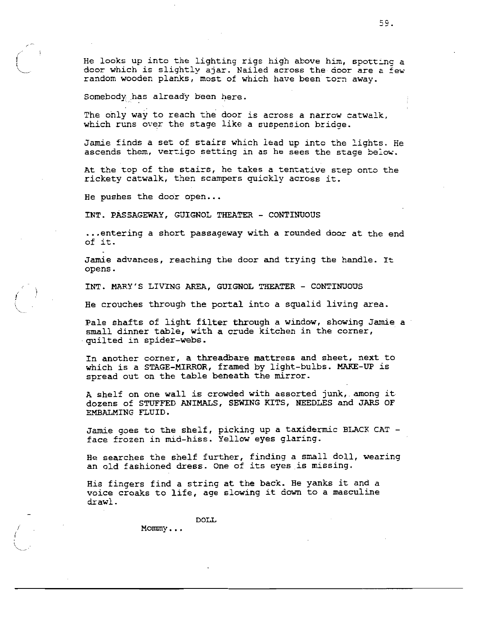He looks up into the lighting rigs high above him, spotting a door which is slightly ajar. Nailed across the door are a few random wooden planks, most of which have been torn away.

Somebody has already been here.

The only way to reach the door is across a narrow catwalk, which runs over the stage like a suspension bridge.

Jamie finds a set of stairs which lead up into the lights. He ascends them, vertigo setting in as he sees the stage below.

At the top of the stairs, he takes a tentative step onto the rickety catwalk, then scampers quickly across it.

He pushes the door open...

INT. PASSAGEWAY, GUIGNOL THEATER - CONTINUOUS

... entering a short passageway with a rounded door at the end of it.

Jamie advances, reaching the door and trying the handle. It opens.

INT. MARY'S LIVING AREA, GUIGNOL THEATER - CONTINUOUS

He crouches through the portal into a squalid living area.

Pale shafts of light filter through a window, showing Jamie a small dinner table, with a crude kitchen in the corner, quilted in spider-webs.

In another corner, a threadbare mattress and sheet, next to which is a STAGE-MIRROR, framed by light-bulbs. MAKE-UP is spread out on the table beneath the mirror.

A shelf on one wall is crowded with assorted junk, among it dozens of STUFFED ANIMALS, SEWING KITS, NEEDLES and JARS OF EMBALMING FLUID.

Jamie goes to the shelf, picking up a taxidermic BLACK CAT face frozen in mid-hiss. Yellow eyes glaring.

He searches the shelf further, finding a small doll, wearing an old fashioned dress. One of its eyes is missing.

His fingers find a string at the back. He yanks it and a voice croaks to life, age slowing it down to a masculine drawl.

DOLL.

 $M$ Ommy...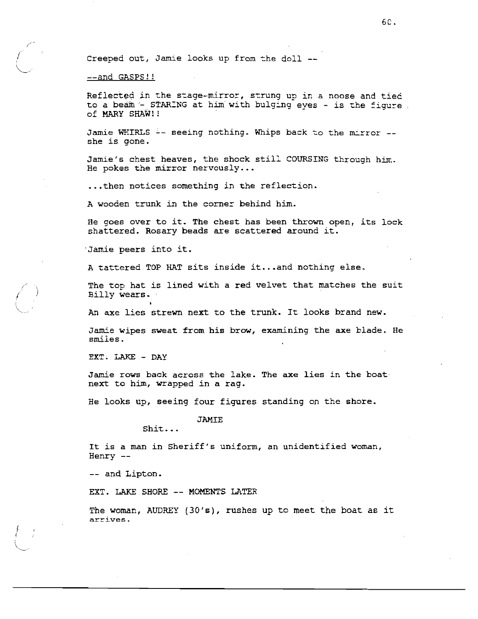Creeped out, Jamie looks up from the doll --

## --and GASPS!!

Reflected in the stage-mirror, strung up in a noose and tied to a beam - STARING at him with bulging eves - is the figure. of MARY SHAW!!

Jamie WHIRLS -- seeing nothing. Whips back to the mirror -she is gone.

Jamie's chest heaves, the shock still COURSING through him. He pokes the mirror nervously...

... then notices something in the reflection.

A wooden trunk in the corner behind him.

He goes over to it. The chest has been thrown open, its lock shattered. Rosary beads are scattered around it.

Jamie peers into it.

A tattered TOP HAT sits inside it...and nothing else.

The top hat is lined with a red velvet that matches the suit Billy wears.

An axe lies strewn next to the trunk. It looks brand new.

Jamie wipes sweat from his brow, examining the axe blade. He smiles.

EXT. LAKE - DAY

Jamie rows back across the lake. The axe lies in the boat next to him, wrapped in a rag.

He looks up, seeing four figures standing on the shore.

## **JAMIE**

 $Shift...$ 

It is a man in Sheriff's uniform, an unidentified woman, Henry  $--$ 

-- and Lipton.

EXT. LAKE SHORE -- MOMENTS LATER

The woman, AUDREY  $(30 \text{′s})$ , rushes up to meet the boat as it arrives.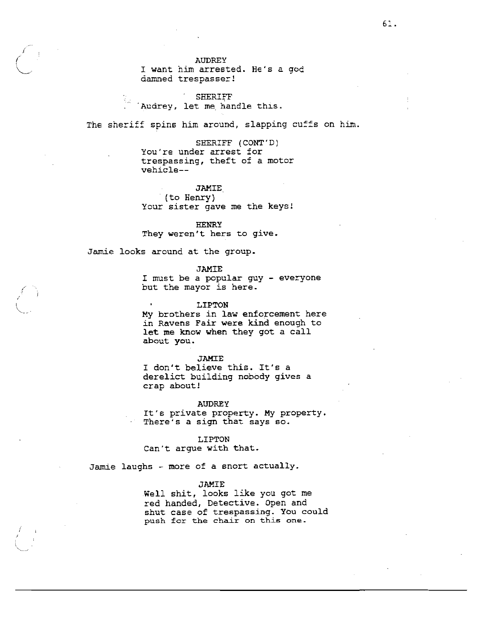## **AUDREY**

I want him arrested. He's a god damned trespasser!

SHERIFF Audrey, let me handle this.

The sheriff spins him around, slapping cuffs on him.

SHERIFF (CONT'D) You're under arrest for trespassing, theft of a motor vehicle--

# **JAMIE**

(to Henry) Your sister gave me the keys!

**HENRY** They weren't hers to give.

Jamie looks around at the group.

**JAMIE** 

I must be a popular guy - everyone but the mayor is here.

LIPTON

My brothers in law enforcement here in Ravens Fair were kind enough to let me know when they got a call about you.

### **JAMIE**

I don't believe this. It's a derelict building nobody gives a crap about!

#### **AUDREY**

It's private property. My property. There's a sign that says so.

# LIPTON

Can't argue with that.

Jamie laughs - more of a snort actually.

# **JAMIE**

Well shit, looks like you got me red handed, Detective. Open and shut case of trespassing. You could push for the chair on this one.

61.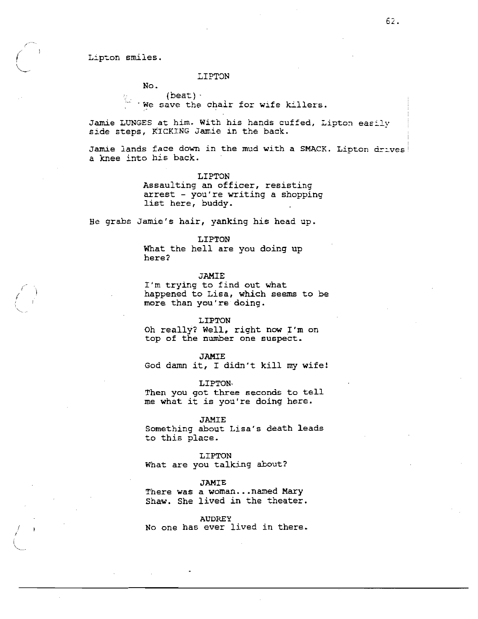## Lipton smiles.

## LIPTON

No.

 $(heat)$ . We save the chair for wife killers.

Jamie LUNGES at him. With his hands cuffed, Lipton easily side steps, KICKING Jamie in the back.

Jamie lands face down in the mud with a SMACK. Lipton drives a knee into his back.

#### LIPTON

Assaulting an officer, resisting arrest - you're writing a shopping list here, buddy.

He grabs Jamie's hair, yanking his head up.

### LIPTON

What the hell are you doing up here?

## **JAMIE**

I'm trying to find out what happened to Lisa, which seems to be more than you're doing.

### LIPTON

Oh really? Well, right now I'm on top of the number one suspect.

## **JAMIE**

God damn it, I didn't kill my wife!

#### LIPTON.

Then you got three seconds to tell me what it is you're doing here.

#### **JAMIE**

Something about Lisa's death leads to this place.

## LIPTON

What are you talking about?

### **JAMIE**

There was a woman... named Mary Shaw. She lived in the theater.

#### **AUDREY**

No one has ever lived in there.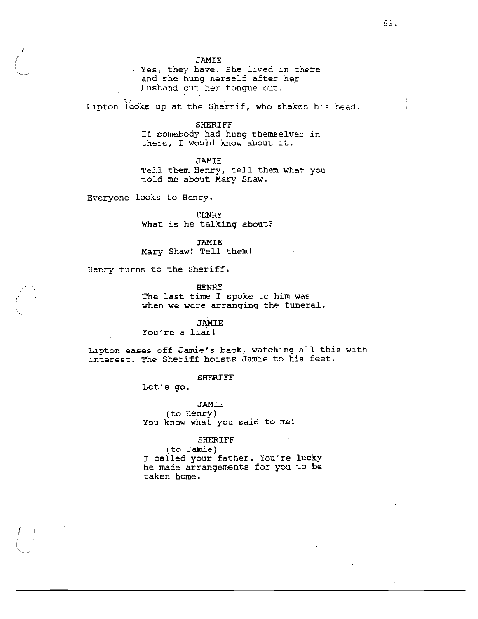Yes, they have. She lived in there and she hung herself after her husband cut her tonque out.

Lipton looks up at the Sherrif, who shakes his head.

**SHERIFF** 

If somebody had hung themselves in there, I would know about it.

**JAMIE** 

Tell them Henry, tell them what you told me about Mary Shaw.

Everyone looks to Henry.

**HENRY** What is he talking about?

**JAMIE** Mary Shaw! Tell them!

Henry turns to the Sheriff.

**HENRY** 

The last time I spoke to him was when we were arranging the funeral.

**JAMIE** 

You're a liar!

Lipton eases off Jamie's back, watching all this with interest. The Sheriff hoists Jamie to his feet.

#### **SHERIFF**

Let's go.

**JAMIE** (to Henry) You know what you said to me!

## **SHERIFF**

(to Jamie) I called your father. You're lucky he made arrangements for you to be taken home.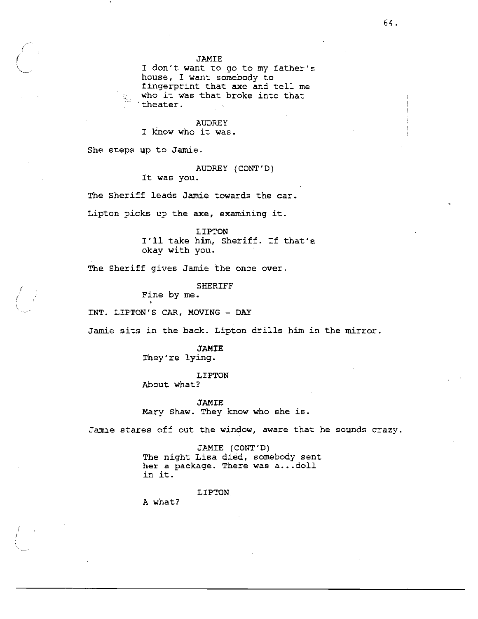I don't want to go to my father's house, I want somebody to fingerprint that axe and tell me who it was that broke into that theater.

### **AUDREY**

I know who it was.

She steps up to Jamie.

# AUDREY (CONT'D)

It was you.

The Sheriff leads Jamie towards the car.

Lipton picks up the axe, examining it.

LIPTON I'll take him, Sheriff. If that's okay with you.

The Sheriff gives Jamie the once over.

**SHERIFF** 

Fine by me.

INT. LIPTON'S CAR, MOVING - DAY

Jamie sits in the back. Lipton drills him in the mirror.

**JAMIE** They're lying.

LIPTON About what?

**JAMIE** Mary Shaw. They know who she is.

Jamie stares off out the window, aware that he sounds crazy.

JAMIE (CONT'D) The night Lisa died, somebody sent her a package. There was a...doll in it.

LIPTON

A what?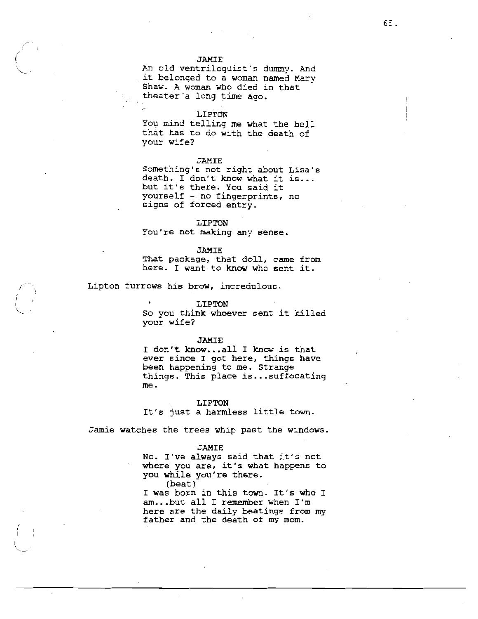An old ventriloquist's dummy. And it belonged to a woman named Mary Shaw. A woman who died in that theater a long time ago.

### LIPTON

You mind telling me what the hell that has to do with the death of your wife?

#### JAMIE

Something's not right about Lisa's death. I don't know what it is... but it's there. You said it yourself - no fingerprints, no signs of forced entry.

## LIPTON

You're not making any sense.

## **JAMIE**

That package, that doll, came from here. I want to know who sent it.

Lipton furrows his brow, incredulous.

#### LIPTON

So you think whoever sent it killed your wife?

#### JAMIE

I don't know...all I know is that ever since I got here, things have been happening to me. Strange things. This place is...suffocating me.

#### **LIPTON**

It's just a harmless little town.

Jamie watches the trees whip past the windows.

### **JAMIE**

No. I've always said that it's not where you are, it's what happens to you while you're there.

 $(beat)$ I was born in this town. It's who I am...but all I remember when I'm here are the daily beatings from my father and the death of my mom.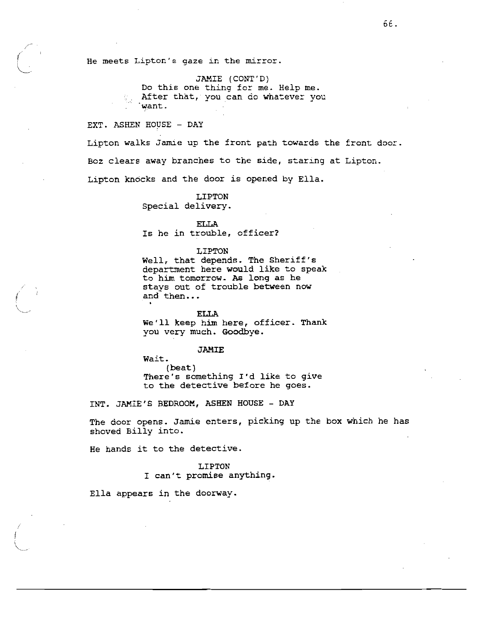He meets Lipton's gaze in the mirror.

JAMIE (CONT'D) Do this one thing for me. Help me. After that, you can do whatever you want.

EXT. ASHEN HOUSE - DAY

Lipton walks Jamie up the front path towards the front door. Boz clears away branches to the side, staring at Lipton. Lipton knocks and the door is opened by Ella.

> LIPTON Special delivery.

**ELLA** Is he in trouble, officer?

LIPTON

Well, that depends. The Sheriff's department here would like to speak to him tomorrow. As long as he stays out of trouble between now and then...

**ELLA** We'll keep him here, officer. Thank you very much. Goodbye.

#### **JAMIE**

Wait.  $(beat)$ There's something I'd like to give to the detective before he goes.

INT. JAMIE'S BEDROOM, ASHEN HOUSE - DAY

The door opens. Jamie enters, picking up the box which he has shoved Billy into.

He hands it to the detective.

LIPTON I can't promise anything.

Ella appears in the doorway.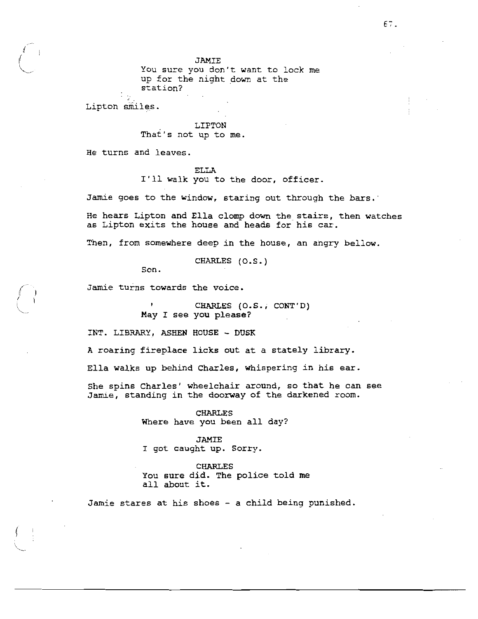You sure you don't want to lock me up for the night down at the station?

Lipton smiles.

### LIPTON

That's not up to me.

He turns and leaves.

# **ELLA**

I'll walk you to the door, officer.

Jamie goes to the window, staring out through the bars.

He hears Lipton and Ella clomp down the stairs, then watches as Lipton exits the house and heads for his car.

Then, from somewhere deep in the house, an angry bellow.

CHARLES (O.S.)

Son.

Jamie turns towards the voice.

CHARLES (O.S., CONT'D) May I see you please?

INT. LIBRARY, ASHEN HOUSE - DUSK

A roaring fireplace licks out at a stately library.

Ella walks up behind Charles, whispering in his ear.

She spins Charles' wheelchair around, so that he can see Jamie, standing in the doorway of the darkened room.

> **CHARLES** Where have you been all day?

JAMIE I got caught up. Sorry.

**CHARLES** You sure did. The police told me all about it.

Jamie stares at his shoes - a child being punished.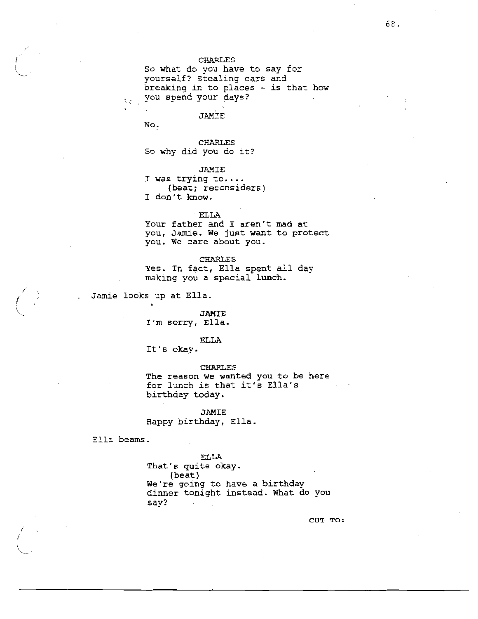So what do you have to say for yourself? Stealing cars and breaking in to places - is that how you spend your days?  $\mathcal{L}_{\mathcal{L}}$  .

JAMIE

No.

**CHARLES** So why did you do it?

**JAMIE** I was trying to.... (beat; reconsiders) I don't know.

ELLA

Your father and I aren't mad at you, Jamie. We just want to protect you. We care about you.

**CHARLES** 

Yes. In fact, Ella spent all day making you a special lunch.

Jamie looks up at Ella.  $\mathbf{r}$ 

# JAMIE I'm sorry, Ella.

**ELLA** 

It's okay.

**CHARLES** 

The reason we wanted you to be here for lunch is that it's Ella's birthday today.

**JAMIE** 

Happy birthday, Ella.

Ella beams.

**ELLA** That's quite okay. (beat) We're going to have a birthday dinner tonight instead. What do you say?

CUT TO: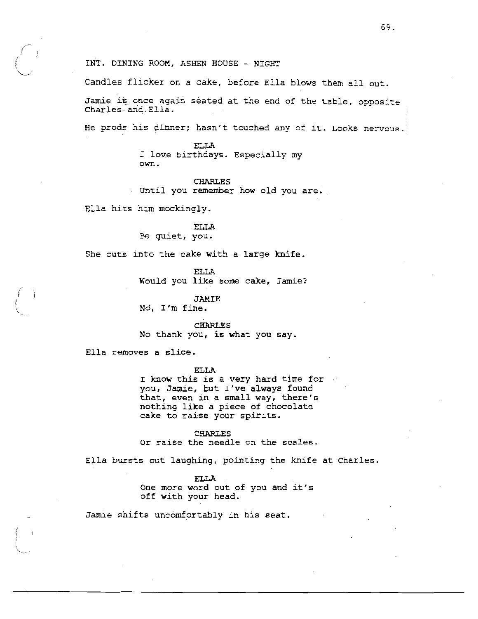INT. DINING ROOM, ASHEN HOUSE - NIGHT

Candles flicker on a cake, before Ella blows them all out.

Jamie is once again seated at the end of the table, opposite Charles and Ella.

He prods his dinner; hasn't touched any of it. Looks nervous.

**ELLA** I love birthdays. Especially my own.

# **CHARLES**

Until you remember how old you are.

Ella hits him mockingly.

# **ELLA** Be quiet, you.

She cuts into the cake with a large knife.

**ELLA** 

Would you like some cake, Jamie?

**JAMIE** 

No, I'm fine.

**CHARLES** No thank you, is what you say.

Ella removes a slice.

### **ELLA**

I know this is a very hard time for you, Jamie, but I've always found that, even in a small way, there's nothing like a piece of chocolate cake to raise your spirits.

**CHARLES** Or raise the needle on the scales.

Ella bursts out laughing, pointing the knife at Charles.

**ELLA** One more word out of you and it's off with your head.

Jamie shifts uncomfortably in his seat.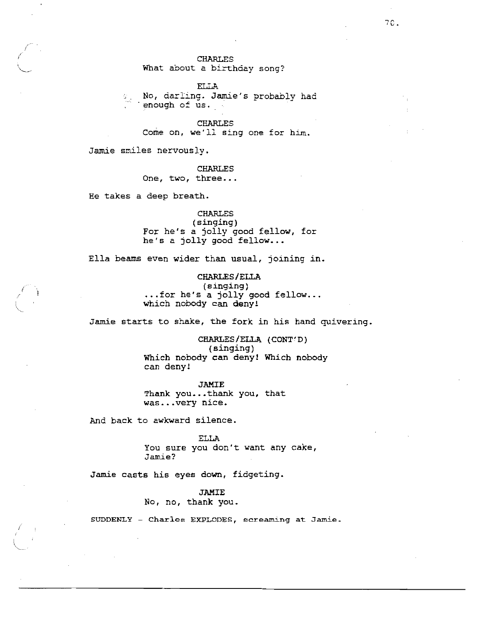# What about a birthday song?

**ELLA** No, darling. Jamie's probably had  $\mathcal{C}_{\mathcal{A}^{(1)}}$ enough of us.

**CHARLES** Come on, we'll sing one for him.

Jamie smiles nervously.

**CHARLES** One, two, three...

He takes a deep breath.

**CHARLES**  $(singing)$ For he's a jolly good fellow, for he's a jolly good fellow...

Ella beams even wider than usual, joining in.

CHARLES/ELLA  $(singing)$ ... for he's a jolly good fellow... which nobody can deny!

Jamie starts to shake, the fork in his hand quivering.

CHARLES/ELLA (CONT'D) (singing) Which nobody can deny! Which nobody can deny!

**JAMIE** Thank you...thank you, that was...very nice.

And back to awkward silence.

**ELLA** You sure you don't want any cake, Jamie?

Jamie casts his eyes down, fidgeting.

**JAMIE** 

No, no, thank you.

SUDDENLY - Charles EXPLODES, screaming at Jamie.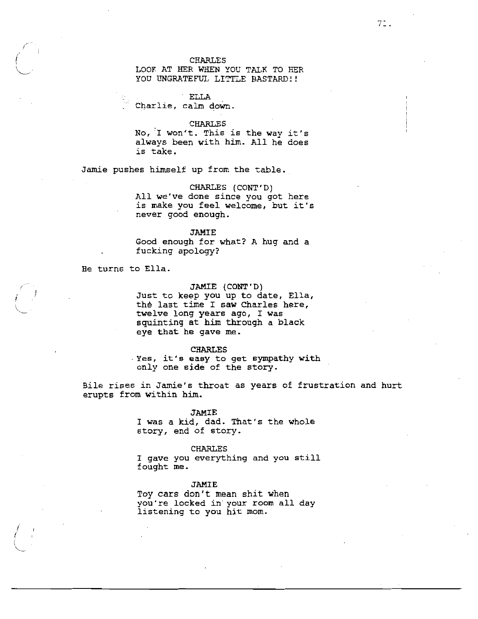# LOOK AT HER WHEN YOU TALK TO HER YOU UNGRATEFUL LITTLE BASTARD!!

**ELLA** Charlie, calm down.

## **CHARLES**

No, I won't. This is the way it's always been with him. All he does is take.

Jamie pushes himself up from the table.

## CHARLES (CONT'D)

All we've done since you got here is make you feel welcome, but it's never good enough.

#### **JAMIE**

Good enough for what? A hug and a fucking apology?

He turns to Ella.

## JAMIE (CONT'D)

Just to keep you up to date, Ella, the last time I saw Charles here, twelve long years ago, I was squinting at him through a black eye that he gave me.

## **CHARLES**

Yes, it's easy to get sympathy with only one side of the story.

Bile rises in Jamie's throat as years of frustration and hurt erupts from within him.

#### **JAMIE**

I was a kid, dad. That's the whole story, end of story.

#### **CHARLES**

I gave you everything and you still fought me.

#### **JAMIE**

Toy cars don't mean shit when you're locked in your room all day listening to you hit mom.

 $7:$ .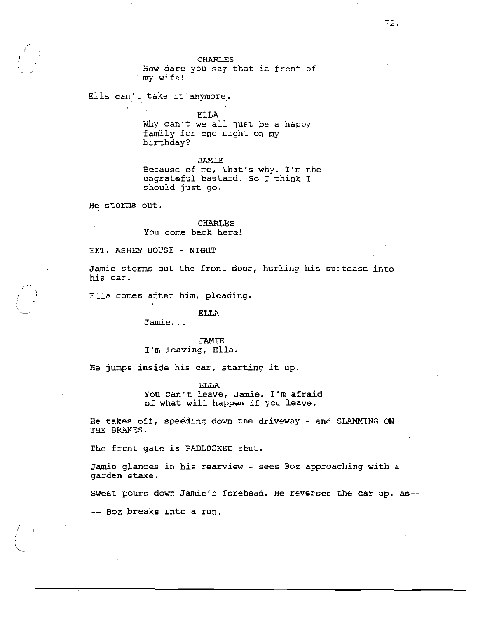How dare you say that in front of `my wife!

Ella can't take it anymore.

**ELLA** 

Why can't we all just be a happy family for one night on my birthday?

**JAMIE** 

Because of me, that's why. I'm the ungrateful bastard. So I think I should just go.

He storms out.

**CHARLES** You come back here!

EXT. ASHEN HOUSE - NIGHT

Jamie storms out the front door, hurling his suitcase into his car.

Ella comes after him, pleading.

#### **ELLA**

 $Jamie...$ 

**JAMIE** I'm leaving, Ella.

He jumps inside his car, starting it up.

**ELLA** 

You can't leave, Jamie. I'm afraid of what will happen if you leave.

He takes off, speeding down the driveway - and SLAMMING ON THE BRAKES.

The front gate is PADLOCKED shut.

Jamie glances in his rearview - sees Boz approaching with a garden stake.

Sweat pours down Jamie's forehead. He reverses the car up, as--

-- Boz breaks into a run.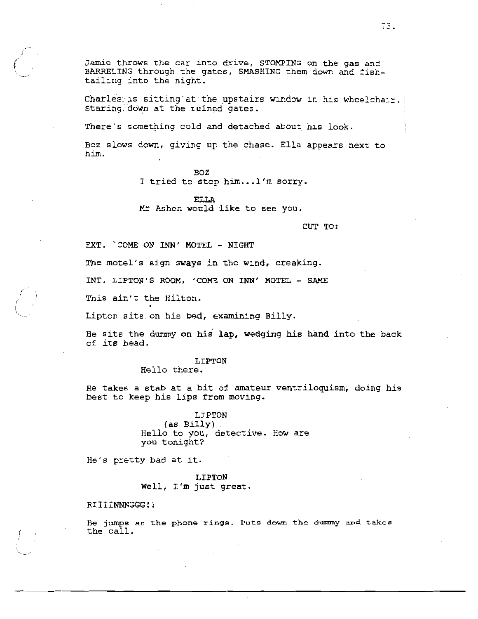Jamie throws the car into drive, STOMPING on the gas and BARRELING through the gates, SMASHING them down and fishtailing into the night.

Charles is sitting at the upstairs window in his wheelchair. Staring down at the ruined gates.

There's something cold and detached about his look.

Boz slows down, giving up the chase. Ella appears next to him.

> BOZ I tried to stop him... I'm sorry.

**ELLA** Mr Ashen would like to see you.

CUT TO:

EXT. COME ON INN' MOTEL - NIGHT

The motel's sign sways in the wind, creaking.

INT. LIPTON'S ROOM, 'COME ON INN' MOTEL - SAME

This ain't the Hilton.

Lipton sits on his bed, examining Billy.

He sits the dummy on his lap, wedging his hand into the back of its head.

# LIPTON

Hello there.

He takes a stab at a bit of amateur ventriloquism, doing his best to keep his lips from moving.

> LIPTON (as Billy) Hello to you, detective. How are you tonight?

He's pretty bad at it.

**LIPTON** Well, I'm just great.

RIIIINNNGGG!!

He jumps as the phone rings. Puts down the dummy and takes the call.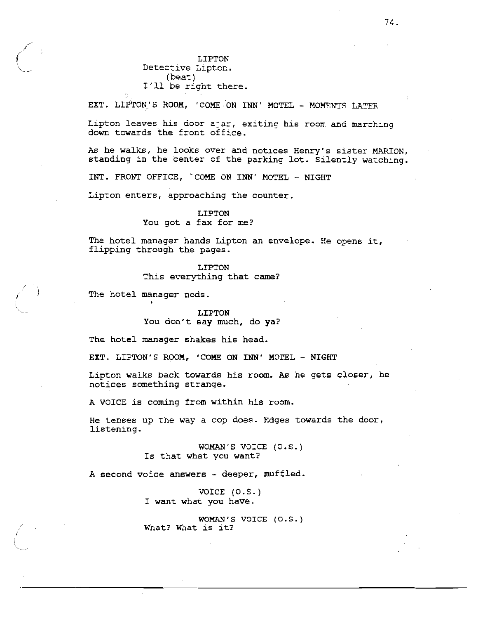LIPTON Detective Lipton.  $(beat)$ I'll be right there.

EXT. LIPTON'S ROOM, 'COME ON INN' MOTEL - MOMENTS LATER

Lipton leaves his door ajar, exiting his room and marching down towards the front office.

As he walks, he looks over and notices Henry's sister MARION, standing in the center of the parking lot. Silently watching.

INT. FRONT OFFICE, COME ON INN' MOTEL - NIGHT

Lipton enters, approaching the counter.

#### LIPTON

You got a fax for me?

The hotel manager hands Lipton an envelope. He opens it, flipping through the pages.

### LIPTON

This everything that came?

The hotel manager nods.

LIPTON You don't say much, do ya?

The hotel manager shakes his head.

EXT. LIPTON'S ROOM, 'COME ON INN' MOTEL - NIGHT

Lipton walks back towards his room. As he gets closer, he notices something strange.

A VOICE is coming from within his room.

He tenses up the way a cop does. Edges towards the door, listening.

> WOMAN'S VOICE (O.S.) Is that what you want?

A second voice answers - deeper, muffled.

VOICE  $(0.5.)$ I want what you have.

WOMAN'S VOICE (O.S.) What? What is it?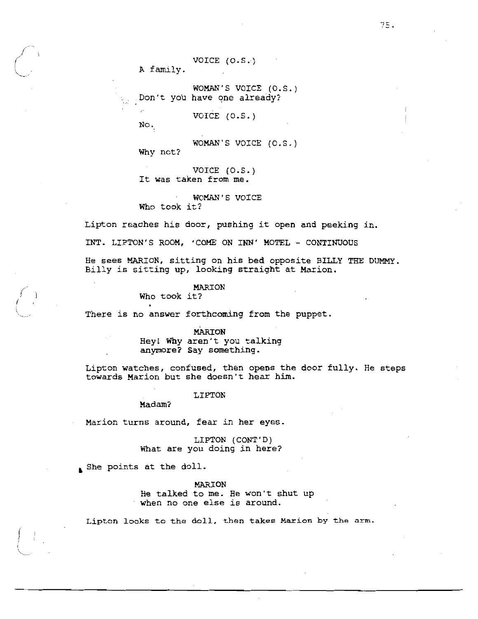VOICE  $(0.5.)$ 

A family.

WOMAN'S VOICE (O.S.) Don't you have one already?

VOICE  $(0.5.)$ 

No.

WOMAN'S VOICE (O.S.)

Why not?

VOICE  $(0.5.)$ It was taken from me.

WOMAN'S VOICE Who took it?

Lipton reaches his door, pushing it open and peeking in.

INT. LIPTON'S ROOM, 'COME ON INN' MOTEL - CONTINUOUS

He sees MARION, sitting on his bed opposite BILLY THE DUMMY. Billy is sitting up, looking straight at Marion.

## MARION

Who took it?

There is no answer forthcoming from the puppet.

#### MARION

Hey! Why aren't you talking anymore? Say something.

Lipton watches, confused, then opens the door fully. He steps towards Marion but she doesn't hear him.

#### LIPTON

Madam?

Marion turns around, fear in her eyes.

LIPTON (CONT'D) What are you doing in here?

She points at the doll.

**MARION** He talked to me. He won't shut up when no one else is around.

Lipton looks to the doll, then takes Marion by the arm.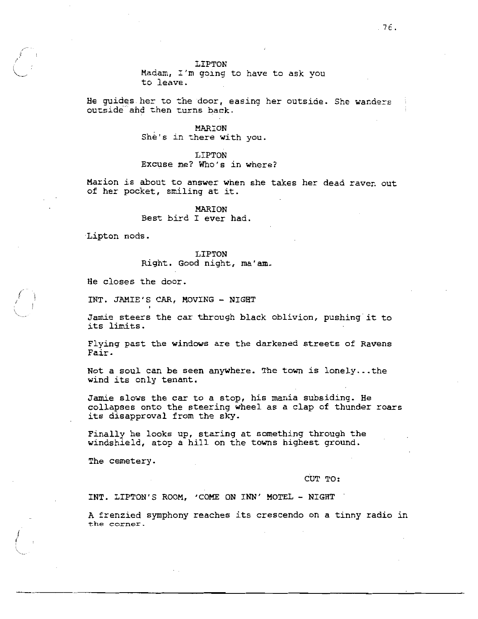Madam, I'm going to have to ask you to leave.

He guides her to the door, easing her outside. She wanders outside and then turns back.

> MARION She's in there with you.

LIPTON Excuse me? Who's in where?

Marion is about to answer when she takes her dead raven out of her pocket, smiling at it.

> MARION Best bird I ever had.

Lipton nods.

**LIPTON** Right. Good night, ma'am.

He closes the door.

INT. JAMIE'S CAR, MOVING - NIGHT

Jamie steers the car through black oblivion, pushing it to its limits.

Flying past the windows are the darkened streets of Ravens Fair.

Not a soul can be seen anywhere. The town is lonely...the wind its only tenant.

Jamie slows the car to a stop, his mania subsiding. He collapses onto the steering wheel as a clap of thunder roars its disapproval from the sky.

Finally he looks up, staring at something through the windshield, atop a hill on the towns highest ground.

The cemetery.

CUT TO:

INT. LIPTON'S ROOM, 'COME ON INN' MOTEL - NIGHT

A frenzied symphony reaches its crescendo on a tinny radio in the corner.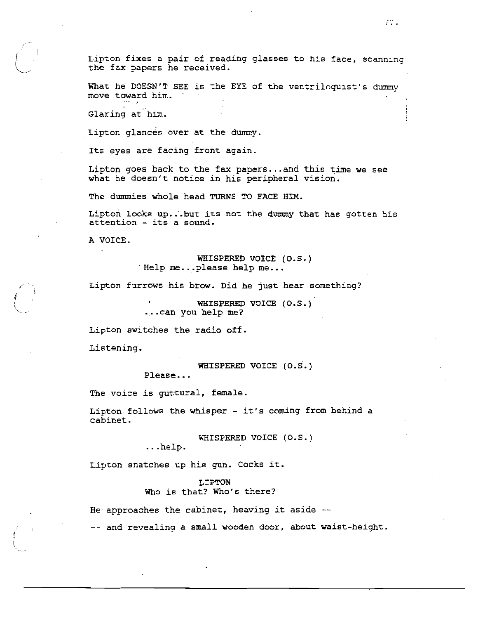Lipton fixes a pair of reading glasses to his face, scanning the fax papers he received.

What he DOESN'T SEE is the EYE of the ventriloquist's dummv move toward him.

Glaring at him.

Lipton glances over at the dummy.

Its eyes are facing front again.

Lipton goes back to the fax papers...and this time we see what he doesn't notice in his peripheral vision.

The dummies whole head TURNS TO FACE HIM.

Lipton looks up...but its not the dummy that has gotten his attention - its a sound.

A VOICE.

WHISPERED VOICE (O.S.) Help me...please help me...

Lipton furrows his brow. Did he just hear something?

WHISPERED VOICE (O.S.) ...can you help me?

Lipton switches the radio off.

Listening.

WHISPERED VOICE (O.S.)

Please...

The voice is guttural, female.

Lipton follows the whisper - it's coming from behind a cabinet.

WHISPERED VOICE (O.S.)

 $\ldots$ help.

Lipton snatches up his gun. Cocks it.

## LIPTON

Who is that? Who's there?

He approaches the cabinet, heaving it aside  $-$ 

-- and revealing a small wooden door, about waist-height.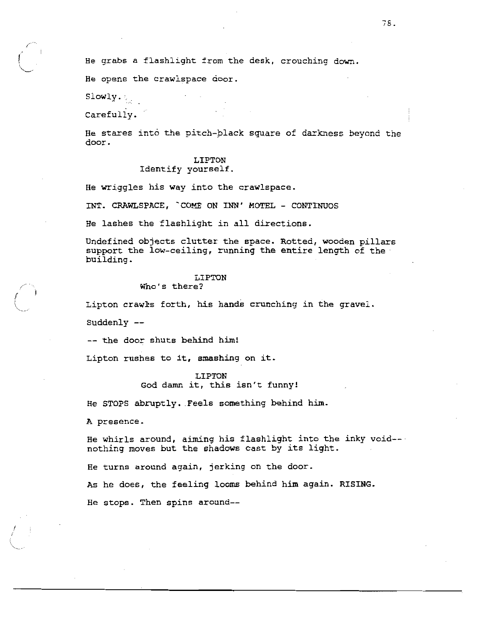He grabs a flashlight from the desk, crouching down.

He opens the crawlspace door.

Slowly.

Carefully.

He stares into the pitch-black square of darkness beyond the door.

# LIPTON

# Identify yourself.

He wriggles his way into the crawlspace.

INT. CRAWLSPACE, COME ON INN' MOTEL - CONTINUOS

He lashes the flashlight in all directions.

Undefined objects clutter the space. Rotted, wooden pillars support the low-ceiling, running the entire length of the building.

## LIPTON

## Who's there?

Lipton crawls forth, his hands crunching in the gravel.

Suddenly --

-- the door shuts behind him!

Lipton rushes to it, smashing on it.

LIPTON God damn it, this isn't funny!

He STOPS abruptly. Feels something behind him.

A presence.

He whirls around, aiming his flashlight into the inky void-nothing moves but the shadows cast by its light.

He turns around again, jerking on the door.

As he does, the feeling looms behind him again. RISING.

He stops. Then spins around--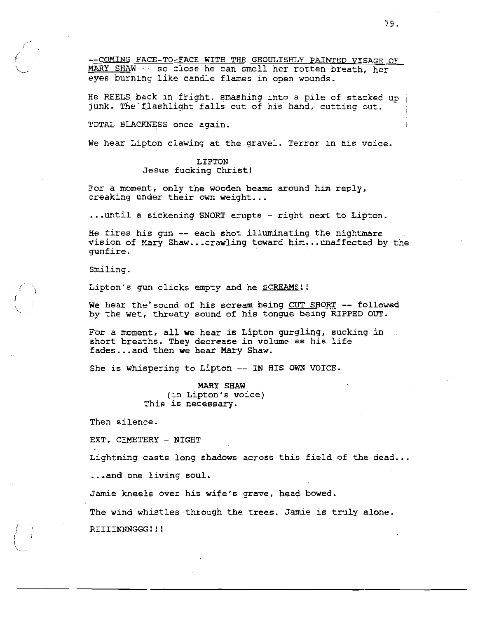--COMING FACE-TO-FACE WITH THE GHOULISHLY PAINTED VISAGE OF MARY SHAW -- so close he can smell her rotten breath, her eyes burning like candle flames in open wounds.

He REELS back in fright, smashing into a pile of stacked up junk. The flashlight falls out of his hand, cutting out.

TOTAL BLACKNESS once again.

We hear Lipton clawing at the gravel. Terror in his voice.

## LIPTON Jesus fucking Christ!

For a moment, only the wooden beams around him reply, creaking under their own weight...

... until a sickening SNORT erupts - right next to Lipton.

He fires his gun -- each shot illuminating the nightmare vision of Mary Shaw...crawling toward him...unaffected by the qunfire.

Smiling.

Lipton's gun clicks empty and he SCREAMS!!

We hear the'sound of his scream being CUT SHORT -- followed by the wet, throaty sound of his tongue being RIPPED OUT.

For a moment, all we hear is Lipton gurgling, sucking in short breaths. They decrease in volume as his life fades...and then we hear Mary Shaw.

She is whispering to Lipton -- IN HIS OWN VOICE.

MARY SHAW (in Lipton's voice) This is necessary.

Then silence.

EXT. CEMETERY - NIGHT

Lightning casts long shadows across this field of the dead...

...and one living soul.

Jamie kneels over his wife's grave, head bowed.

The wind whistles through the trees. Jamie is truly alone.

RIIIINNNGGG!!!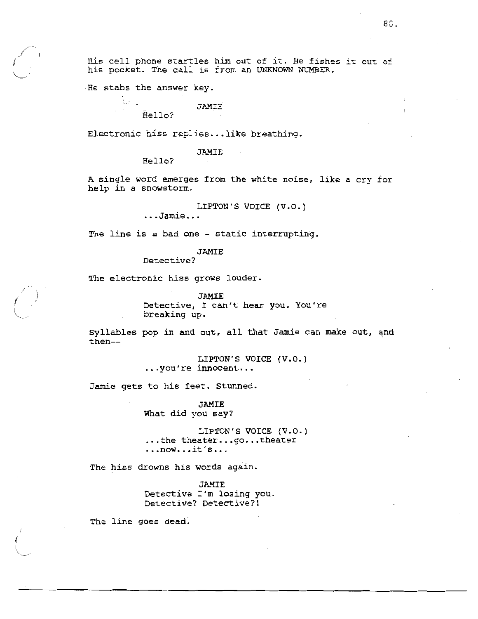His cell phone startles him out of it. He fishes it out of his pocket. The call is from an UNKNOWN NUMBER.

He stabs the answer key.

the co

**JAMIE** Hello?

Electronic hiss replies...like breathing.

#### **JAMIE**

Hello?

A single word emerges from the white noise, like a cry for help in a snowstorm.

LIPTON'S VOICE (V.O.)

...Jamie...

The line is a bad one - static interrupting.

JAMIE

Detective?

The electronic hiss grows louder.

JAMIE

Detective, I can't hear you. You're breaking up.

Syllables pop in and out, all that Jamie can make out, and  $then--$ 

> LIPTON'S VOICE (V.O.) ...you're innocent...

Jamie gets to his feet. Stunned.

**JAMIE** What did you say?

LIPTON'S VOICE (V.O.) ... the theater...go... theater  $\ldots$ now...it's...

The hiss drowns his words again.

JAMIE Detective I'm losing you. Detective? Detective?!

The line goes dead.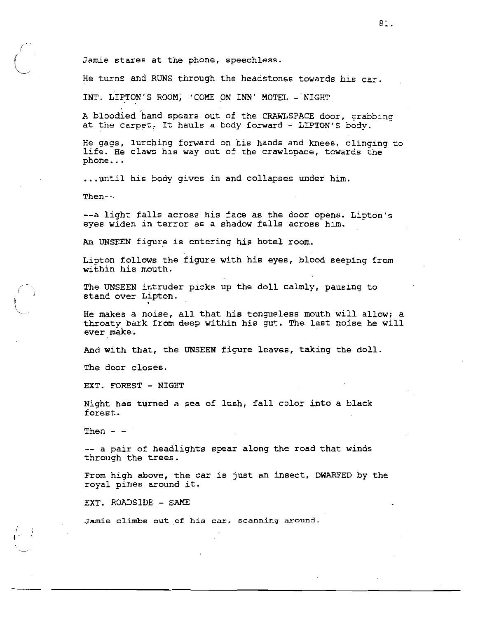Jamie stares at the phone, speechless.

He turns and RUNS through the headstones towards his car.

INT. LIPTON'S ROOM, 'COME ON INN' MOTEL - NIGHT

A bloodied hand spears out of the CRAWLSPACE door, grabbing at the carpet. It hauls a body forward - LIPTON'S body.

He gags, lurching forward on his hands and knees, clinging to life. He claws his way out of the crawlspace, towards the phone...

... until his body gives in and collapses under him.

Then $--$ 

--a light falls across his face as the door opens. Lipton's eyes widen in terror as a shadow falls across him.

An UNSEEN figure is entering his hotel room.

Lipton follows the figure with his eyes, blood seeping from within his mouth.

The UNSEEN intruder picks up the doll calmly, pausing to stand over Lipton.

He makes a noise, all that his tongueless mouth will allow; a throaty bark from deep within his gut. The last noise he will ever make.

And with that, the UNSEEN figure leaves, taking the doll.

The door closes.

EXT. FOREST - NIGHT

Night has turned a sea of lush, fall color into a black forest.

Then  $-$ 

-- a pair of headlights spear along the road that winds through the trees.

From high above, the car is just an insect, DWARFED by the royal pines around it.

EXT. ROADSIDE - SAME

Jamie climbs out of his car, scanning around.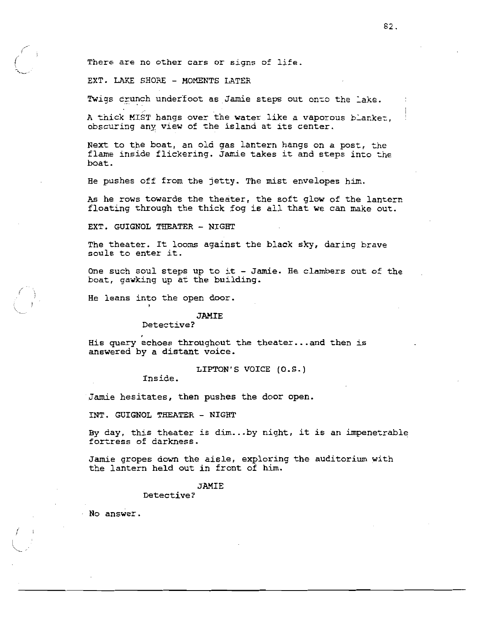There are no other cars or signs of life.

EXT. LAKE SHORE - MOMENTS LATER

Twigs crunch underfoot as Jamie steps out onto the lake.

A thick MIST hangs over the water like a vaporous blanket. obscuring any view of the island at its center.

Next to the boat, an old gas lantern hangs on a post, the flame inside flickering. Jamie takes it and steps into the boat.

He pushes off from the jetty. The mist envelopes him.

As he rows towards the theater, the soft glow of the lantern floating through the thick fog is all that we can make out.

EXT. GUIGNOL THEATER - NIGHT

The theater. It looms against the black sky, daring brave souls to enter it.

One such soul steps up to it - Jamie. He clambers out of the boat, gawking up at the building.

He leans into the open door.

#### **JAMIE**

Detective?

His query echoes throughout the theater... and then is answered by a distant voice.

LIPTON'S VOICE (O.S.)

Inside.

Jamie hesitates, then pushes the door open.

INT. GUIGNOL THEATER - NIGHT

By day, this theater is dim...by night, it is an impenetrable fortress of darkness.

Jamie gropes down the aisle, exploring the auditorium with the lantern held out in front of him.

## **JAMIE**

Detective?

 $\cdot$  No answer.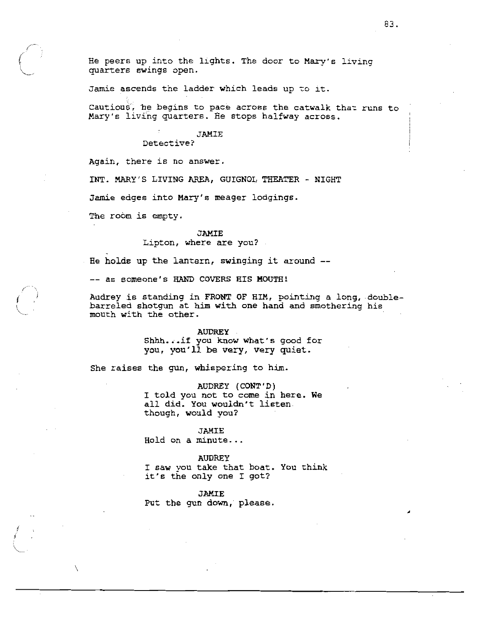Jamie ascends the ladder which leads up to it.

Cautious, he begins to pace across the catwalk that runs to Mary's living quarters. He stops halfway across.

## JAMIE

Detective?

Again, there is no answer.

INT. MARY'S LIVING AREA, GUIGNOL THEATER - NIGHT

Jamie edges into Mary's meager lodgings.

The room is empty.

# **JAMIE** Lipton, where are you?

He holds up the lantern, swinging it around --

-- as someone's HAND COVERS HIS MOUTH!

Audrey is standing in FRONT OF HIM, pointing a long, doublebarreled shotgun at him with one hand and smothering his mouth with the other.

#### **AUDREY**

Shhh...if you know what's good for you, you'll be very, very quiet.

She raises the gun, whispering to him.

AUDREY (CONT'D) I told you not to come in here. We all did. You wouldn't listen. though, would you?

#### **JAMIE**

Hold on a minute...

#### **AUDREY**

I saw you take that boat. You think it's the only one I got?

JAMIE Put the gun down, please.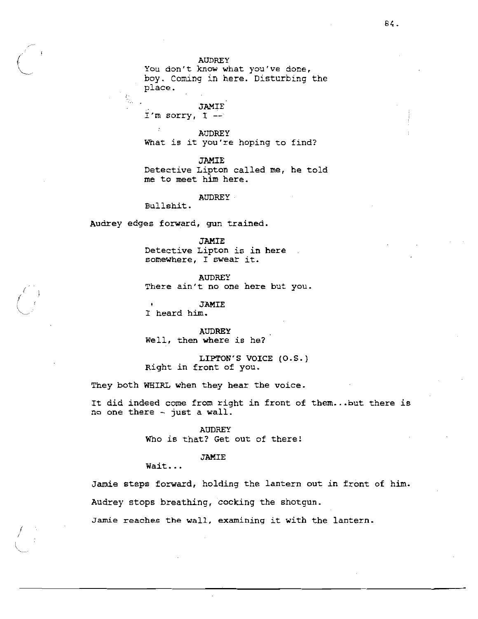## **AUDREY**

You don't know what you've done, boy. Coming in here. Disturbing the place.

**JAMIE** I'm sorry,  $I$  --

 $\overline{\phantom{a}}$ **AUDREY** What is it you're hoping to find?

**JAMIE** 

Detective Lipton called me, he told me to meet him here.

**AUDREY** 

Bullshit.

Audrey edges forward, gun trained.

**JAMIE** 

Detective Lipton is in here . somewhere, I swear it.

**AUDREY** There ain't no one here but you.

**JAMIE** I heard him.

**AUDREY** Well, then where is he?

LIPTON'S VOICE (O.S.) Right in front of you.

They both WHIRL when they hear the voice.

It did indeed come from right in front of them...but there is no one there - just a wall.

> **AUDREY** Who is that? Get out of there!

## **JAMIE**

Wait...

Jamie steps forward, holding the lantern out in front of him. Audrey stops breathing, cocking the shotgun.

Jamie reaches the wall, examining it with the lantern.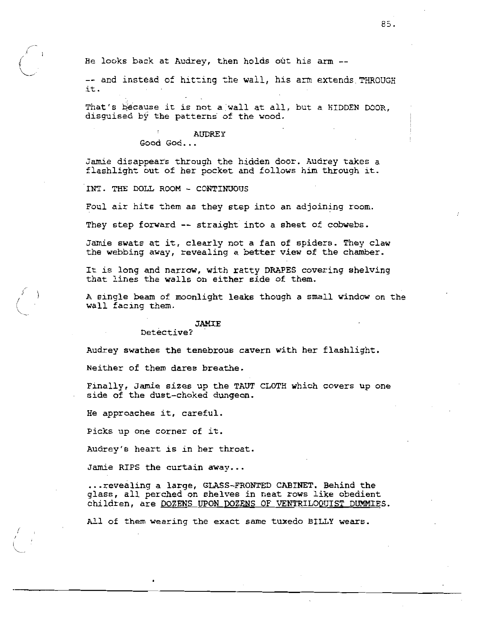He looks back at Audrey, then holds out his arm --

-- and instead of hitting the wall, his arm extends THROUGH it.

That's because it is not a wall at all, but a HIDDEN DOOR, disguised by the patterns of the wood.

## **AUDREY**

Good God...

Jamie disappears through the hidden door. Audrey takes a flashlight out of her pocket and follows him through it.

INT. THE DOLL ROOM - CONTINUOUS

Foul air hits them as they step into an adjoining room.

They step forward -- straight into a sheet of cobwebs.

Jamie swats at it, clearly not a fan of spiders. They claw the webbing away, revealing a better view of the chamber.

It is long and narrow, with ratty DRAPES covering shelving that lines the walls on either side of them.

A single beam of moonlight leaks though a small window on the wall facing them.

#### **JAMIE**

Detective?

Audrey swathes the tenebrous cavern with her flashlight.

Neither of them dares breathe.

Finally, Jamie sizes up the TAUT CLOTH which covers up one side of the dust-choked dungeon.

He approaches it, careful.

Picks up one corner of it.

Audrey's heart is in her throat.

Jamie RIPS the curtain away...

... revealing a large, GLASS-FRONTED CABINET. Behind the glass, all perched on shelves in neat rows like obedient children, are DOZENS UPON DOZENS OF VENTRILOQUIST DUMMIES.

All of them wearing the exact same tuxedo BILLY wears.

85.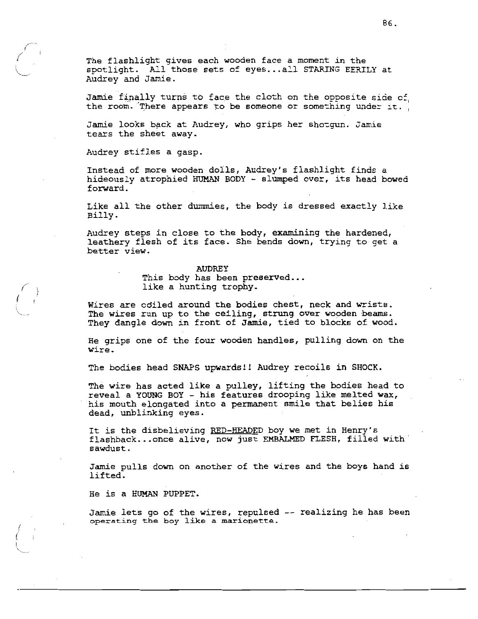The flashlight gives each wooden face a moment in the spotlight. All those sets of eyes...all STARING EERILY at Audrey and Jamie.

Jamie finally turns to face the cloth on the opposite side of the room. There appears to be someone or something under it.

Jamie looks back at Audrey, who grips her shotgun. Jamie tears the sheet away.

Audrey stifles a gasp.

Instead of more wooden dolls, Audrey's flashlight finds a hideously atrophied HUMAN BODY - slumped over, its head bowed forward.

Like all the other dummies, the body is dressed exactly like Billy.

Audrey steps in close to the body, examining the hardened, leathery flesh of its face. She bends down, trying to get a better view.

#### **AUDREY**

This body has been preserved... like a hunting trophy.

Wires are coiled around the bodies chest, neck and wrists. The wires run up to the ceiling, strung over wooden beams. They dangle down in front of Jamie, tied to blocks of wood.

He grips one of the four wooden handles, pulling down on the wire.

The bodies head SNAPS upwards!! Audrey recoils in SHOCK.

The wire has acted like a pulley, lifting the bodies head to reveal a YOUNG BOY - his features drooping like melted wax, his mouth elongated into a permanent smile that belies his dead, unblinking eyes.

It is the disbelieving RED-HEADED boy we met in Henry's flashback... once alive, now just EMBALMED FLESH, filled with sawdust.

Jamie pulls down on another of the wires and the boys hand is lifted.

He is a HUMAN PUPPET.

Jamie lets go of the wires, repulsed -- realizing he has been operating the boy like a marionette.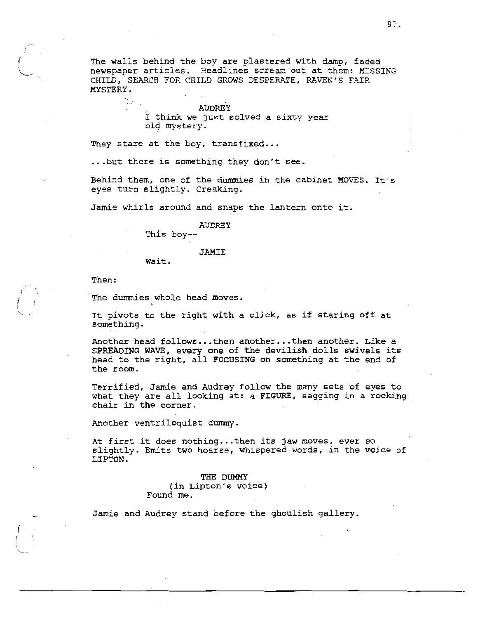The walls behind the boy are plastered with damp, faded newspaper articles. Headlines scream out at them: MISSING CHILD, SEARCH FOR CHILD GROWS DESPERATE, RAVEN'S FAIR MYSTERY.

> **AUDREY** I think we just solved a sixty year old mystery.

They stare at the boy, transfixed...

... but there is something they don't see.

Behind them, one of the dummies in the cabinet MOVES. It's eyes turn slightly. Creaking.

Jamie whirls around and snaps the lantern onto it.

**AUDREY** 

This boy--

#### **JAMIE**

Wait.

Then:

The dummies whole head moves.

It pivots to the right with a click, as if staring off at something.

Another head follows...then another...then another. Like a SPREADING WAVE, every one of the devilish dolls swivels its head to the right, all FOCUSING on something at the end of the room.

Terrified, Jamie and Audrey follow the many sets of eyes to what they are all looking at: a FIGURE, sagging in a rocking chair in the corner.

Another ventriloquist dummy.

At first it does nothing...then its jaw moves, ever so slightly. Emits two hoarse, whispered words, in the voice of LIPTON.

> THE DUMMY (in Lipton's voice) Found me.

Jamie and Audrey stand before the ghoulish gallery.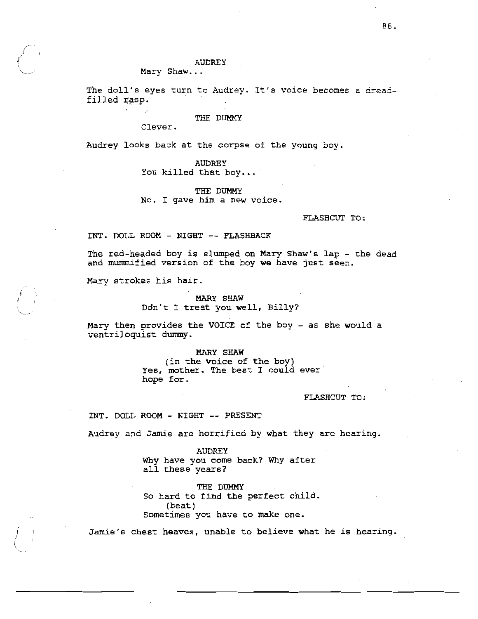### **AUDREY**

Mary Shaw...

The doll's eyes turn to Audrey. It's voice becomes a dreadfilled rasp.

#### THE DUMMY

Clever.

Audrey looks back at the corpse of the young boy.

**AUDREY** You killed that boy...

THE DUMMY No. I gave him a new voice.

FLASHCUT TO:

INT. DOLL ROOM - NIGHT -- FLASHBACK

The red-headed boy is slumped on Mary Shaw's lap - the dead and mummified version of the boy we have just seen.

Mary strokes his hair.

## **MARY SHAW** Don't I treat you well, Billy?

Mary then provides the VOICE of the boy - as she would a ventriloquist dummy.

## MARY SHAW

(in the voice of the boy) Yes, mother. The best I could ever hope for.

## FLASHCUT TO:

INT. DOLL ROOM - NIGHT -- PRESENT

Audrey and Jamie are horrified by what they are hearing.

**AUDREY** Why have you come back? Why after all these years?

THE DUMMY So hard to find the perfect child.  $(beat)$ Sometimes you have to make one.

Jamie's chest heaves, unable to believe what he is hearing.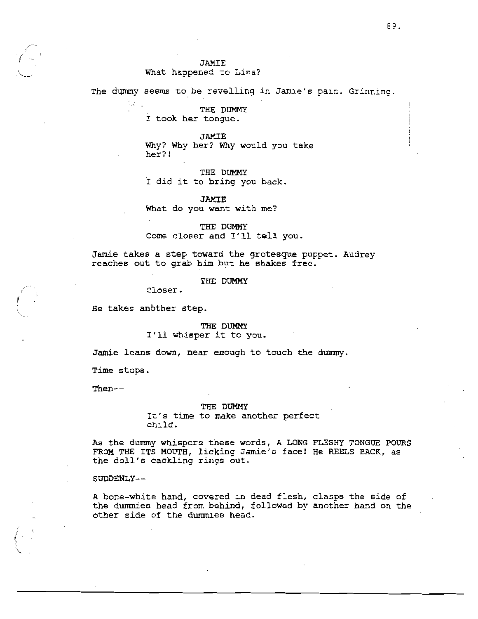# What happened to Lisa?

The dummy seems to be revelling in Jamie's pain. Grinning.

THE DUMMY I took her tongue.

#### **JAMIE**

Why? Why her? Why would you take her?!

THE DUMMY

I did it to bring you back.

## **JAMIE**

What do you want with me?

THE DUMMY Come closer and I'll tell you.

Jamie takes a step toward the grotesque puppet. Audrey reaches out to grab him but he shakes free.

THE DUMMY

Closer.

He takes another step.

THE DUMMY I'll whisper it to you.

Jamie leans down, near enough to touch the dummy.

Time stops.

Then--

#### THE DUMMY

It's time to make another perfect child.

As the dummy whispers these words, A LONG FLESHY TONGUE POURS. FROM THE ITS MOUTH, licking Jamie's face! He REELS BACK, as the doll's cackling rings out.

SUDDENLY--

A bone-white hand, covered in dead flesh, clasps the side of the dummies head from behind, followed by another hand on the other side of the dummies head.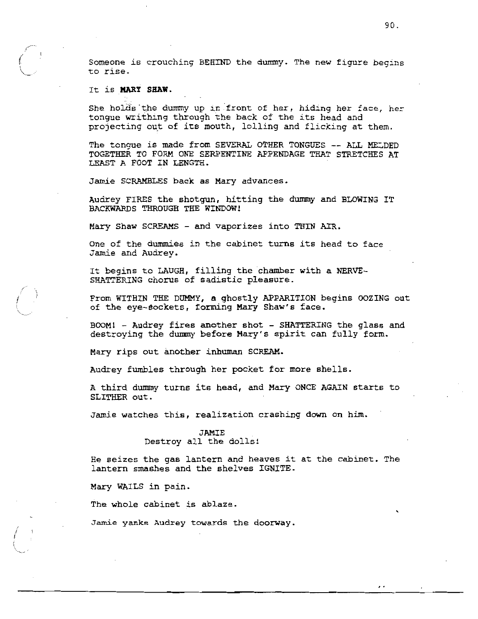Someone is crouching BEHIND the dummy. The new figure begins to rise.

## It is MARY SHAW.

She holds the dummy up in front of her, hiding her face, her tonque writhing through the back of the its head and projecting out of its mouth, lolling and flicking at them.

The tonque is made from SEVERAL OTHER TONGUES -- ALL MELDED TOGETHER TO FORM ONE SERPENTINE APPENDAGE THAT STRETCHES AT LEAST A FOOT IN LENGTH.

Jamie SCRAMBLES back as Mary advances.

Audrey FIRES the shotgun, hitting the dummy and BLOWING IT BACKWARDS THROUGH THE WINDOW!

Mary Shaw SCREAMS - and vaporizes into THIN AIR.

One of the dummies in the cabinet turns its head to face Jamie and Audrey.

It begins to LAUGH, filling the chamber with a NERVE-SHATTERING chorus of sadistic pleasure.

From WITHIN THE DUMMY, a ghostly APPARITION begins OOZING out of the eve-sockets, forming Mary Shaw's face.

BOOM! - Audrey fires another shot - SHATTERING the glass and destroving the dummy before Mary's spirit can fully form.

Mary rips out another inhuman SCREAM.

Audrey fumbles through her pocket for more shells.

A third dummy turns its head, and Mary ONCE AGAIN starts to SLITHER out.

Jamie watches this, realization crashing down on him.

## **JAMIE** Destroy all the dolls!

He seizes the gas lantern and heaves it at the cabinet. The lantern smashes and the shelves IGNITE.

Mary WAILS in pain.

The whole cabinet is ablaze.

Jamie yanks Audrey towards the doorway.

 $\cdot$   $\cdot$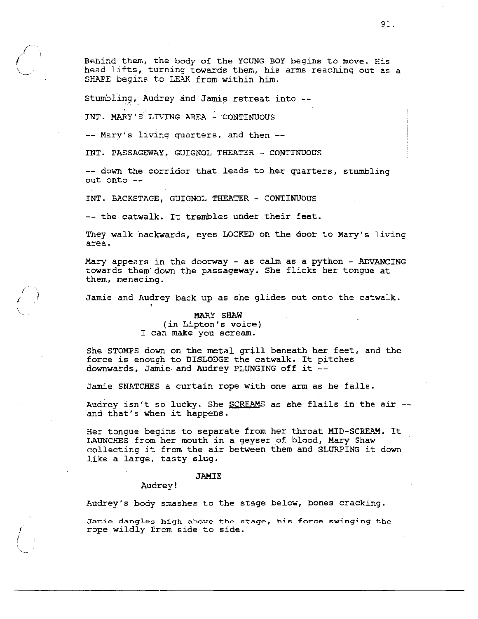Behind them, the body of the YOUNG BOY begins to move. His head lifts, turning towards them, his arms reaching out as a SHAPE begins to LEAK from within him.

Stumbling, Audrey and Jamie retreat into --

INT. MARY'S LIVING AREA - CONTINUOUS

-- Mary's living quarters, and then --

INT. PASSAGEWAY, GUIGNOL THEATER - CONTINUOUS

-- down the corridor that leads to her quarters, stumbling out onto --

INT. BACKSTAGE, GUIGNOL THEATER - CONTINUOUS

-- the catwalk. It trembles under their feet.

They walk backwards, eyes LOCKED on the door to Mary's living area.

Mary appears in the doorway - as calm as a python - ADVANCING towards them down the passageway. She flicks her tongue at them, menacing.

Jamie and Audrey back up as she glides out onto the catwalk.

# MARY SHAW (in Lipton's voice) I can make you scream.

She STOMPS down on the metal grill beneath her feet, and the force is enough to DISLODGE the catwalk. It pitches downwards, Jamie and Audrey PLUNGING off it --

Jamie SNATCHES a curtain rope with one arm as he falls.

Audrey isn't so lucky. She SCREAMS as she flails in the air -and that's when it happens.

Her tongue begins to separate from her throat MID-SCREAM. It LAUNCHES from her mouth in a geyser of blood, Mary Shaw collecting it from the air between them and SLURPING it down like a large, tasty slug.

#### **JAMTE**

#### Audrey!

Audrey's body smashes to the stage below, bones cracking.

Jamie dangles high above the stage, his force swinging the rope wildly from side to side.

91.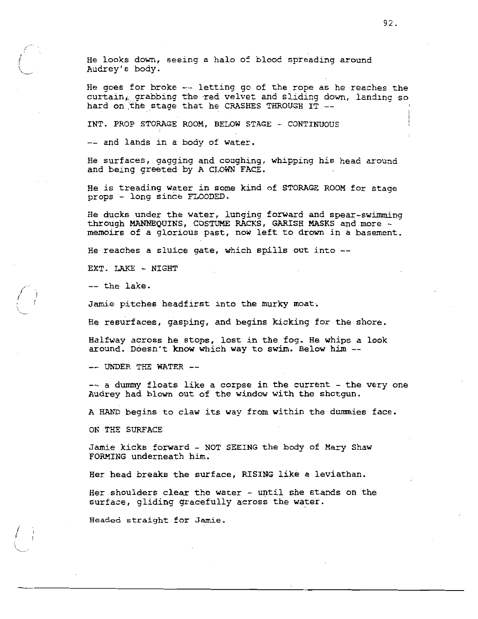He looks down, seeing a halo of blood spreading around Audrey's body.

He goes for broke  $-$  letting go of the rope as he reaches the curtain, grabbing the red velvet and sliding down, landing so hard on the stage that he CRASHES THROUGH IT --

INT. PROP STORAGE ROOM, BELOW STAGE - CONTINUOUS

-- and lands in a body of water.

He surfaces, gagging and coughing, whipping his head around and being greeted by A CLOWN FACE.

He is treading water in some kind of STORAGE ROOM for stage props - long since FLOODED.

He ducks under the water, lunging forward and spear-swimming through MANNEQUINS, COSTUME RACKS, GARISH MASKS and more memoirs of a glorious past, now left to drown in a basement.

He reaches a sluice gate, which spills out into --

EXT. LAKE - NIGHT

 $--$  the lake.

Jamie pitches headfirst into the murky moat.

He resurfaces, gasping, and begins kicking for the shore.

Halfway across he stops, lost in the fog. He whips a look around. Doesn't know which way to swim. Below him --

-- UNDER THE WATER --

-- a dummy floats like a corpse in the current - the very one Audrey had blown out of the window with the shotgun.

A HAND begins to claw its way from within the dummies face.

ON THE SURFACE

Jamie kicks forward - NOT SEEING the body of Mary Shaw FORMING underneath him.

Her head breaks the surface, RISING like a leviathan.

Her shoulders clear the water - until she stands on the surface, gliding gracefully across the water.

Headed straight for Jamie.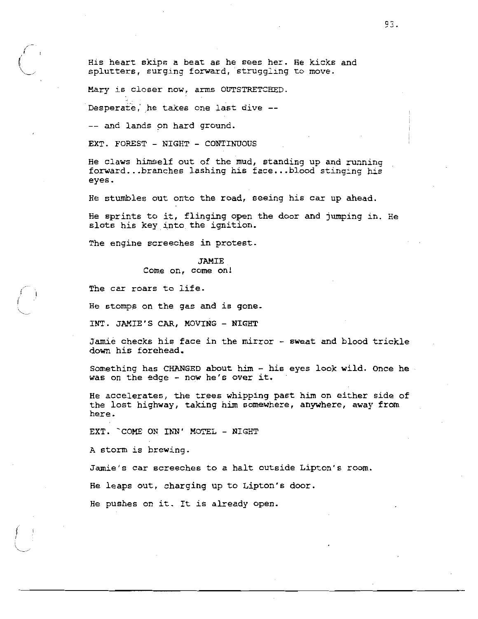His heart skips a beat as he sees her. He kicks and splutters, surging forward, struggling to move.

Mary is closer now, arms OUTSTRETCHED.

Desperate, he takes one last dive --

-- and lands on hard ground.

EXT. FOREST - NIGHT - CONTINUOUS

He claws himself out of the mud, standing up and running forward...branches lashing his face...blood stinging his eyes.

He stumbles out onto the road, seeing his car up ahead.

He sprints to it, flinging open the door and jumping in. He slots his key into the ignition.

The engine screeches in protest.

# **JAMIE** Come on, come on!

The car roars to life.

He stomps on the gas and is gone.

INT. JAMIE'S CAR, MOVING - NIGHT

Jamie checks his face in the mirror - sweat and blood trickle down his forehead.

Something has CHANGED about him - his eyes look wild. Once he was on the edge - now he's over it.

He accelerates, the trees whipping past him on either side of the lost highway, taking him somewhere, anywhere, away from here.

EXT. COME ON INN' MOTEL - NIGHT

A storm is brewing.

Jamie's car screeches to a halt outside Lipton's room.

He leaps out, charging up to Lipton's door.

He pushes on it. It is already open.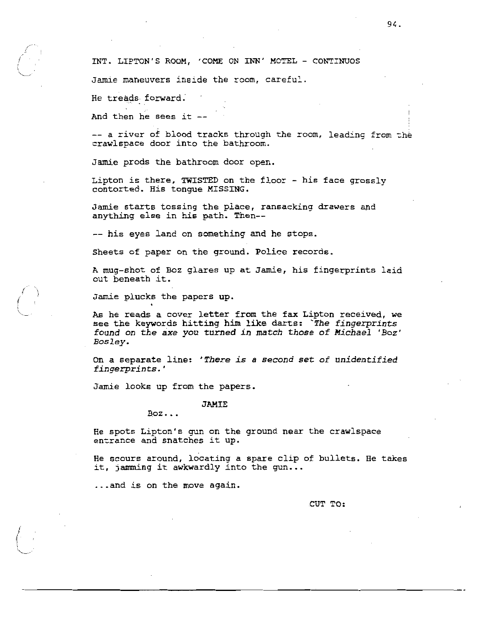Jamie maneuvers inside the room, careful.

He treads forward.

And then he sees it --

-- a river of blood tracks through the room, leading from the crawlspace door into the bathroom.

Jamie prods the bathroom door open.

Lipton is there, TWISTED on the floor - his face grossly contorted. His tongue MISSING.

Jamie starts tossing the place, ransacking drawers and anything else in his path. Then --

-- his eyes land on something and he stops.

Sheets of paper on the ground. Police records.

A mug-shot of Boz glares up at Jamie, his fingerprints laid out beneath it.

Jamie plucks the papers up.

As he reads a cover letter from the fax Lipton received, we see the keywords hitting him like darts: The fingerprints found on the axe you turned in match those of Michael 'Boz' Bosley.

On a separate line: 'There is a second set of unidentified fingerprints.'

Jamie looks up from the papers.

**JAMIE** 

 $Box...$ 

He spots Lipton's gun on the ground near the crawlspace entrance and snatches it up.

He scours around, locating a spare clip of bullets. He takes it, jamming it awkwardly into the gun...

... and is on the move again.

CUT TO: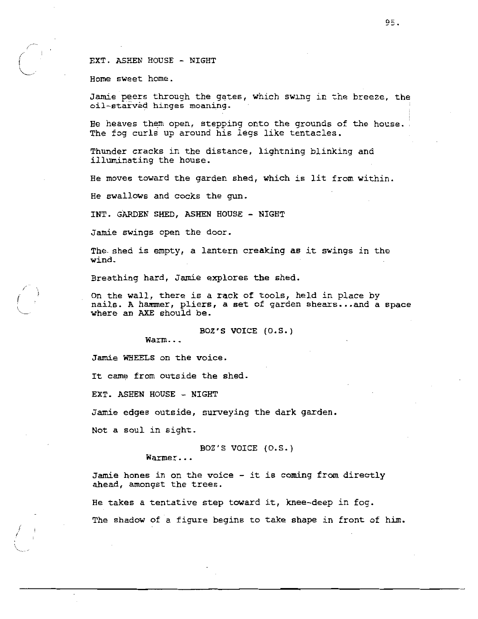## EXT. ASHEN HOUSE - NIGHT

Home sweet home.

Jamie peers through the gates, which swing in the breeze, the oil-starved hinges moaning.

He heaves them open, stepping onto the grounds of the house. The fog curls up around his legs like tentacles.

Thunder cracks in the distance, lightning blinking and illuminating the house.

He moves toward the garden shed, which is lit from within.

He swallows and cocks the qun.

INT. GARDEN SHED, ASHEN HOUSE - NIGHT

Jamie swings open the door.

The shed is empty, a lantern creaking as it swings in the wind.

Breathing hard, Jamie explores the shed.

On the wall, there is a rack of tools, held in place by nails. A hammer, pliers, a set of garden shears...and a space where an AXE should be.

BOZ'S VOICE (O.S.)

Warm...

Jamie WHEELS on the voice.

It came from outside the shed.

EXT. ASHEN HOUSE - NIGHT

Jamie edges outside, surveying the dark garden.

Not a soul in sight.

BOZ'S VOICE (O.S.)

Warmer...

Jamie hones in on the voice - it is coming from directly ahead, amongst the trees.

He takes a tentative step toward it, knee-deep in fog. The shadow of a figure begins to take shape in front of him.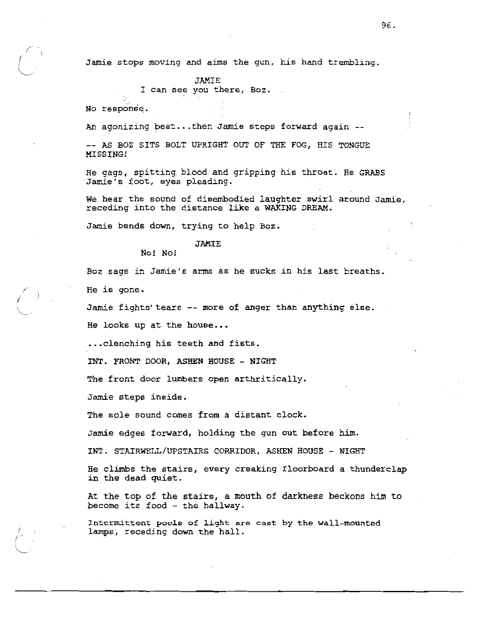Jamie stops moving and aims the qun, his hand trembling.

JAMIE I can see you there, Boz.

No response.

An agonizing beat...then Jamie steps forward again --

-- AS BOZ SITS BOLT UPRIGHT OUT OF THE FOG. HIS TONGUE MISSING!

He gags, spitting blood and gripping his throat. He GRABS Jamie's foot, eyes pleading.

We hear the sound of disembodied laughter swirl around Jamie, receding into the distance like a WAKING DREAM.

Jamie bends down, trying to help Boz.

## JAMIE

No! No!

Boz sags in Jamie's arms as he sucks in his last breaths.

He is gone.

Jamie fights' tears -- more of anger than anything else.

He looks up at the house...

... clenching his teeth and fists.

INT. FRONT DOOR, ASHEN HOUSE - NIGHT

The front door lumbers open arthritically.

Jamie steps inside.

The sole sound comes from a distant clock.

Jamie edges forward, holding the gun out before him.

INT. STAIRWELL/UPSTAIRS CORRIDOR, ASHEN HOUSE - NIGHT

He climbs the stairs, every creaking floorboard a thunderclap in the dead quiet.

At the top of the stairs, a mouth of darkness beckons him to become its food - the hallway.

Intermittent pools of light are cast by the wall-mounted lamps, receding down the hall.

96.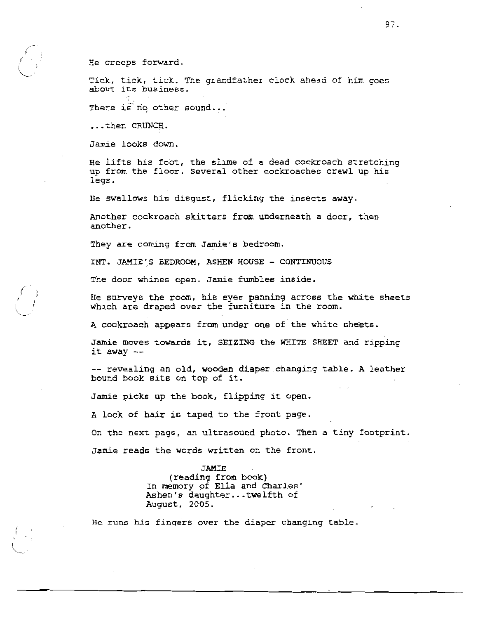He creeps forward.

Tick, tick, tick. The grandfather clock ahead of him goes about its business.

There is no other sound...

...then CRUNCH.

Jamie looks down.

He lifts his foot, the slime of a dead cockroach stretching up from the floor. Several other cockroaches crawl up his legs.

He swallows his disgust, flicking the insects away.

Another cockroach skitters from underneath a door, then another.

They are coming from Jamie's bedroom.

INT. JAMIE'S BEDROOM, ASHEN HOUSE - CONTINUOUS

The door whines open. Jamie fumbles inside.

He surveys the room, his eyes panning across the white sheets which are draped over the furniture in the room.

A cockroach appears from under one of the white sheets.

Jamie moves towards it, SEIZING the WHITE SHEET and ripping it away --

-- revealing an old, wooden diaper changing table. A leather bound book sits on top of it.

Jamie picks up the book, flipping it open.

A lock of hair is taped to the front page.

On the next page, an ultrasound photo. Then a tiny footprint. Jamie reads the words written on the front.

**JAMIE** 

(reading from book) In memory of Ella and Charles' Ashen's daughter...twelfth of August, 2005.

He runs his fingers over the diaper changing table.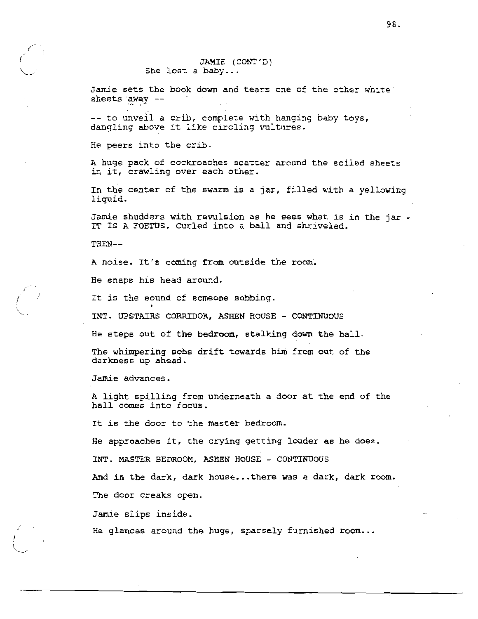## JAMIE (CONT'D) She lost a baby...

Jamie sets the book down and tears one of the other white sheets away --

-- to unveil a crib, complete with hanging baby toys, dangling above it like circling vultures.

He peers into the crib.

A huge pack of cockroaches scatter around the soiled sheets in it, crawling over each other.

In the center of the swarm is a jar, filled with a yellowing liquid.

Jamie shudders with revulsion as he sees what is in the jar -IT IS A FOETUS. Curled into a ball and shriveled.

THEN--

A noise. It's coming from outside the room.

He snaps his head around.

It is the sound of someone sobbing.

INT. UPSTAIRS CORRIDOR, ASHEN HOUSE - CONTINUOUS

He steps out of the bedroom, stalking down the hall.

The whimpering sobs drift towards him from out of the darkness up ahead.

Jamie advances.

A light spilling from underneath a door at the end of the hall comes into focus.

It is the door to the master bedroom.

He approaches it, the crying getting louder as he does.

INT. MASTER BEDROOM, ASHEN HOUSE - CONTINUOUS

And in the dark, dark house...there was a dark, dark room.

The door creaks open.

Jamie slips inside.

He glances around the huge, sparsely furnished room...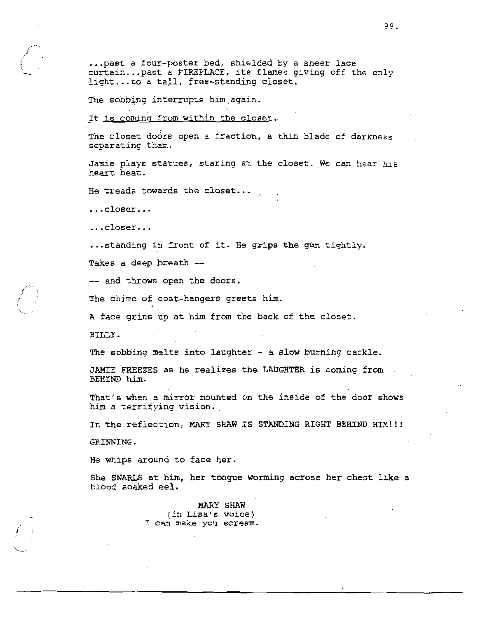... past a four-poster bed, shielded by a sheer lace curtain...past a FIREPLACE, its flames giving off the only light...to a tall, free-standing closet.

The sobbing interrupts him again.

It is coming from within the closet.

The closet doors open a fraction, a thin blade of darkness separating them.

Jamie plays statues, staring at the closet. We can hear his heart beat.

He treads towards the closet...

...closer...

 $\ldots$ closer...

... standing in front of it. He grips the gun tightly.

Takes a deep breath --

-- and throws open the doors.

The chime of coat-hangers greets him.

A face grins up at him from the back of the closet.

BILLY.

The sobbing melts into laughter - a slow burning cackle.

JAMIE FREEZES as he realizes the LAUGHTER is coming from BEHIND him.

That's when a mirror mounted on the inside of the door shows him a terrifying vision.

In the reflection, MARY SHAW IS STANDING RIGHT BEHIND HIM!!!

GRINNING.

He whips around to face her.

She SNARLS at him, her tongue worming across her chest like a blood soaked eel.

> MARY SHAW (in Lisa's voice) I can make you scream.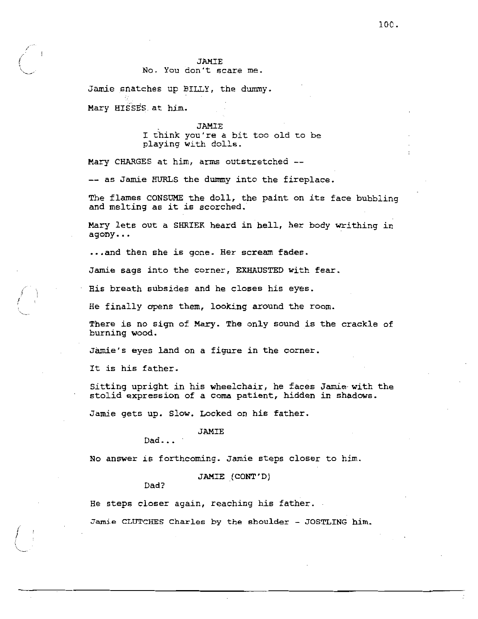#### **JAMTE** No. You don't scare me.

Jamie snatches up BILLY, the dummy. Mary HISSES at him.

#### **JAMIE**

I think you're a bit too old to be playing with dolls.

Mary CHARGES at him, arms outstretched --

-- as Jamie HURLS the dummy into the fireplace.

The flames CONSUME the doll, the paint on its face bubbling and melting as it is scorched.

Mary lets out a SHRIEK heard in hell, her body writhing in agony...

... and then she is gone. Her scream fades.

Jamie sags into the corner, EXHAUSTED with fear.

His breath subsides and he closes his eyes.

He finally opens them, looking around the room.

There is no sign of Mary. The only sound is the crackle of burning wood.

Jamie's eyes land on a figure in the corner.

It is his father.

Sitting upright in his wheelchair, he faces Jamie with the stolid expression of a coma patient, hidden in shadows.

Jamie gets up. Slow. Locked on his father.

# **JAMIE**

 $Dad...$ 

No answer is forthcoming. Jamie steps closer to him.

JAMIE (CONT'D)

Dad?

He steps closer again, reaching his father.

Jamie CLUTCHES Charles by the shoulder - JOSTLING him.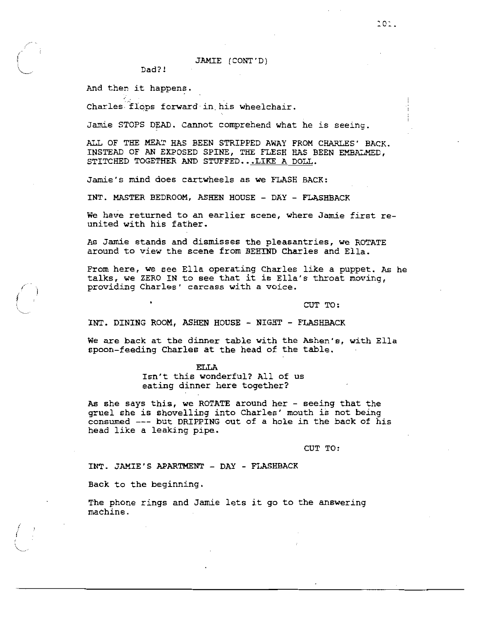JAMIE (CONT'D)

Dad?!

And then it happens.

Charles flops forward in his wheelchair.

Jamie STOPS DEAD. Cannot comprehend what he is seeing.

ALL OF THE MEAT HAS BEEN STRIPPED AWAY FROM CHARLES' BACK. INSTEAD OF AN EXPOSED SPINE, THE FLESH HAS BEEN EMBALMED, STITCHED TOGETHER AND STUFFED...LIKE A DOLL.

Jamie's mind does cartwheels as we FLASH BACK:

INT. MASTER BEDROOM, ASHEN HOUSE - DAY - FLASHBACK

We have returned to an earlier scene, where Jamie first reunited with his father.

As Jamie stands and dismisses the pleasantries, we ROTATE around to view the scene from BEHIND Charles and Ella.

From here, we see Ella operating Charles like a puppet. As he talks, we ZERO IN to see that it is Ella's throat moving, providing Charles' carcass with a voice.

CUT TO:

INT. DINING ROOM, ASHEN HOUSE - NIGHT - FLASHBACK

We are back at the dinner table with the Ashen's, with Ella spoon-feeding Charles at the head of the table.

> **ELLA** Isn't this wonderful? All of us eating dinner here together?

As she says this, we ROTATE around her - seeing that the gruel she is shovelling into Charles' mouth is not being consumed --- but DRIPPING out of a hole in the back of his head like a leaking pipe.

CUT TO:

INT. JAMIE'S APARTMENT - DAY - FLASHBACK

Back to the beginning.

The phone rings and Jamie lets it go to the answering machine.

 $201.$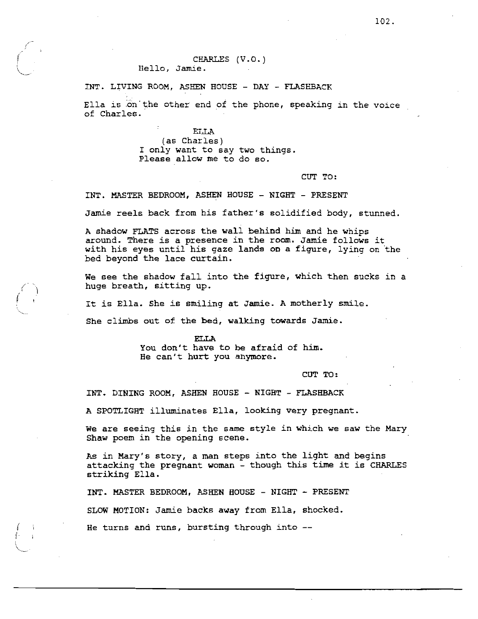INT. LIVING ROOM, ASHEN HOUSE - DAY - FLASHBACK

Ella is on the other end of the phone, speaking in the voice of Charles.

> **ELLA** (as Charles) I only want to say two things. Please allow me to do so.

> > CUT TO:

INT. MASTER BEDROOM, ASHEN HOUSE - NIGHT - PRESENT

Jamie reels back from his father's solidified body, stunned.

A shadow FLATS across the wall behind him and he whips around. There is a presence in the room. Jamie follows it with his eyes until his gaze lands on a figure, lying on the bed beyond the lace curtain.

We see the shadow fall into the figure, which then sucks in a huge breath, sitting up.

It is Ella. She is smiling at Jamie. A motherly smile.

She climbs out of the bed, walking towards Jamie.

**FLLA** You don't have to be afraid of him. He can't hurt you anymore.

CUT TO:

INT. DINING ROOM, ASHEN HOUSE - NIGHT - FLASHBACK

A SPOTLIGHT illuminates Ella, looking very pregnant.

We are seeing this in the same style in which we saw the Mary Shaw poem in the opening scene.

As in Mary's story, a man steps into the light and begins attacking the pregnant woman - though this time it is CHARLES striking Ella.

INT. MASTER BEDROOM, ASHEN HOUSE - NIGHT - PRESENT SLOW MOTION: Jamie backs away from Ella, shocked. He turns and runs, bursting through into  $-$ -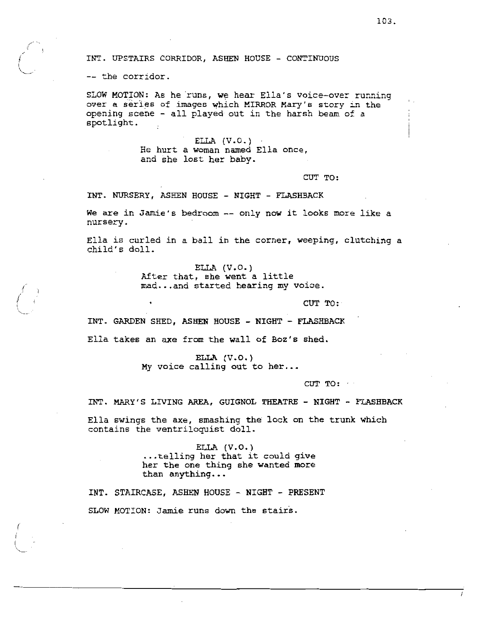INT. UPSTAIRS CORRIDOR, ASHEN HOUSE - CONTINUOUS

-- the corridor.

SLOW MOTION: As he runs, we hear Ella's voice-over running over a series of images which MIRROR Mary's story in the opening scene - all played out in the harsh beam of a spotlight.

> ELLA  $(V.0.)$ He hurt a woman named Ella once, and she lost her baby.

> > CUT TO:

INT. NURSERY, ASHEN HOUSE - NIGHT - FLASHBACK

We are in Jamie's bedroom -- only now it looks more like a nursery.

Ella is curled in a ball in the corner, weeping, clutching a child's doll.

> ELLA  $(V.0.)$ After that, she went a little mad...and started hearing my voice.

> > CUT TO:

INT. GARDEN SHED, ASHEN HOUSE - NIGHT - FLASHBACK

Ella takes an axe from the wall of Boz's shed.

۰

ELLA  $(V.O.)$ My voice calling out to her...

CUT TO:

INT. MARY'S LIVING AREA, GUIGNOL THEATRE - NIGHT - FLASHBACK

Ella swings the axe, smashing the lock on the trunk which contains the ventriloquist doll.

> ELLA  $(V.0.)$ ...telling her that it could give her the one thing she wanted more than anything...

INT. STAIRCASE, ASHEN HOUSE - NIGHT - PRESENT SLOW MOTION: Jamie runs down the stairs.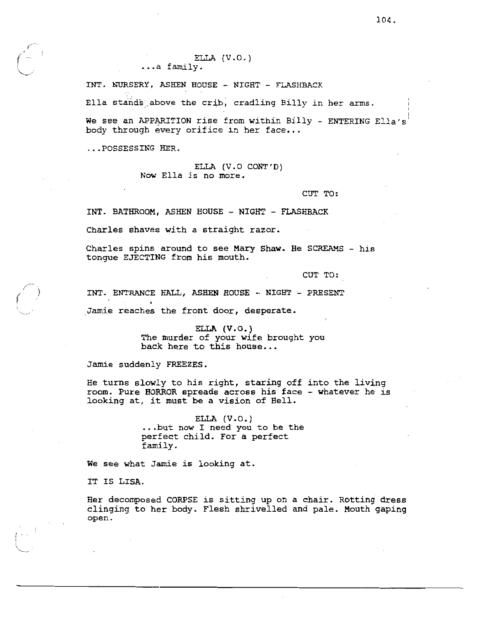ELLA  $(V.0.)$ ...a family.

INT. NURSERY, ASHEN HOUSE - NIGHT - FLASHBACK

Ella stands above the crib, cradling Billy in her arms.

We see an APPARITION rise from within Billy - ENTERING Ella's' body through every orifice in her face...

...POSSESSING HER.

ELLA (V.O CONT'D) Now Ella is no more.

CUT TO:

INT. BATHROOM, ASHEN HOUSE - NIGHT - FLASHBACK

Charles shaves with a straight razor.

Charles spins around to see Mary Shaw. He SCREAMS - his tonque EJECTING from his mouth.

CUT TO:

INT. ENTRANCE HALL, ASHEN HOUSE - NIGHT - PRESENT Jamie reaches the front door, desperate.

> ELLA  $(V.0.)$ The murder of your wife brought you back here to this house...

Jamie suddenly FREEZES.

He turns slowly to his right, staring off into the living room. Pure HORROR spreads across his face - whatever he is looking at, it must be a vision of Hell.

> $ELLA$   $(V.0.)$ ... but now I need you to be the perfect child. For a perfect family.

We see what Jamie is looking at.

IT IS LISA.

Her decomposed CORPSE is sitting up on a chair. Rotting dress clinging to her body. Flesh shrivelled and pale. Mouth gaping open.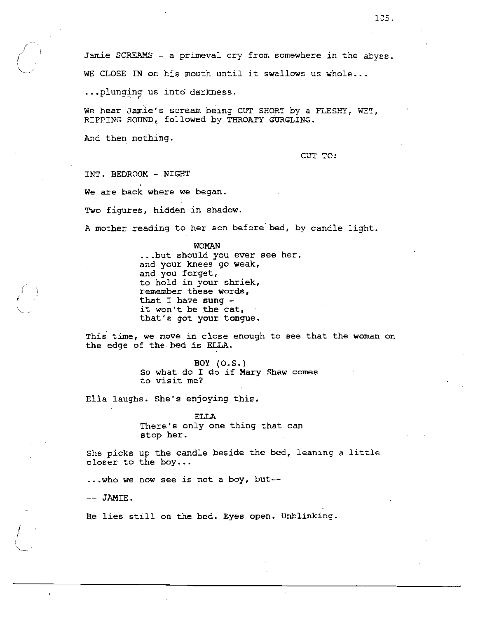Jamie SCREAMS - a primeval cry from somewhere in the abyss. WE CLOSE IN on his mouth until it swallows us whole...

...plunging us into darkness.

We hear Jamie's scream being CUT SHORT by a FLESHY, WET. RIPPING SOUND, followed by THROATY GURGLING.

And then nothing.

CUT TO:

INT. REDROOM - NIGHT We are back where we began. Two figures, hidden in shadow.

A mother reading to her son before bed, by candle light.

WOMAN ...but should you ever see her, and your knees go weak, and you forget, to hold in your shriek, remember these words, that I have sung  $$ it won't be the cat, that's got your tongue.

This time, we move in close enough to see that the woman on the edge of the bed is ELLA.

> BOY (0.5.) So what do I do if Mary Shaw comes to visit me?

Ella laughs. She's enjoying this.

**ELLA** There's only one thing that can stop her.

She picks up the candle beside the bed, leaning a little closer to the boy...

... who we now see is not a boy, but--

-- JAMIE.

He lies still on the bed. Eyes open. Unblinking.